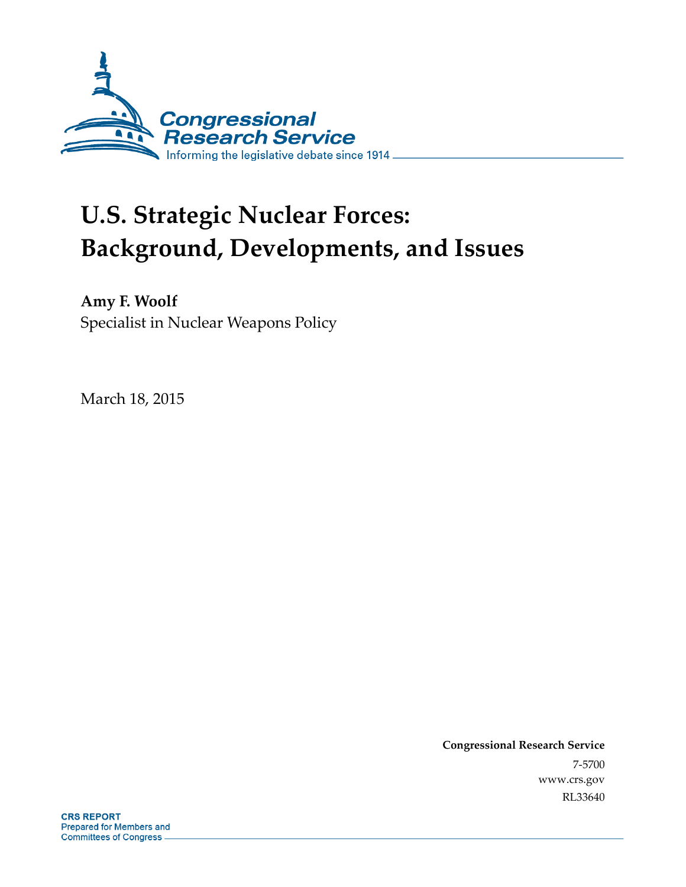

# **U.S. Strategic Nuclear Forces: Background, Developments, and Issues**

**Amy F. Woolf**  Specialist in Nuclear Weapons Policy

March 18, 2015

**Congressional Research Service**  7-5700 www.crs.gov RL33640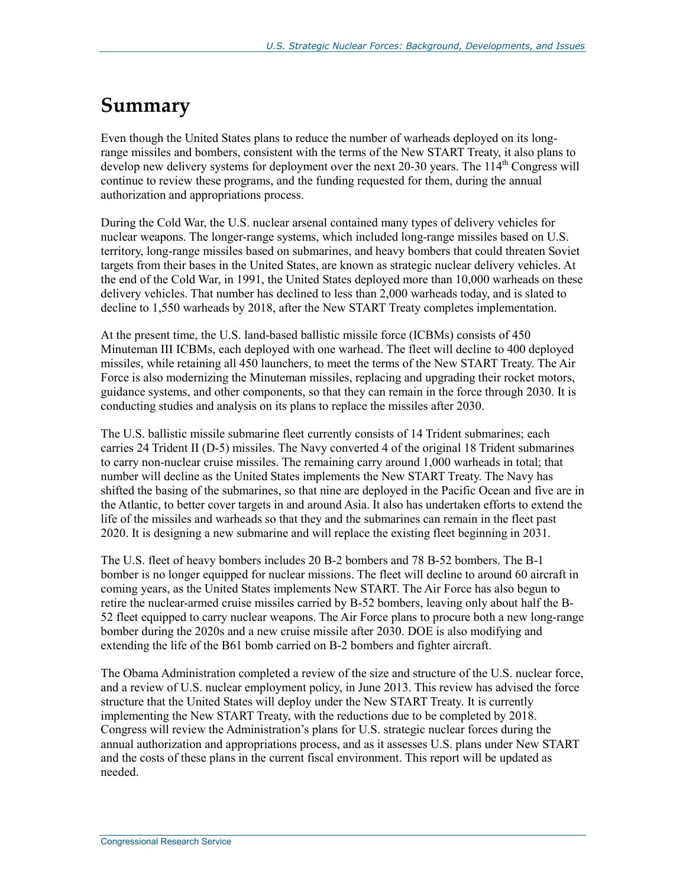## **Summary**

Even though the United States plans to reduce the number of warheads deployed on its longrange missiles and bombers, consistent with the terms of the New START Treaty, it also plans to develop new delivery systems for deployment over the next 20-30 years. The  $114<sup>th</sup>$  Congress will continue to review these programs, and the funding requested for them, during the annual authorization and appropriations process.

During the Cold War, the U.S. nuclear arsenal contained many types of delivery vehicles for nuclear weapons. The longer-range systems, which included long-range missiles based on U.S. territory, long-range missiles based on submarines, and heavy bombers that could threaten Soviet targets from their bases in the United States, are known as strategic nuclear delivery vehicles. At the end of the Cold War, in 1991, the United States deployed more than 10,000 warheads on these delivery vehicles. That number has declined to less than 2,000 warheads today, and is slated to decline to 1,550 warheads by 2018, after the New START Treaty completes implementation.

At the present time, the U.S. land-based ballistic missile force (ICBMs) consists of 450 Minuteman III ICBMs, each deployed with one warhead. The fleet will decline to 400 deployed missiles, while retaining all 450 launchers, to meet the terms of the New START Treaty. The Air Force is also modernizing the Minuteman missiles, replacing and upgrading their rocket motors, guidance systems, and other components, so that they can remain in the force through 2030. It is conducting studies and analysis on its plans to replace the missiles after 2030.

The U.S. ballistic missile submarine fleet currently consists of 14 Trident submarines; each carries 24 Trident II (D-5) missiles. The Navy converted 4 of the original 18 Trident submarines to carry non-nuclear cruise missiles. The remaining carry around 1,000 warheads in total; that number will decline as the United States implements the New START Treaty. The Navy has shifted the basing of the submarines, so that nine are deployed in the Pacific Ocean and five are in the Atlantic, to better cover targets in and around Asia. It also has undertaken efforts to extend the life of the missiles and warheads so that they and the submarines can remain in the fleet past 2020. It is designing a new submarine and will replace the existing fleet beginning in 2031.

The U.S. fleet of heavy bombers includes 20 B-2 bombers and 78 B-52 bombers. The B-1 bomber is no longer equipped for nuclear missions. The fleet will decline to around 60 aircraft in coming years, as the United States implements New START. The Air Force has also begun to retire the nuclear-armed cruise missiles carried by B-52 bombers, leaving only about half the B-52 fleet equipped to carry nuclear weapons. The Air Force plans to procure both a new long-range bomber during the 2020s and a new cruise missile after 2030. DOE is also modifying and extending the life of the B61 bomb carried on B-2 bombers and fighter aircraft.

The Obama Administration completed a review of the size and structure of the U.S. nuclear force, and a review of U.S. nuclear employment policy, in June 2013. This review has advised the force structure that the United States will deploy under the New START Treaty. It is currently implementing the New START Treaty, with the reductions due to be completed by 2018. Congress will review the Administration's plans for U.S. strategic nuclear forces during the annual authorization and appropriations process, and as it assesses U.S. plans under New START and the costs of these plans in the current fiscal environment. This report will be updated as needed.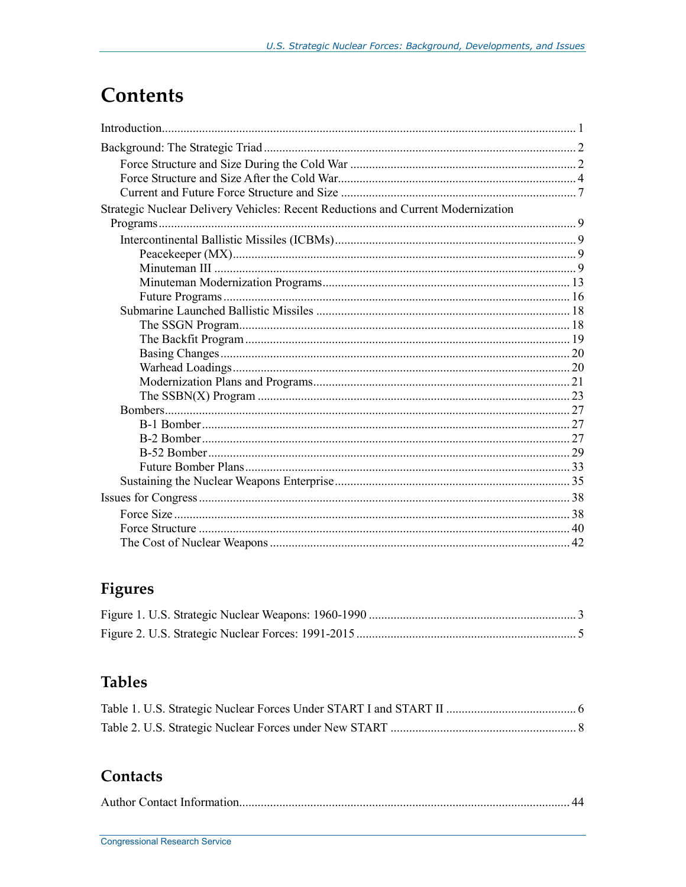## Contents

| Strategic Nuclear Delivery Vehicles: Recent Reductions and Current Modernization |  |
|----------------------------------------------------------------------------------|--|
|                                                                                  |  |
|                                                                                  |  |
|                                                                                  |  |
|                                                                                  |  |
|                                                                                  |  |
|                                                                                  |  |
|                                                                                  |  |
|                                                                                  |  |
|                                                                                  |  |
|                                                                                  |  |
|                                                                                  |  |
|                                                                                  |  |
|                                                                                  |  |
|                                                                                  |  |
|                                                                                  |  |
|                                                                                  |  |
|                                                                                  |  |
|                                                                                  |  |
|                                                                                  |  |
|                                                                                  |  |
|                                                                                  |  |
|                                                                                  |  |
|                                                                                  |  |

## Figures

## **Tables**

## Contacts

|--|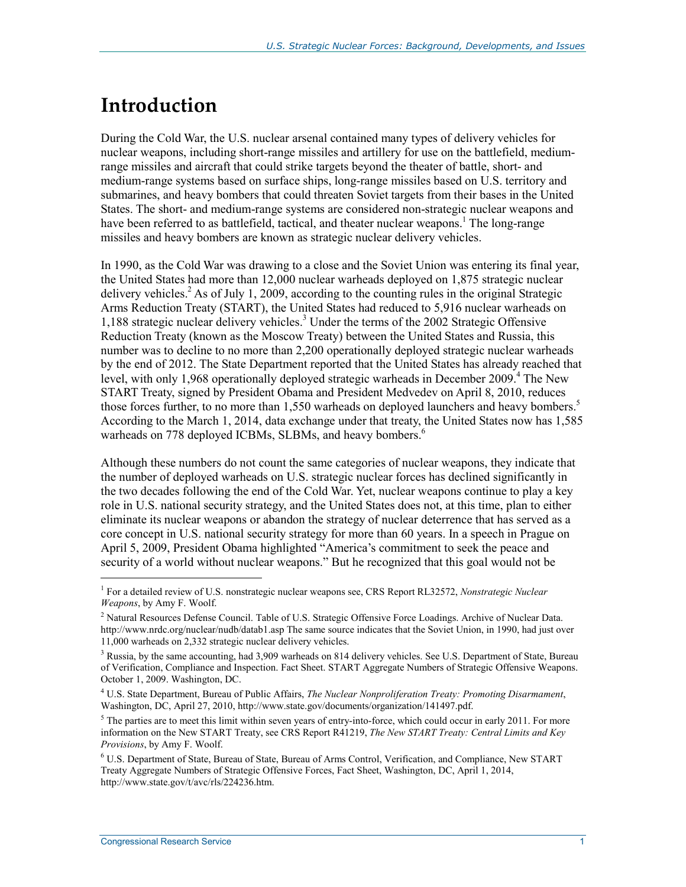## **Introduction**

During the Cold War, the U.S. nuclear arsenal contained many types of delivery vehicles for nuclear weapons, including short-range missiles and artillery for use on the battlefield, mediumrange missiles and aircraft that could strike targets beyond the theater of battle, short- and medium-range systems based on surface ships, long-range missiles based on U.S. territory and submarines, and heavy bombers that could threaten Soviet targets from their bases in the United States. The short- and medium-range systems are considered non-strategic nuclear weapons and have been referred to as battlefield, tactical, and theater nuclear weapons.<sup>1</sup> The long-range missiles and heavy bombers are known as strategic nuclear delivery vehicles.

In 1990, as the Cold War was drawing to a close and the Soviet Union was entering its final year, the United States had more than 12,000 nuclear warheads deployed on 1,875 strategic nuclear delivery vehicles.<sup>2</sup> As of July 1, 2009, according to the counting rules in the original Strategic Arms Reduction Treaty (START), the United States had reduced to 5,916 nuclear warheads on 1,188 strategic nuclear delivery vehicles.<sup>3</sup> Under the terms of the 2002 Strategic Offensive Reduction Treaty (known as the Moscow Treaty) between the United States and Russia, this number was to decline to no more than 2,200 operationally deployed strategic nuclear warheads by the end of 2012. The State Department reported that the United States has already reached that level, with only 1,968 operationally deployed strategic warheads in December 2009.<sup>4</sup> The New START Treaty, signed by President Obama and President Medvedev on April 8, 2010, reduces those forces further, to no more than 1,550 warheads on deployed launchers and heavy bombers.<sup>5</sup> According to the March 1, 2014, data exchange under that treaty, the United States now has 1,585 warheads on 778 deployed ICBMs, SLBMs, and heavy bombers.<sup>6</sup>

Although these numbers do not count the same categories of nuclear weapons, they indicate that the number of deployed warheads on U.S. strategic nuclear forces has declined significantly in the two decades following the end of the Cold War. Yet, nuclear weapons continue to play a key role in U.S. national security strategy, and the United States does not, at this time, plan to either eliminate its nuclear weapons or abandon the strategy of nuclear deterrence that has served as a core concept in U.S. national security strategy for more than 60 years. In a speech in Prague on April 5, 2009, President Obama highlighted "America's commitment to seek the peace and security of a world without nuclear weapons." But he recognized that this goal would not be

<sup>1</sup> For a detailed review of U.S. nonstrategic nuclear weapons see, CRS Report RL32572, *Nonstrategic Nuclear Weapons*, by Amy F. Woolf.

<sup>&</sup>lt;sup>2</sup> Natural Resources Defense Council. Table of U.S. Strategic Offensive Force Loadings. Archive of Nuclear Data. http://www.nrdc.org/nuclear/nudb/datab1.asp The same source indicates that the Soviet Union, in 1990, had just over 11,000 warheads on 2,332 strategic nuclear delivery vehicles.

<sup>&</sup>lt;sup>3</sup> Russia, by the same accounting, had 3,909 warheads on 814 delivery vehicles. See U.S. Department of State, Bureau of Verification, Compliance and Inspection. Fact Sheet. START Aggregate Numbers of Strategic Offensive Weapons. October 1, 2009. Washington, DC.

<sup>4</sup> U.S. State Department, Bureau of Public Affairs, *The Nuclear Nonproliferation Treaty: Promoting Disarmament*, Washington, DC, April 27, 2010, http://www.state.gov/documents/organization/141497.pdf.

 $5$  The parties are to meet this limit within seven years of entry-into-force, which could occur in early 2011. For more information on the New START Treaty, see CRS Report R41219, *The New START Treaty: Central Limits and Key Provisions*, by Amy F. Woolf.

<sup>&</sup>lt;sup>6</sup> U.S. Department of State, Bureau of State, Bureau of Arms Control, Verification, and Compliance, New START Treaty Aggregate Numbers of Strategic Offensive Forces, Fact Sheet, Washington, DC, April 1, 2014, http://www.state.gov/t/avc/rls/224236.htm.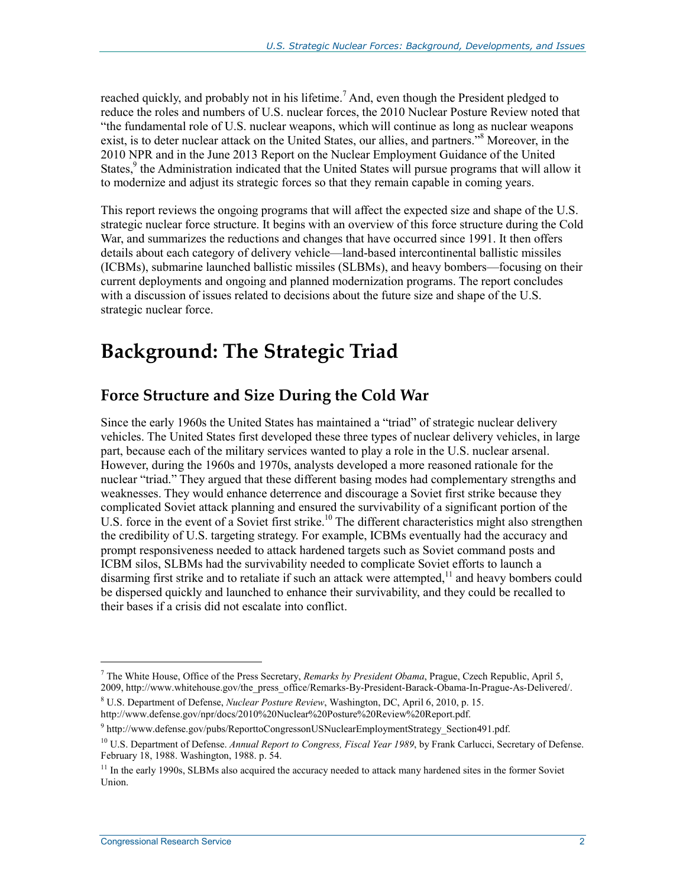reached quickly, and probably not in his lifetime.<sup>7</sup> And, even though the President pledged to reduce the roles and numbers of U.S. nuclear forces, the 2010 Nuclear Posture Review noted that "the fundamental role of U.S. nuclear weapons, which will continue as long as nuclear weapons exist, is to deter nuclear attack on the United States, our allies, and partners."<sup>8</sup> Moreover, in the 2010 NPR and in the June 2013 Report on the Nuclear Employment Guidance of the United States,<sup>9</sup> the Administration indicated that the United States will pursue programs that will allow it to modernize and adjust its strategic forces so that they remain capable in coming years.

This report reviews the ongoing programs that will affect the expected size and shape of the U.S. strategic nuclear force structure. It begins with an overview of this force structure during the Cold War, and summarizes the reductions and changes that have occurred since 1991. It then offers details about each category of delivery vehicle—land-based intercontinental ballistic missiles (ICBMs), submarine launched ballistic missiles (SLBMs), and heavy bombers—focusing on their current deployments and ongoing and planned modernization programs. The report concludes with a discussion of issues related to decisions about the future size and shape of the U.S. strategic nuclear force.

## **Background: The Strategic Triad**

## **Force Structure and Size During the Cold War**

Since the early 1960s the United States has maintained a "triad" of strategic nuclear delivery vehicles. The United States first developed these three types of nuclear delivery vehicles, in large part, because each of the military services wanted to play a role in the U.S. nuclear arsenal. However, during the 1960s and 1970s, analysts developed a more reasoned rationale for the nuclear "triad." They argued that these different basing modes had complementary strengths and weaknesses. They would enhance deterrence and discourage a Soviet first strike because they complicated Soviet attack planning and ensured the survivability of a significant portion of the U.S. force in the event of a Soviet first strike.<sup>10</sup> The different characteristics might also strengthen the credibility of U.S. targeting strategy. For example, ICBMs eventually had the accuracy and prompt responsiveness needed to attack hardened targets such as Soviet command posts and ICBM silos, SLBMs had the survivability needed to complicate Soviet efforts to launch a disarming first strike and to retaliate if such an attack were attempted,<sup>11</sup> and heavy bombers could be dispersed quickly and launched to enhance their survivability, and they could be recalled to their bases if a crisis did not escalate into conflict.

<sup>7</sup> The White House, Office of the Press Secretary, *Remarks by President Obama*, Prague, Czech Republic, April 5, 2009, http://www.whitehouse.gov/the\_press\_office/Remarks-By-President-Barack-Obama-In-Prague-As-Delivered/.

<sup>8</sup> U.S. Department of Defense, *Nuclear Posture Review*, Washington, DC, April 6, 2010, p. 15. http://www.defense.gov/npr/docs/2010%20Nuclear%20Posture%20Review%20Report.pdf.

<sup>&</sup>lt;sup>9</sup> http://www.defense.gov/pubs/ReporttoCongressonUSNuclearEmploymentStrategy\_Section491.pdf.

<sup>&</sup>lt;sup>10</sup> U.S. Department of Defense. Annual Report to Congress, Fiscal Year 1989, by Frank Carlucci, Secretary of Defense. February 18, 1988. Washington, 1988. p. 54.

<sup>&</sup>lt;sup>11</sup> In the early 1990s, SLBMs also acquired the accuracy needed to attack many hardened sites in the former Soviet Union.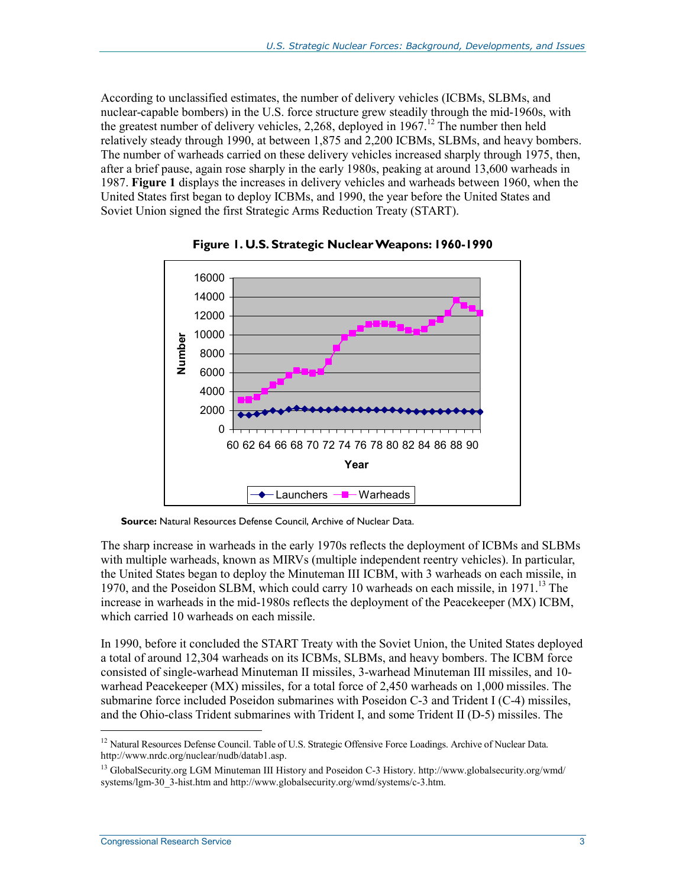According to unclassified estimates, the number of delivery vehicles (ICBMs, SLBMs, and nuclear-capable bombers) in the U.S. force structure grew steadily through the mid-1960s, with the greatest number of delivery vehicles, 2,268, deployed in  $1967<sup>12</sup>$ . The number then held relatively steady through 1990, at between 1,875 and 2,200 ICBMs, SLBMs, and heavy bombers. The number of warheads carried on these delivery vehicles increased sharply through 1975, then, after a brief pause, again rose sharply in the early 1980s, peaking at around 13,600 warheads in 1987. **Figure 1** displays the increases in delivery vehicles and warheads between 1960, when the United States first began to deploy ICBMs, and 1990, the year before the United States and Soviet Union signed the first Strategic Arms Reduction Treaty (START).



**Figure 1. U.S. Strategic Nuclear Weapons: 1960-1990** 

**Source:** Natural Resources Defense Council, Archive of Nuclear Data.

The sharp increase in warheads in the early 1970s reflects the deployment of ICBMs and SLBMs with multiple warheads, known as MIRVs (multiple independent reentry vehicles). In particular, the United States began to deploy the Minuteman III ICBM, with 3 warheads on each missile, in 1970, and the Poseidon SLBM, which could carry 10 warheads on each missile, in 1971.<sup>13</sup> The increase in warheads in the mid-1980s reflects the deployment of the Peacekeeper (MX) ICBM, which carried 10 warheads on each missile.

In 1990, before it concluded the START Treaty with the Soviet Union, the United States deployed a total of around 12,304 warheads on its ICBMs, SLBMs, and heavy bombers. The ICBM force consisted of single-warhead Minuteman II missiles, 3-warhead Minuteman III missiles, and 10 warhead Peacekeeper (MX) missiles, for a total force of 2,450 warheads on 1,000 missiles. The submarine force included Poseidon submarines with Poseidon C-3 and Trident I (C-4) missiles, and the Ohio-class Trident submarines with Trident I, and some Trident II (D-5) missiles. The

<sup>&</sup>lt;sup>12</sup> Natural Resources Defense Council. Table of U.S. Strategic Offensive Force Loadings. Archive of Nuclear Data. http://www.nrdc.org/nuclear/nudb/datab1.asp.

<sup>13</sup> GlobalSecurity.org LGM Minuteman III History and Poseidon C-3 History. http://www.globalsecurity.org/wmd/ systems/lgm-30\_3-hist.htm and http://www.globalsecurity.org/wmd/systems/c-3.htm.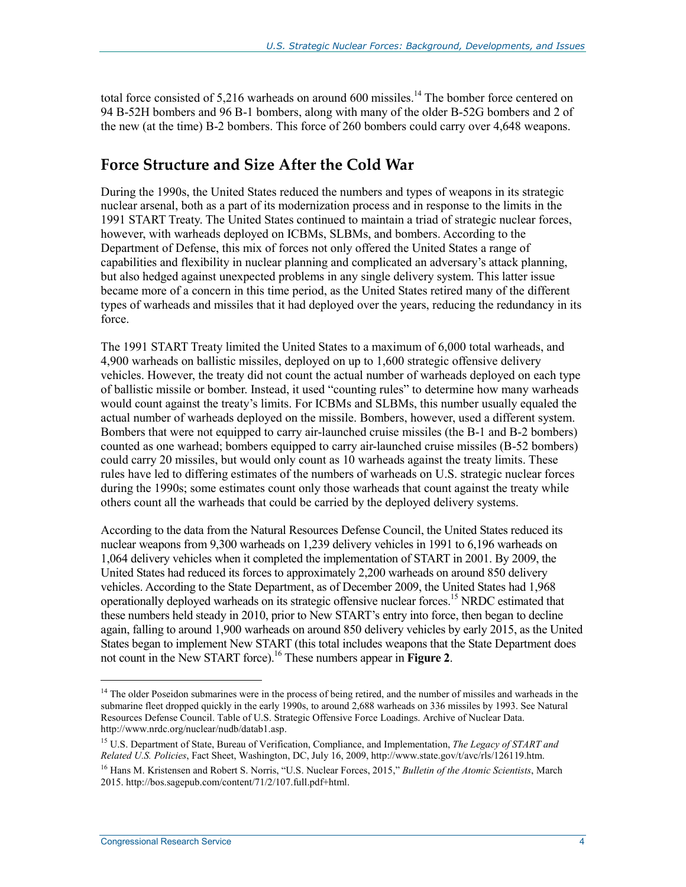total force consisted of 5,216 warheads on around 600 missiles.<sup>14</sup> The bomber force centered on 94 B-52H bombers and 96 B-1 bombers, along with many of the older B-52G bombers and 2 of the new (at the time) B-2 bombers. This force of 260 bombers could carry over 4,648 weapons.

## **Force Structure and Size After the Cold War**

During the 1990s, the United States reduced the numbers and types of weapons in its strategic nuclear arsenal, both as a part of its modernization process and in response to the limits in the 1991 START Treaty. The United States continued to maintain a triad of strategic nuclear forces, however, with warheads deployed on ICBMs, SLBMs, and bombers. According to the Department of Defense, this mix of forces not only offered the United States a range of capabilities and flexibility in nuclear planning and complicated an adversary's attack planning, but also hedged against unexpected problems in any single delivery system. This latter issue became more of a concern in this time period, as the United States retired many of the different types of warheads and missiles that it had deployed over the years, reducing the redundancy in its force.

The 1991 START Treaty limited the United States to a maximum of 6,000 total warheads, and 4,900 warheads on ballistic missiles, deployed on up to 1,600 strategic offensive delivery vehicles. However, the treaty did not count the actual number of warheads deployed on each type of ballistic missile or bomber. Instead, it used "counting rules" to determine how many warheads would count against the treaty's limits. For ICBMs and SLBMs, this number usually equaled the actual number of warheads deployed on the missile. Bombers, however, used a different system. Bombers that were not equipped to carry air-launched cruise missiles (the B-1 and B-2 bombers) counted as one warhead; bombers equipped to carry air-launched cruise missiles (B-52 bombers) could carry 20 missiles, but would only count as 10 warheads against the treaty limits. These rules have led to differing estimates of the numbers of warheads on U.S. strategic nuclear forces during the 1990s; some estimates count only those warheads that count against the treaty while others count all the warheads that could be carried by the deployed delivery systems.

According to the data from the Natural Resources Defense Council, the United States reduced its nuclear weapons from 9,300 warheads on 1,239 delivery vehicles in 1991 to 6,196 warheads on 1,064 delivery vehicles when it completed the implementation of START in 2001. By 2009, the United States had reduced its forces to approximately 2,200 warheads on around 850 delivery vehicles. According to the State Department, as of December 2009, the United States had 1,968 operationally deployed warheads on its strategic offensive nuclear forces.15 NRDC estimated that these numbers held steady in 2010, prior to New START's entry into force, then began to decline again, falling to around 1,900 warheads on around 850 delivery vehicles by early 2015, as the United States began to implement New START (this total includes weapons that the State Department does not count in the New START force).16 These numbers appear in **Figure 2**.

<sup>&</sup>lt;sup>14</sup> The older Poseidon submarines were in the process of being retired, and the number of missiles and warheads in the submarine fleet dropped quickly in the early 1990s, to around 2,688 warheads on 336 missiles by 1993. See Natural Resources Defense Council. Table of U.S. Strategic Offensive Force Loadings. Archive of Nuclear Data. http://www.nrdc.org/nuclear/nudb/datab1.asp.

<sup>15</sup> U.S. Department of State, Bureau of Verification, Compliance, and Implementation, *The Legacy of START and Related U.S. Policies*, Fact Sheet, Washington, DC, July 16, 2009, http://www.state.gov/t/avc/rls/126119.htm.

<sup>16</sup> Hans M. Kristensen and Robert S. Norris, "U.S. Nuclear Forces, 2015," *Bulletin of the Atomic Scientists*, March 2015. http://bos.sagepub.com/content/71/2/107.full.pdf+html.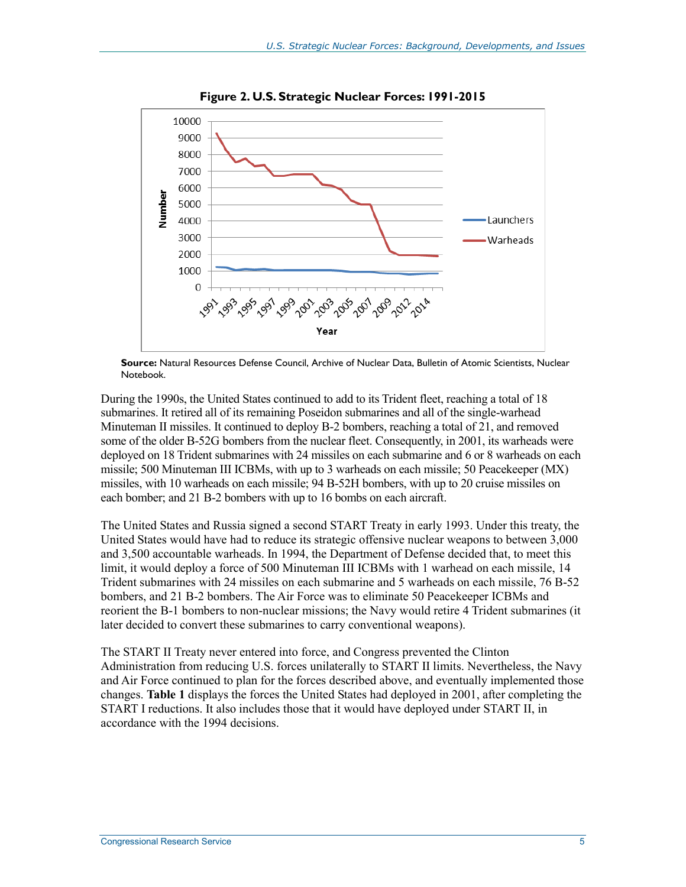

**Figure 2. U.S. Strategic Nuclear Forces: 1991-2015** 

**Source:** Natural Resources Defense Council, Archive of Nuclear Data, Bulletin of Atomic Scientists, Nuclear Notebook.

During the 1990s, the United States continued to add to its Trident fleet, reaching a total of 18 submarines. It retired all of its remaining Poseidon submarines and all of the single-warhead Minuteman II missiles. It continued to deploy B-2 bombers, reaching a total of 21, and removed some of the older B-52G bombers from the nuclear fleet. Consequently, in 2001, its warheads were deployed on 18 Trident submarines with 24 missiles on each submarine and 6 or 8 warheads on each missile; 500 Minuteman III ICBMs, with up to 3 warheads on each missile; 50 Peacekeeper (MX) missiles, with 10 warheads on each missile; 94 B-52H bombers, with up to 20 cruise missiles on each bomber; and 21 B-2 bombers with up to 16 bombs on each aircraft.

The United States and Russia signed a second START Treaty in early 1993. Under this treaty, the United States would have had to reduce its strategic offensive nuclear weapons to between 3,000 and 3,500 accountable warheads. In 1994, the Department of Defense decided that, to meet this limit, it would deploy a force of 500 Minuteman III ICBMs with 1 warhead on each missile, 14 Trident submarines with 24 missiles on each submarine and 5 warheads on each missile, 76 B-52 bombers, and 21 B-2 bombers. The Air Force was to eliminate 50 Peacekeeper ICBMs and reorient the B-1 bombers to non-nuclear missions; the Navy would retire 4 Trident submarines (it later decided to convert these submarines to carry conventional weapons).

The START II Treaty never entered into force, and Congress prevented the Clinton Administration from reducing U.S. forces unilaterally to START II limits. Nevertheless, the Navy and Air Force continued to plan for the forces described above, and eventually implemented those changes. **Table 1** displays the forces the United States had deployed in 2001, after completing the START I reductions. It also includes those that it would have deployed under START II, in accordance with the 1994 decisions.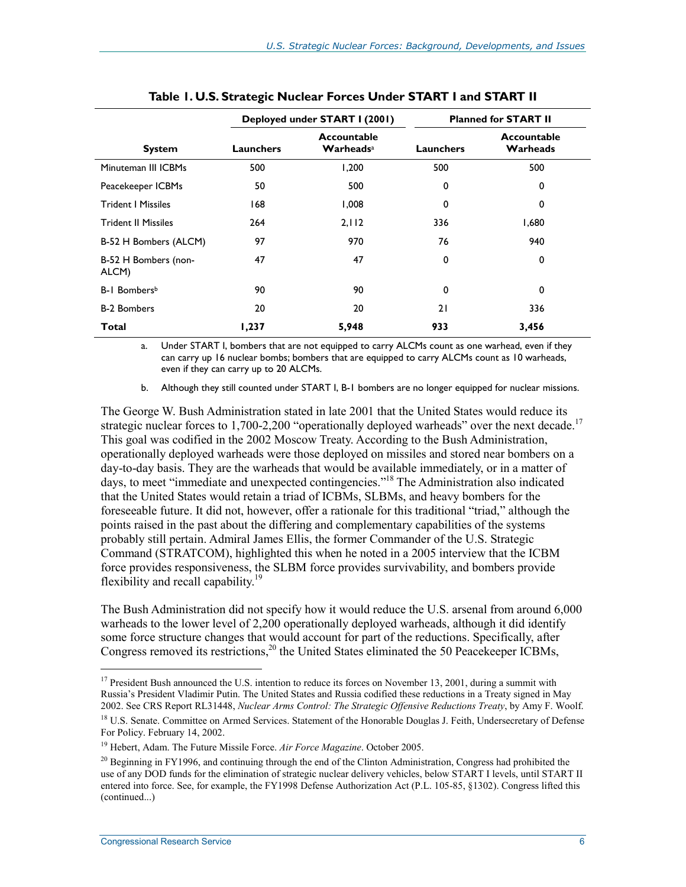|                               | Deployed under START I (2001) |                                                  |           | <b>Planned for START II</b> |
|-------------------------------|-------------------------------|--------------------------------------------------|-----------|-----------------------------|
| <b>System</b>                 | Launchers                     | Accountable<br>$\mathbf{W}$ arheads <sup>a</sup> | Launchers | Accountable<br>Warheads     |
| Minuteman III ICBMs           | 500                           | 1,200                                            | 500       | 500                         |
| Peacekeeper ICBMs             | 50                            | 500                                              | 0         | 0                           |
| <b>Trident   Missiles</b>     | 168                           | 0.008                                            | 0         | 0                           |
| <b>Trident II Missiles</b>    | 264                           | 2.112                                            | 336       | 1,680                       |
| B-52 H Bombers (ALCM)         | 97                            | 970                                              | 76        | 940                         |
| B-52 H Bombers (non-<br>ALCM) | 47                            | 47                                               | 0         | 0                           |
| B-1 Bombers <sup>b</sup>      | 90                            | 90                                               | 0         | $\Omega$                    |
| <b>B-2 Bombers</b>            | 20                            | 20                                               | 21        | 336                         |
| <b>Total</b>                  | 1,237                         | 5,948                                            | 933       | 3,456                       |

a. Under START I, bombers that are not equipped to carry ALCMs count as one warhead, even if they can carry up 16 nuclear bombs; bombers that are equipped to carry ALCMs count as 10 warheads, even if they can carry up to 20 ALCMs.

b. Although they still counted under START I, B-1 bombers are no longer equipped for nuclear missions.

The George W. Bush Administration stated in late 2001 that the United States would reduce its strategic nuclear forces to 1,700-2,200 "operationally deployed warheads" over the next decade.<sup>17</sup> This goal was codified in the 2002 Moscow Treaty. According to the Bush Administration, operationally deployed warheads were those deployed on missiles and stored near bombers on a day-to-day basis. They are the warheads that would be available immediately, or in a matter of days, to meet "immediate and unexpected contingencies."<sup>18</sup> The Administration also indicated that the United States would retain a triad of ICBMs, SLBMs, and heavy bombers for the foreseeable future. It did not, however, offer a rationale for this traditional "triad," although the points raised in the past about the differing and complementary capabilities of the systems probably still pertain. Admiral James Ellis, the former Commander of the U.S. Strategic Command (STRATCOM), highlighted this when he noted in a 2005 interview that the ICBM force provides responsiveness, the SLBM force provides survivability, and bombers provide flexibility and recall capability.<sup>19</sup>

The Bush Administration did not specify how it would reduce the U.S. arsenal from around 6,000 warheads to the lower level of 2,200 operationally deployed warheads, although it did identify some force structure changes that would account for part of the reductions. Specifically, after Congress removed its restrictions,<sup>20</sup> the United States eliminated the 50 Peacekeeper ICBMs,

<sup>&</sup>lt;sup>17</sup> President Bush announced the U.S. intention to reduce its forces on November 13, 2001, during a summit with Russia's President Vladimir Putin. The United States and Russia codified these reductions in a Treaty signed in May 2002. See CRS Report RL31448, *Nuclear Arms Control: The Strategic Offensive Reductions Treaty*, by Amy F. Woolf.

<sup>&</sup>lt;sup>18</sup> U.S. Senate. Committee on Armed Services. Statement of the Honorable Douglas J. Feith, Undersecretary of Defense For Policy. February 14, 2002.

<sup>19</sup> Hebert, Adam. The Future Missile Force. *Air Force Magazine*. October 2005.

 $^{20}$  Beginning in FY1996, and continuing through the end of the Clinton Administration, Congress had prohibited the use of any DOD funds for the elimination of strategic nuclear delivery vehicles, below START I levels, until START II entered into force. See, for example, the FY1998 Defense Authorization Act (P.L. 105-85, §1302). Congress lifted this (continued...)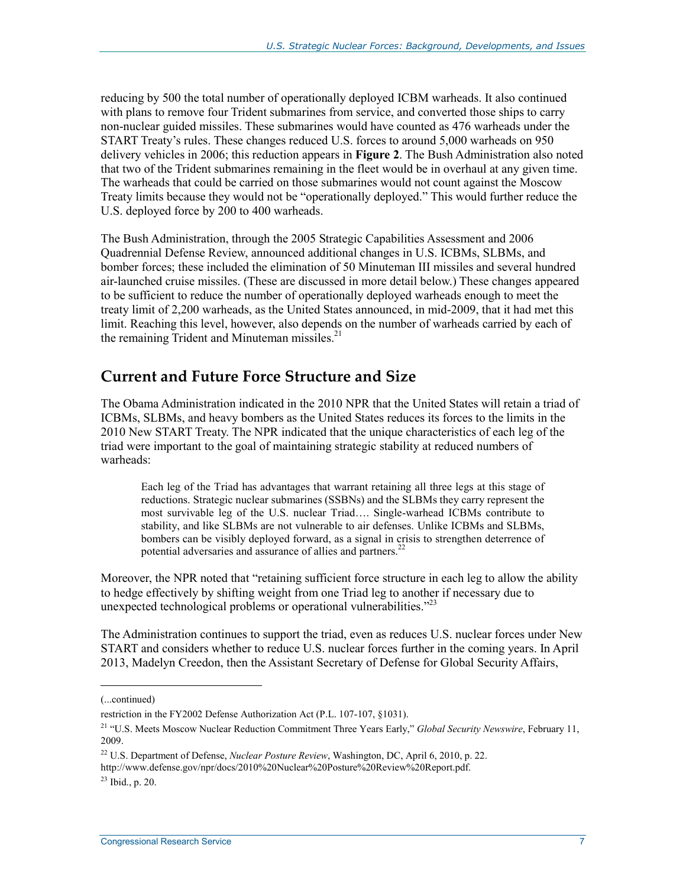reducing by 500 the total number of operationally deployed ICBM warheads. It also continued with plans to remove four Trident submarines from service, and converted those ships to carry non-nuclear guided missiles. These submarines would have counted as 476 warheads under the START Treaty's rules. These changes reduced U.S. forces to around 5,000 warheads on 950 delivery vehicles in 2006; this reduction appears in **Figure 2**. The Bush Administration also noted that two of the Trident submarines remaining in the fleet would be in overhaul at any given time. The warheads that could be carried on those submarines would not count against the Moscow Treaty limits because they would not be "operationally deployed." This would further reduce the U.S. deployed force by 200 to 400 warheads.

The Bush Administration, through the 2005 Strategic Capabilities Assessment and 2006 Quadrennial Defense Review, announced additional changes in U.S. ICBMs, SLBMs, and bomber forces; these included the elimination of 50 Minuteman III missiles and several hundred air-launched cruise missiles. (These are discussed in more detail below.) These changes appeared to be sufficient to reduce the number of operationally deployed warheads enough to meet the treaty limit of 2,200 warheads, as the United States announced, in mid-2009, that it had met this limit. Reaching this level, however, also depends on the number of warheads carried by each of the remaining Trident and Minuteman missiles. $21$ 

### **Current and Future Force Structure and Size**

The Obama Administration indicated in the 2010 NPR that the United States will retain a triad of ICBMs, SLBMs, and heavy bombers as the United States reduces its forces to the limits in the 2010 New START Treaty. The NPR indicated that the unique characteristics of each leg of the triad were important to the goal of maintaining strategic stability at reduced numbers of warheads:

Each leg of the Triad has advantages that warrant retaining all three legs at this stage of reductions. Strategic nuclear submarines (SSBNs) and the SLBMs they carry represent the most survivable leg of the U.S. nuclear Triad…. Single-warhead ICBMs contribute to stability, and like SLBMs are not vulnerable to air defenses. Unlike ICBMs and SLBMs, bombers can be visibly deployed forward, as a signal in crisis to strengthen deterrence of potential adversaries and assurance of allies and partners.<sup>22</sup>

Moreover, the NPR noted that "retaining sufficient force structure in each leg to allow the ability to hedge effectively by shifting weight from one Triad leg to another if necessary due to unexpected technological problems or operational vulnerabilities.<sup>223</sup>

The Administration continues to support the triad, even as reduces U.S. nuclear forces under New START and considers whether to reduce U.S. nuclear forces further in the coming years. In April 2013, Madelyn Creedon, then the Assistant Secretary of Defense for Global Security Affairs,

<sup>(...</sup>continued)

restriction in the FY2002 Defense Authorization Act (P.L. 107-107, §1031).

<sup>21 &</sup>quot;U.S. Meets Moscow Nuclear Reduction Commitment Three Years Early," *Global Security Newswire*, February 11, 2009.

<sup>22</sup> U.S. Department of Defense, *Nuclear Posture Review*, Washington, DC, April 6, 2010, p. 22.

http://www.defense.gov/npr/docs/2010%20Nuclear%20Posture%20Review%20Report.pdf.

 $^{23}$  Ibid., p. 20.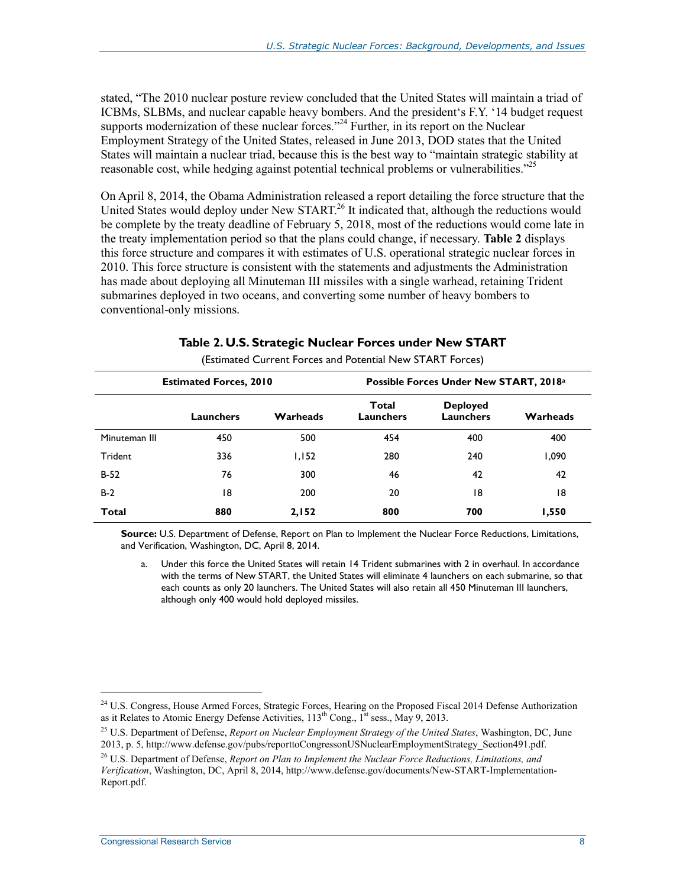stated, "The 2010 nuclear posture review concluded that the United States will maintain a triad of ICBMs, SLBMs, and nuclear capable heavy bombers. And the president's F.Y. '14 budget request supports modernization of these nuclear forces."<sup>24</sup> Further, in its report on the Nuclear Employment Strategy of the United States, released in June 2013, DOD states that the United States will maintain a nuclear triad, because this is the best way to "maintain strategic stability at reasonable cost, while hedging against potential technical problems or vulnerabilities."<sup>25</sup>

On April 8, 2014, the Obama Administration released a report detailing the force structure that the United States would deploy under New START.<sup>26</sup> It indicated that, although the reductions would be complete by the treaty deadline of February 5, 2018, most of the reductions would come late in the treaty implementation period so that the plans could change, if necessary. **Table 2** displays this force structure and compares it with estimates of U.S. operational strategic nuclear forces in 2010. This force structure is consistent with the statements and adjustments the Administration has made about deploying all Minuteman III missiles with a single warhead, retaining Trident submarines deployed in two oceans, and converting some number of heavy bombers to conventional-only missions.

| $\frac{1}{2}$                 |           |          |                                        |                              |          |  |
|-------------------------------|-----------|----------|----------------------------------------|------------------------------|----------|--|
| <b>Estimated Forces, 2010</b> |           |          | Possible Forces Under New START, 2018a |                              |          |  |
|                               | Launchers | Warheads | Total<br>Launchers                     | <b>Deployed</b><br>Launchers | Warheads |  |
| Minuteman III                 | 450       | 500      | 454                                    | 400                          | 400      |  |
| Trident                       | 336       | I, IS2   | 280                                    | 240                          | 1,090    |  |
| $B-52$                        | 76        | 300      | 46                                     | 42                           | 42       |  |
| $B-2$                         | 8         | 200      | 20                                     | 18                           | 18       |  |
| Total                         | 880       | 2,152    | 800                                    | 700                          | 1,550    |  |

**Table 2. U.S. Strategic Nuclear Forces under New START**  (Estimated Current Forces and Potential New START Forces)

**Source:** U.S. Department of Defense, Report on Plan to Implement the Nuclear Force Reductions, Limitations, and Verification, Washington, DC, April 8, 2014.

Under this force the United States will retain 14 Trident submarines with 2 in overhaul. In accordance with the terms of New START, the United States will eliminate 4 launchers on each submarine, so that each counts as only 20 launchers. The United States will also retain all 450 Minuteman III launchers, although only 400 would hold deployed missiles.

<sup>&</sup>lt;sup>24</sup> U.S. Congress, House Armed Forces, Strategic Forces, Hearing on the Proposed Fiscal 2014 Defense Authorization as it Relates to Atomic Energy Defense Activities,  $113<sup>th</sup> Cong.,  $1<sup>st</sup> s$ ess., May 9, 2013.$ 

<sup>25</sup> U.S. Department of Defense, *Report on Nuclear Employment Strategy of the United States*, Washington, DC, June 2013, p. 5, http://www.defense.gov/pubs/reporttoCongressonUSNuclearEmploymentStrategy\_Section491.pdf.

<sup>26</sup> U.S. Department of Defense, *Report on Plan to Implement the Nuclear Force Reductions, Limitations, and Verification*, Washington, DC, April 8, 2014, http://www.defense.gov/documents/New-START-Implementation-Report.pdf.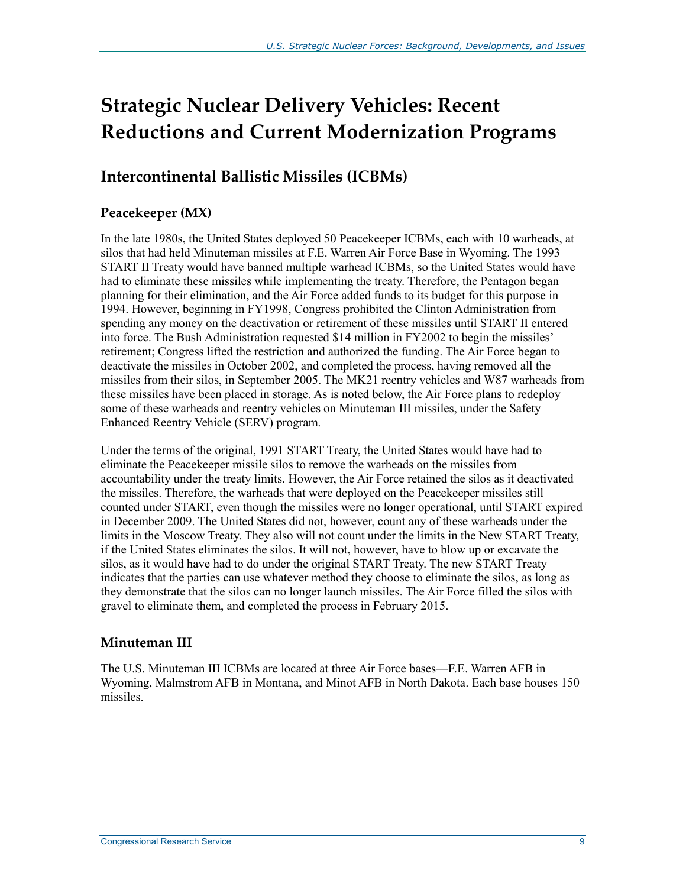## **Strategic Nuclear Delivery Vehicles: Recent Reductions and Current Modernization Programs**

## **Intercontinental Ballistic Missiles (ICBMs)**

#### **Peacekeeper (MX)**

In the late 1980s, the United States deployed 50 Peacekeeper ICBMs, each with 10 warheads, at silos that had held Minuteman missiles at F.E. Warren Air Force Base in Wyoming. The 1993 START II Treaty would have banned multiple warhead ICBMs, so the United States would have had to eliminate these missiles while implementing the treaty. Therefore, the Pentagon began planning for their elimination, and the Air Force added funds to its budget for this purpose in 1994. However, beginning in FY1998, Congress prohibited the Clinton Administration from spending any money on the deactivation or retirement of these missiles until START II entered into force. The Bush Administration requested \$14 million in FY2002 to begin the missiles' retirement; Congress lifted the restriction and authorized the funding. The Air Force began to deactivate the missiles in October 2002, and completed the process, having removed all the missiles from their silos, in September 2005. The MK21 reentry vehicles and W87 warheads from these missiles have been placed in storage. As is noted below, the Air Force plans to redeploy some of these warheads and reentry vehicles on Minuteman III missiles, under the Safety Enhanced Reentry Vehicle (SERV) program.

Under the terms of the original, 1991 START Treaty, the United States would have had to eliminate the Peacekeeper missile silos to remove the warheads on the missiles from accountability under the treaty limits. However, the Air Force retained the silos as it deactivated the missiles. Therefore, the warheads that were deployed on the Peacekeeper missiles still counted under START, even though the missiles were no longer operational, until START expired in December 2009. The United States did not, however, count any of these warheads under the limits in the Moscow Treaty. They also will not count under the limits in the New START Treaty, if the United States eliminates the silos. It will not, however, have to blow up or excavate the silos, as it would have had to do under the original START Treaty. The new START Treaty indicates that the parties can use whatever method they choose to eliminate the silos, as long as they demonstrate that the silos can no longer launch missiles. The Air Force filled the silos with gravel to eliminate them, and completed the process in February 2015.

#### **Minuteman III**

The U.S. Minuteman III ICBMs are located at three Air Force bases—F.E. Warren AFB in Wyoming, Malmstrom AFB in Montana, and Minot AFB in North Dakota. Each base houses 150 missiles.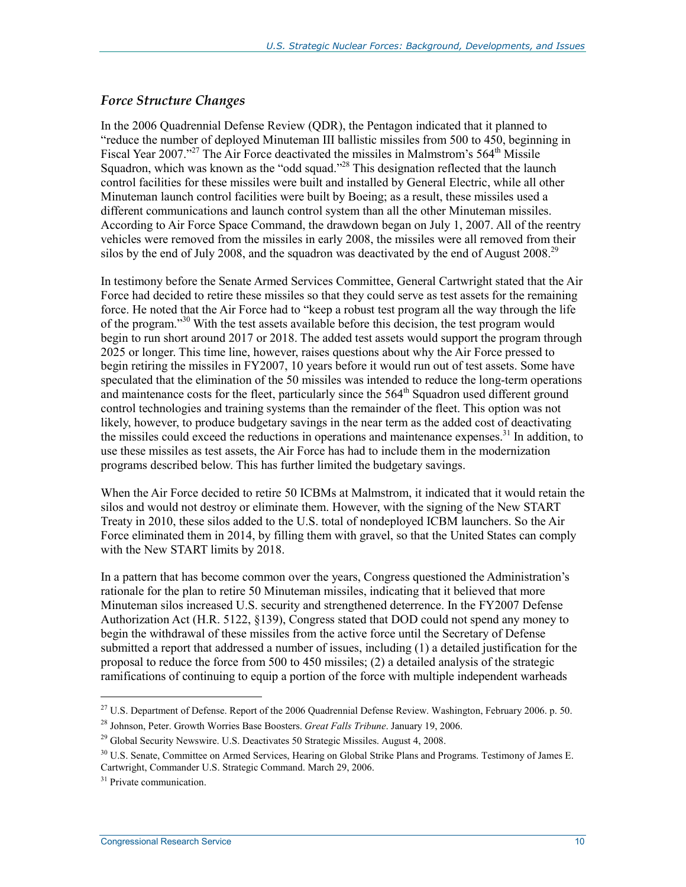#### *Force Structure Changes*

In the 2006 Quadrennial Defense Review (QDR), the Pentagon indicated that it planned to "reduce the number of deployed Minuteman III ballistic missiles from 500 to 450, beginning in Fiscal Year 2007."<sup>27</sup> The Air Force deactivated the missiles in Malmstrom's  $564^{\text{th}}$  Missile Squadron, which was known as the "odd squad."<sup>28</sup> This designation reflected that the launch control facilities for these missiles were built and installed by General Electric, while all other Minuteman launch control facilities were built by Boeing; as a result, these missiles used a different communications and launch control system than all the other Minuteman missiles. According to Air Force Space Command, the drawdown began on July 1, 2007. All of the reentry vehicles were removed from the missiles in early 2008, the missiles were all removed from their silos by the end of July 2008, and the squadron was deactivated by the end of August 2008.<sup>29</sup>

In testimony before the Senate Armed Services Committee, General Cartwright stated that the Air Force had decided to retire these missiles so that they could serve as test assets for the remaining force. He noted that the Air Force had to "keep a robust test program all the way through the life of the program."<sup>30</sup> With the test assets available before this decision, the test program would begin to run short around 2017 or 2018. The added test assets would support the program through 2025 or longer. This time line, however, raises questions about why the Air Force pressed to begin retiring the missiles in FY2007, 10 years before it would run out of test assets. Some have speculated that the elimination of the 50 missiles was intended to reduce the long-term operations and maintenance costs for the fleet, particularly since the  $564<sup>th</sup>$  Squadron used different ground control technologies and training systems than the remainder of the fleet. This option was not likely, however, to produce budgetary savings in the near term as the added cost of deactivating the missiles could exceed the reductions in operations and maintenance expenses.<sup>31</sup> In addition, to use these missiles as test assets, the Air Force has had to include them in the modernization programs described below. This has further limited the budgetary savings.

When the Air Force decided to retire 50 ICBMs at Malmstrom, it indicated that it would retain the silos and would not destroy or eliminate them. However, with the signing of the New START Treaty in 2010, these silos added to the U.S. total of nondeployed ICBM launchers. So the Air Force eliminated them in 2014, by filling them with gravel, so that the United States can comply with the New START limits by 2018.

In a pattern that has become common over the years, Congress questioned the Administration's rationale for the plan to retire 50 Minuteman missiles, indicating that it believed that more Minuteman silos increased U.S. security and strengthened deterrence. In the FY2007 Defense Authorization Act (H.R. 5122, §139), Congress stated that DOD could not spend any money to begin the withdrawal of these missiles from the active force until the Secretary of Defense submitted a report that addressed a number of issues, including (1) a detailed justification for the proposal to reduce the force from 500 to 450 missiles; (2) a detailed analysis of the strategic ramifications of continuing to equip a portion of the force with multiple independent warheads

<sup>&</sup>lt;sup>27</sup> U.S. Department of Defense. Report of the 2006 Quadrennial Defense Review. Washington, February 2006. p. 50.

<sup>28</sup> Johnson, Peter. Growth Worries Base Boosters. *Great Falls Tribune*. January 19, 2006.

<sup>&</sup>lt;sup>29</sup> Global Security Newswire. U.S. Deactivates 50 Strategic Missiles. August 4, 2008.

<sup>&</sup>lt;sup>30</sup> U.S. Senate, Committee on Armed Services, Hearing on Global Strike Plans and Programs. Testimony of James E. Cartwright, Commander U.S. Strategic Command. March 29, 2006.

<sup>&</sup>lt;sup>31</sup> Private communication.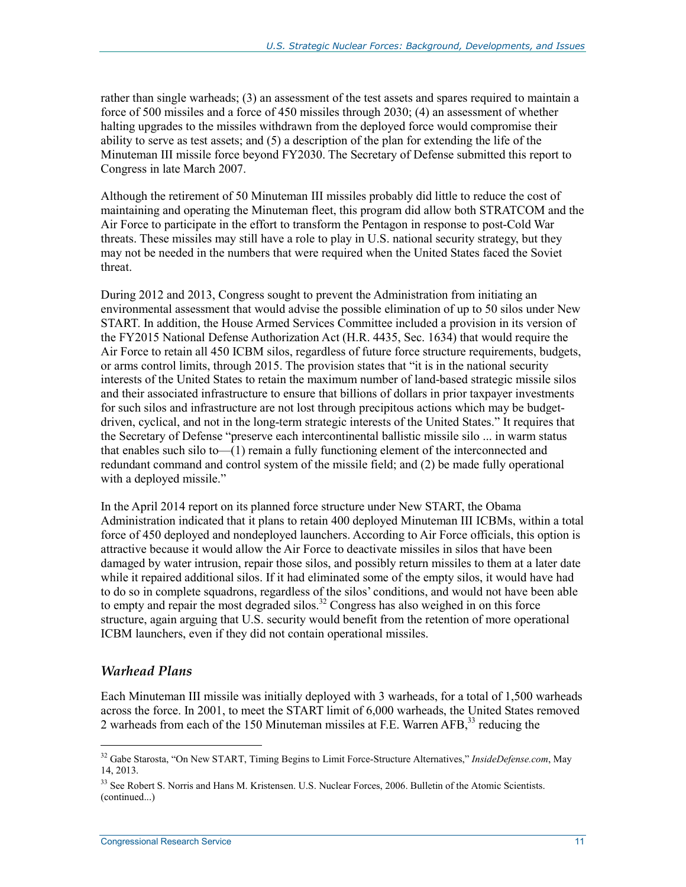rather than single warheads; (3) an assessment of the test assets and spares required to maintain a force of 500 missiles and a force of 450 missiles through 2030; (4) an assessment of whether halting upgrades to the missiles withdrawn from the deployed force would compromise their ability to serve as test assets; and (5) a description of the plan for extending the life of the Minuteman III missile force beyond FY2030. The Secretary of Defense submitted this report to Congress in late March 2007.

Although the retirement of 50 Minuteman III missiles probably did little to reduce the cost of maintaining and operating the Minuteman fleet, this program did allow both STRATCOM and the Air Force to participate in the effort to transform the Pentagon in response to post-Cold War threats. These missiles may still have a role to play in U.S. national security strategy, but they may not be needed in the numbers that were required when the United States faced the Soviet threat.

During 2012 and 2013, Congress sought to prevent the Administration from initiating an environmental assessment that would advise the possible elimination of up to 50 silos under New START. In addition, the House Armed Services Committee included a provision in its version of the FY2015 National Defense Authorization Act (H.R. 4435, Sec. 1634) that would require the Air Force to retain all 450 ICBM silos, regardless of future force structure requirements, budgets, or arms control limits, through 2015. The provision states that "it is in the national security interests of the United States to retain the maximum number of land-based strategic missile silos and their associated infrastructure to ensure that billions of dollars in prior taxpayer investments for such silos and infrastructure are not lost through precipitous actions which may be budgetdriven, cyclical, and not in the long-term strategic interests of the United States." It requires that the Secretary of Defense "preserve each intercontinental ballistic missile silo ... in warm status that enables such silo to—(1) remain a fully functioning element of the interconnected and redundant command and control system of the missile field; and (2) be made fully operational with a deployed missile."

In the April 2014 report on its planned force structure under New START, the Obama Administration indicated that it plans to retain 400 deployed Minuteman III ICBMs, within a total force of 450 deployed and nondeployed launchers. According to Air Force officials, this option is attractive because it would allow the Air Force to deactivate missiles in silos that have been damaged by water intrusion, repair those silos, and possibly return missiles to them at a later date while it repaired additional silos. If it had eliminated some of the empty silos, it would have had to do so in complete squadrons, regardless of the silos' conditions, and would not have been able to empty and repair the most degraded silos.<sup>32</sup> Congress has also weighed in on this force structure, again arguing that U.S. security would benefit from the retention of more operational ICBM launchers, even if they did not contain operational missiles.

#### *Warhead Plans*

1

Each Minuteman III missile was initially deployed with 3 warheads, for a total of 1,500 warheads across the force. In 2001, to meet the START limit of 6,000 warheads, the United States removed 2 warheads from each of the 150 Minuteman missiles at F.E. Warren AFB,<sup>33</sup> reducing the

<sup>32</sup> Gabe Starosta, "On New START, Timing Begins to Limit Force-Structure Alternatives," *InsideDefense.com*, May 14, 2013.

<sup>&</sup>lt;sup>33</sup> See Robert S. Norris and Hans M. Kristensen. U.S. Nuclear Forces, 2006. Bulletin of the Atomic Scientists. (continued...)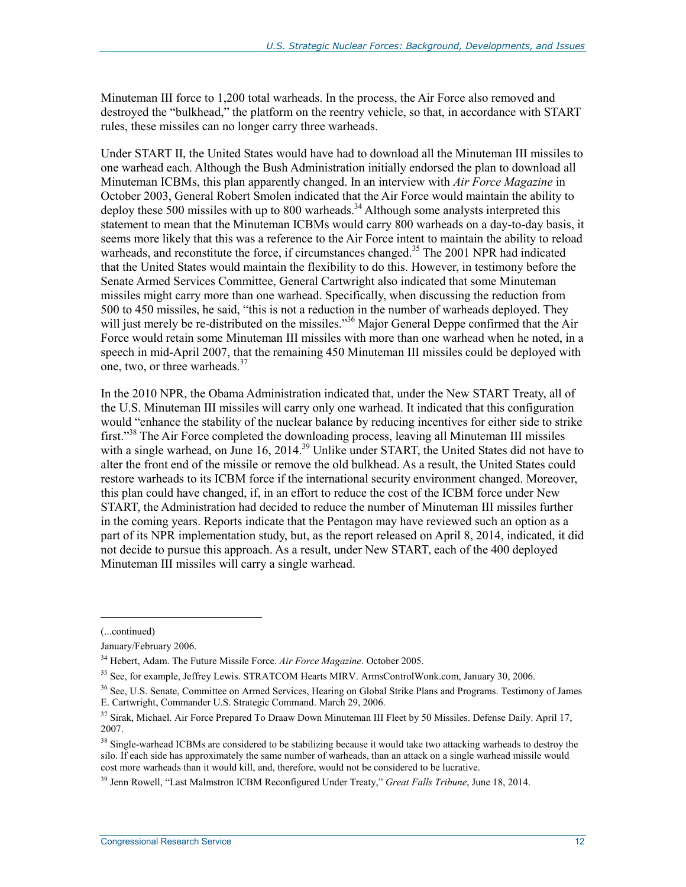Minuteman III force to 1,200 total warheads. In the process, the Air Force also removed and destroyed the "bulkhead," the platform on the reentry vehicle, so that, in accordance with START rules, these missiles can no longer carry three warheads.

Under START II, the United States would have had to download all the Minuteman III missiles to one warhead each. Although the Bush Administration initially endorsed the plan to download all Minuteman ICBMs, this plan apparently changed. In an interview with *Air Force Magazine* in October 2003, General Robert Smolen indicated that the Air Force would maintain the ability to deploy these 500 missiles with up to 800 warheads.<sup>34</sup> Although some analysts interpreted this statement to mean that the Minuteman ICBMs would carry 800 warheads on a day-to-day basis, it seems more likely that this was a reference to the Air Force intent to maintain the ability to reload warheads, and reconstitute the force, if circumstances changed.<sup>35</sup> The 2001 NPR had indicated that the United States would maintain the flexibility to do this. However, in testimony before the Senate Armed Services Committee, General Cartwright also indicated that some Minuteman missiles might carry more than one warhead. Specifically, when discussing the reduction from 500 to 450 missiles, he said, "this is not a reduction in the number of warheads deployed. They will just merely be re-distributed on the missiles."<sup>36</sup> Major General Deppe confirmed that the Air Force would retain some Minuteman III missiles with more than one warhead when he noted, in a speech in mid-April 2007, that the remaining 450 Minuteman III missiles could be deployed with one, two, or three warheads.<sup>37</sup>

In the 2010 NPR, the Obama Administration indicated that, under the New START Treaty, all of the U.S. Minuteman III missiles will carry only one warhead. It indicated that this configuration would "enhance the stability of the nuclear balance by reducing incentives for either side to strike first."<sup>38</sup> The Air Force completed the downloading process, leaving all Minuteman III missiles with a single warhead, on June 16, 2014.<sup>39</sup> Unlike under START, the United States did not have to alter the front end of the missile or remove the old bulkhead. As a result, the United States could restore warheads to its ICBM force if the international security environment changed. Moreover, this plan could have changed, if, in an effort to reduce the cost of the ICBM force under New START, the Administration had decided to reduce the number of Minuteman III missiles further in the coming years. Reports indicate that the Pentagon may have reviewed such an option as a part of its NPR implementation study, but, as the report released on April 8, 2014, indicated, it did not decide to pursue this approach. As a result, under New START, each of the 400 deployed Minuteman III missiles will carry a single warhead.

<sup>(...</sup>continued)

January/February 2006.

<sup>34</sup> Hebert, Adam. The Future Missile Force. *Air Force Magazine*. October 2005.

<sup>&</sup>lt;sup>35</sup> See, for example, Jeffrey Lewis. STRATCOM Hearts MIRV. ArmsControlWonk.com, January 30, 2006.

<sup>&</sup>lt;sup>36</sup> See, U.S. Senate, Committee on Armed Services, Hearing on Global Strike Plans and Programs. Testimony of James E. Cartwright, Commander U.S. Strategic Command. March 29, 2006.

<sup>&</sup>lt;sup>37</sup> Sirak, Michael. Air Force Prepared To Draaw Down Minuteman III Fleet by 50 Missiles. Defense Daily. April 17, 2007.

<sup>&</sup>lt;sup>38</sup> Single-warhead ICBMs are considered to be stabilizing because it would take two attacking warheads to destroy the silo. If each side has approximately the same number of warheads, than an attack on a single warhead missile would cost more warheads than it would kill, and, therefore, would not be considered to be lucrative.

<sup>39</sup> Jenn Rowell, "Last Malmstron ICBM Reconfigured Under Treaty," *Great Falls Tribune*, June 18, 2014.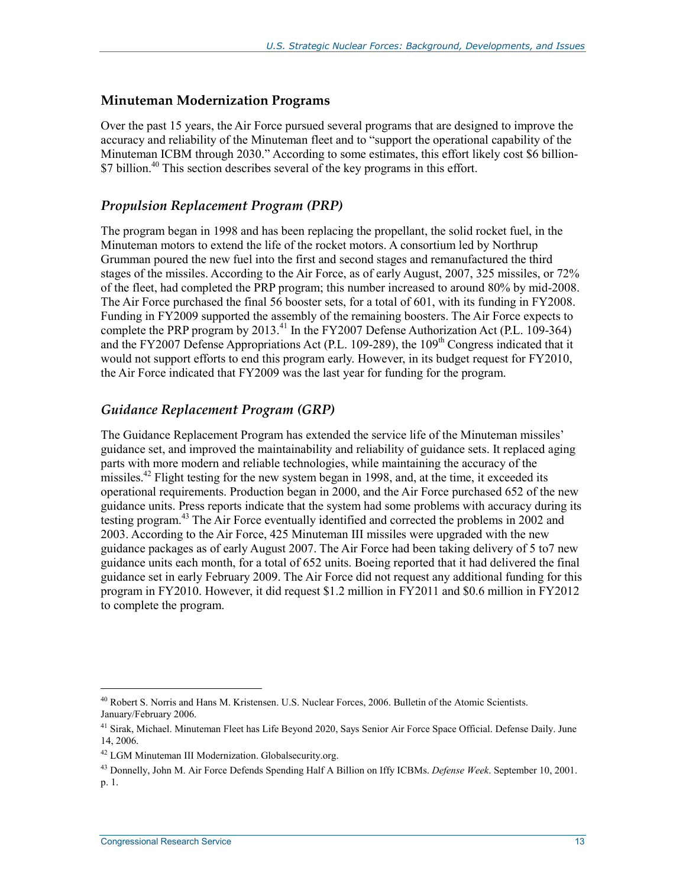#### **Minuteman Modernization Programs**

Over the past 15 years, the Air Force pursued several programs that are designed to improve the accuracy and reliability of the Minuteman fleet and to "support the operational capability of the Minuteman ICBM through 2030." According to some estimates, this effort likely cost \$6 billion-  $$7$  billion.<sup>40</sup> This section describes several of the key programs in this effort.

#### *Propulsion Replacement Program (PRP)*

The program began in 1998 and has been replacing the propellant, the solid rocket fuel, in the Minuteman motors to extend the life of the rocket motors. A consortium led by Northrup Grumman poured the new fuel into the first and second stages and remanufactured the third stages of the missiles. According to the Air Force, as of early August, 2007, 325 missiles, or 72% of the fleet, had completed the PRP program; this number increased to around 80% by mid-2008. The Air Force purchased the final 56 booster sets, for a total of 601, with its funding in FY2008. Funding in FY2009 supported the assembly of the remaining boosters. The Air Force expects to complete the PRP program by 2013.<sup>41</sup> In the FY2007 Defense Authorization Act (P.L. 109-364) and the FY2007 Defense Appropriations Act (P.L. 109-289), the  $109<sup>th</sup>$  Congress indicated that it would not support efforts to end this program early. However, in its budget request for FY2010, the Air Force indicated that FY2009 was the last year for funding for the program.

#### *Guidance Replacement Program (GRP)*

The Guidance Replacement Program has extended the service life of the Minuteman missiles' guidance set, and improved the maintainability and reliability of guidance sets. It replaced aging parts with more modern and reliable technologies, while maintaining the accuracy of the missiles.<sup>42</sup> Flight testing for the new system began in 1998, and, at the time, it exceeded its operational requirements. Production began in 2000, and the Air Force purchased 652 of the new guidance units. Press reports indicate that the system had some problems with accuracy during its testing program.<sup>43</sup> The Air Force eventually identified and corrected the problems in 2002 and 2003. According to the Air Force, 425 Minuteman III missiles were upgraded with the new guidance packages as of early August 2007. The Air Force had been taking delivery of 5 to7 new guidance units each month, for a total of 652 units. Boeing reported that it had delivered the final guidance set in early February 2009. The Air Force did not request any additional funding for this program in FY2010. However, it did request \$1.2 million in FY2011 and \$0.6 million in FY2012 to complete the program.

<sup>&</sup>lt;sup>40</sup> Robert S. Norris and Hans M. Kristensen. U.S. Nuclear Forces, 2006. Bulletin of the Atomic Scientists. January/February 2006.

<sup>&</sup>lt;sup>41</sup> Sirak, Michael. Minuteman Fleet has Life Beyond 2020, Says Senior Air Force Space Official. Defense Daily. June 14, 2006.

<sup>42</sup> LGM Minuteman III Modernization. Globalsecurity.org.

<sup>43</sup> Donnelly, John M. Air Force Defends Spending Half A Billion on Iffy ICBMs. *Defense Week*. September 10, 2001. p. 1.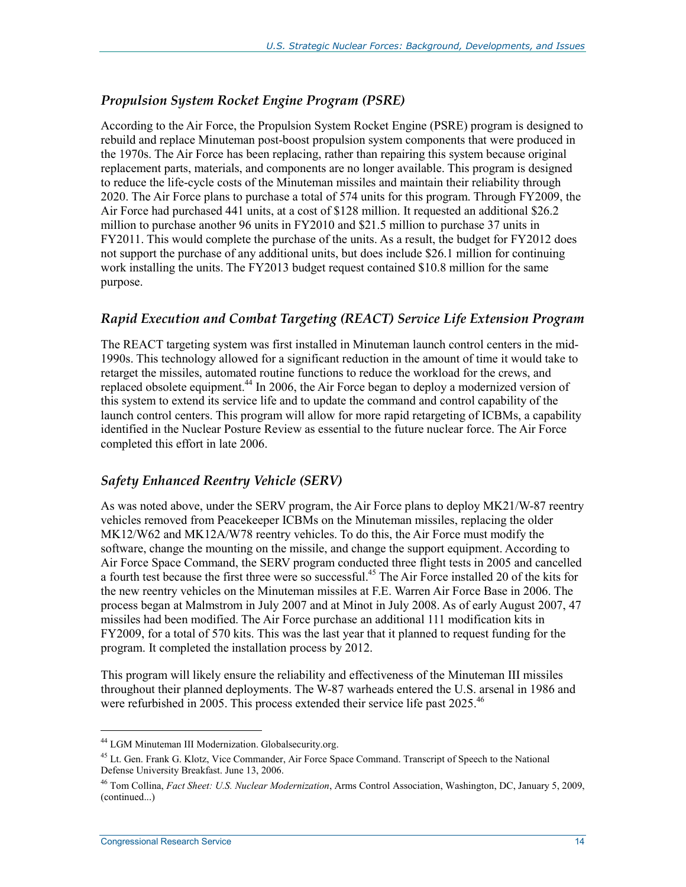#### *Propulsion System Rocket Engine Program (PSRE)*

According to the Air Force, the Propulsion System Rocket Engine (PSRE) program is designed to rebuild and replace Minuteman post-boost propulsion system components that were produced in the 1970s. The Air Force has been replacing, rather than repairing this system because original replacement parts, materials, and components are no longer available. This program is designed to reduce the life-cycle costs of the Minuteman missiles and maintain their reliability through 2020. The Air Force plans to purchase a total of 574 units for this program. Through FY2009, the Air Force had purchased 441 units, at a cost of \$128 million. It requested an additional \$26.2 million to purchase another 96 units in FY2010 and \$21.5 million to purchase 37 units in FY2011. This would complete the purchase of the units. As a result, the budget for FY2012 does not support the purchase of any additional units, but does include \$26.1 million for continuing work installing the units. The FY2013 budget request contained \$10.8 million for the same purpose.

#### *Rapid Execution and Combat Targeting (REACT) Service Life Extension Program*

The REACT targeting system was first installed in Minuteman launch control centers in the mid-1990s. This technology allowed for a significant reduction in the amount of time it would take to retarget the missiles, automated routine functions to reduce the workload for the crews, and replaced obsolete equipment.<sup>44</sup> In 2006, the Air Force began to deploy a modernized version of this system to extend its service life and to update the command and control capability of the launch control centers. This program will allow for more rapid retargeting of ICBMs, a capability identified in the Nuclear Posture Review as essential to the future nuclear force. The Air Force completed this effort in late 2006.

#### *Safety Enhanced Reentry Vehicle (SERV)*

As was noted above, under the SERV program, the Air Force plans to deploy MK21/W-87 reentry vehicles removed from Peacekeeper ICBMs on the Minuteman missiles, replacing the older MK12/W62 and MK12A/W78 reentry vehicles. To do this, the Air Force must modify the software, change the mounting on the missile, and change the support equipment. According to Air Force Space Command, the SERV program conducted three flight tests in 2005 and cancelled a fourth test because the first three were so successful.<sup>45</sup> The Air Force installed 20 of the kits for the new reentry vehicles on the Minuteman missiles at F.E. Warren Air Force Base in 2006. The process began at Malmstrom in July 2007 and at Minot in July 2008. As of early August 2007, 47 missiles had been modified. The Air Force purchase an additional 111 modification kits in FY2009, for a total of 570 kits. This was the last year that it planned to request funding for the program. It completed the installation process by 2012.

This program will likely ensure the reliability and effectiveness of the Minuteman III missiles throughout their planned deployments. The W-87 warheads entered the U.S. arsenal in 1986 and were refurbished in 2005. This process extended their service life past 2025.<sup>46</sup>

<sup>44</sup> LGM Minuteman III Modernization. Globalsecurity.org.

<sup>&</sup>lt;sup>45</sup> Lt. Gen. Frank G. Klotz, Vice Commander, Air Force Space Command. Transcript of Speech to the National Defense University Breakfast. June 13, 2006.

<sup>46</sup> Tom Collina, *Fact Sheet: U.S. Nuclear Modernization*, Arms Control Association, Washington, DC, January 5, 2009, (continued...)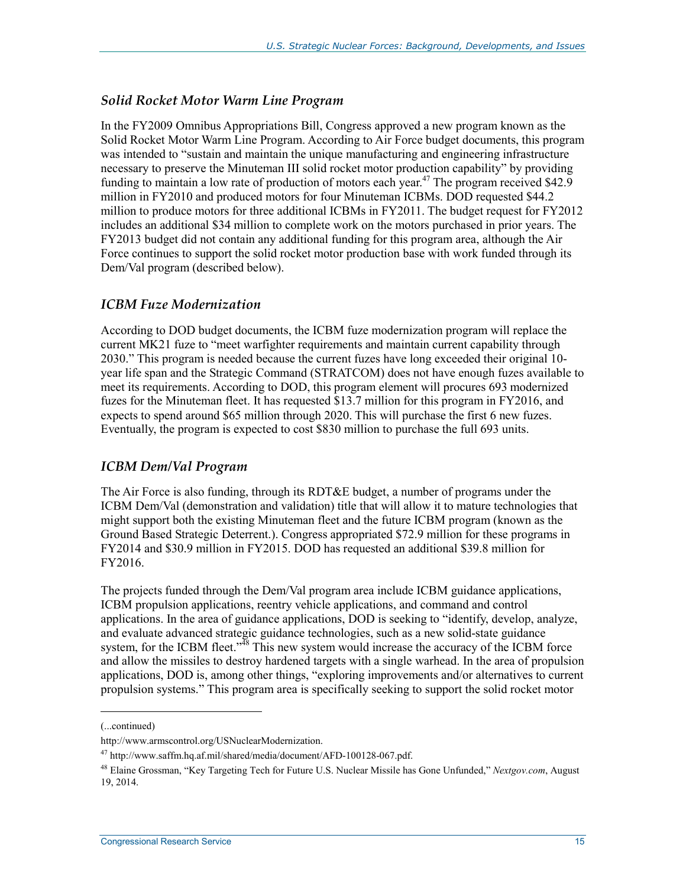#### *Solid Rocket Motor Warm Line Program*

In the FY2009 Omnibus Appropriations Bill, Congress approved a new program known as the Solid Rocket Motor Warm Line Program. According to Air Force budget documents, this program was intended to "sustain and maintain the unique manufacturing and engineering infrastructure necessary to preserve the Minuteman III solid rocket motor production capability" by providing funding to maintain a low rate of production of motors each year.<sup>47</sup> The program received \$42.9 million in FY2010 and produced motors for four Minuteman ICBMs. DOD requested \$44.2 million to produce motors for three additional ICBMs in FY2011. The budget request for FY2012 includes an additional \$34 million to complete work on the motors purchased in prior years. The FY2013 budget did not contain any additional funding for this program area, although the Air Force continues to support the solid rocket motor production base with work funded through its Dem/Val program (described below).

#### *ICBM Fuze Modernization*

According to DOD budget documents, the ICBM fuze modernization program will replace the current MK21 fuze to "meet warfighter requirements and maintain current capability through 2030." This program is needed because the current fuzes have long exceeded their original 10 year life span and the Strategic Command (STRATCOM) does not have enough fuzes available to meet its requirements. According to DOD, this program element will procures 693 modernized fuzes for the Minuteman fleet. It has requested \$13.7 million for this program in FY2016, and expects to spend around \$65 million through 2020. This will purchase the first 6 new fuzes. Eventually, the program is expected to cost \$830 million to purchase the full 693 units.

#### *ICBM Dem/Val Program*

The Air Force is also funding, through its RDT&E budget, a number of programs under the ICBM Dem/Val (demonstration and validation) title that will allow it to mature technologies that might support both the existing Minuteman fleet and the future ICBM program (known as the Ground Based Strategic Deterrent.). Congress appropriated \$72.9 million for these programs in FY2014 and \$30.9 million in FY2015. DOD has requested an additional \$39.8 million for FY2016.

The projects funded through the Dem/Val program area include ICBM guidance applications, ICBM propulsion applications, reentry vehicle applications, and command and control applications. In the area of guidance applications, DOD is seeking to "identify, develop, analyze, and evaluate advanced strategic guidance technologies, such as a new solid-state guidance system, for the ICBM fleet." $\frac{3}{48}$  This new system would increase the accuracy of the ICBM force and allow the missiles to destroy hardened targets with a single warhead. In the area of propulsion applications, DOD is, among other things, "exploring improvements and/or alternatives to current propulsion systems." This program area is specifically seeking to support the solid rocket motor

<sup>(...</sup>continued)

http://www.armscontrol.org/USNuclearModernization.

<sup>47</sup> http://www.saffm.hq.af.mil/shared/media/document/AFD-100128-067.pdf.

<sup>48</sup> Elaine Grossman, "Key Targeting Tech for Future U.S. Nuclear Missile has Gone Unfunded," *Nextgov.com*, August 19, 2014.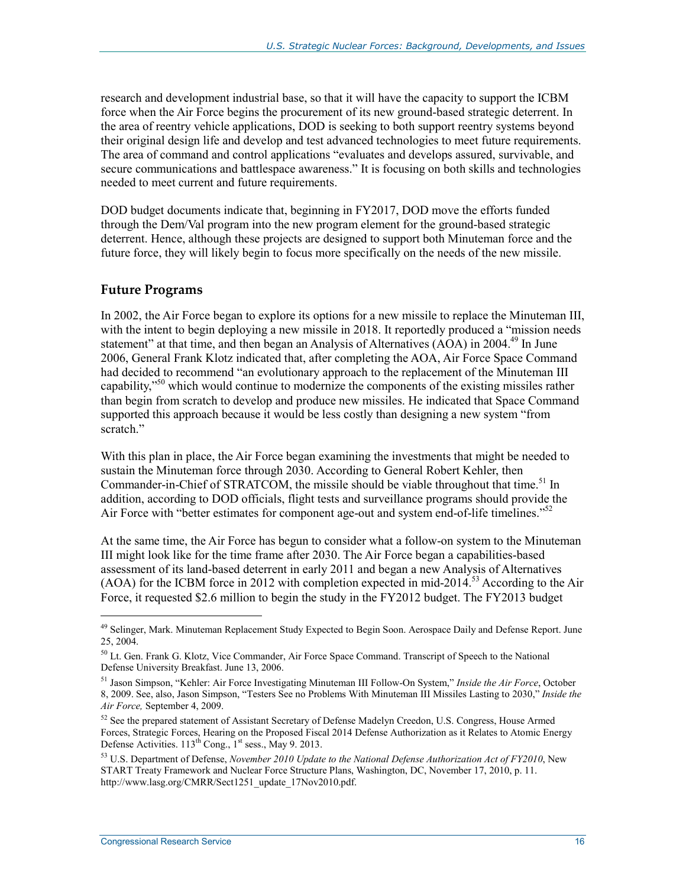research and development industrial base, so that it will have the capacity to support the ICBM force when the Air Force begins the procurement of its new ground-based strategic deterrent. In the area of reentry vehicle applications, DOD is seeking to both support reentry systems beyond their original design life and develop and test advanced technologies to meet future requirements. The area of command and control applications "evaluates and develops assured, survivable, and secure communications and battlespace awareness." It is focusing on both skills and technologies needed to meet current and future requirements.

DOD budget documents indicate that, beginning in FY2017, DOD move the efforts funded through the Dem/Val program into the new program element for the ground-based strategic deterrent. Hence, although these projects are designed to support both Minuteman force and the future force, they will likely begin to focus more specifically on the needs of the new missile.

#### **Future Programs**

In 2002, the Air Force began to explore its options for a new missile to replace the Minuteman III, with the intent to begin deploying a new missile in 2018. It reportedly produced a "mission needs" statement" at that time, and then began an Analysis of Alternatives  $(A\ddot{O}A)$  in 2004.<sup>49</sup> In June 2006, General Frank Klotz indicated that, after completing the AOA, Air Force Space Command had decided to recommend "an evolutionary approach to the replacement of the Minuteman III capability,<sup>"50</sup> which would continue to modernize the components of the existing missiles rather than begin from scratch to develop and produce new missiles. He indicated that Space Command supported this approach because it would be less costly than designing a new system "from scratch."

With this plan in place, the Air Force began examining the investments that might be needed to sustain the Minuteman force through 2030. According to General Robert Kehler, then Commander-in-Chief of STRATCOM, the missile should be viable throughout that time.<sup>51</sup> In addition, according to DOD officials, flight tests and surveillance programs should provide the Air Force with "better estimates for component age-out and system end-of-life timelines."<sup>52</sup>

At the same time, the Air Force has begun to consider what a follow-on system to the Minuteman III might look like for the time frame after 2030. The Air Force began a capabilities-based assessment of its land-based deterrent in early 2011 and began a new Analysis of Alternatives (AOA) for the ICBM force in 2012 with completion expected in mid-2014.<sup>53</sup> According to the Air Force, it requested \$2.6 million to begin the study in the FY2012 budget. The FY2013 budget

<sup>&</sup>lt;sup>49</sup> Selinger, Mark. Minuteman Replacement Study Expected to Begin Soon. Aerospace Daily and Defense Report. June 25, 2004.

<sup>&</sup>lt;sup>50</sup> Lt. Gen. Frank G. Klotz, Vice Commander, Air Force Space Command. Transcript of Speech to the National Defense University Breakfast. June 13, 2006.

<sup>51</sup> Jason Simpson, "Kehler: Air Force Investigating Minuteman III Follow-On System," *Inside the Air Force*, October 8, 2009. See, also, Jason Simpson, "Testers See no Problems With Minuteman III Missiles Lasting to 2030," *Inside the Air Force,* September 4, 2009.

<sup>&</sup>lt;sup>52</sup> See the prepared statement of Assistant Secretary of Defense Madelyn Creedon, U.S. Congress, House Armed Forces, Strategic Forces, Hearing on the Proposed Fiscal 2014 Defense Authorization as it Relates to Atomic Energy Defense Activities.  $113^{th}$  Cong.,  $1^{st}$  sess., May 9. 2013.

<sup>53</sup> U.S. Department of Defense, *November 2010 Update to the National Defense Authorization Act of FY2010*, New START Treaty Framework and Nuclear Force Structure Plans, Washington, DC, November 17, 2010, p. 11. http://www.lasg.org/CMRR/Sect1251\_update\_17Nov2010.pdf.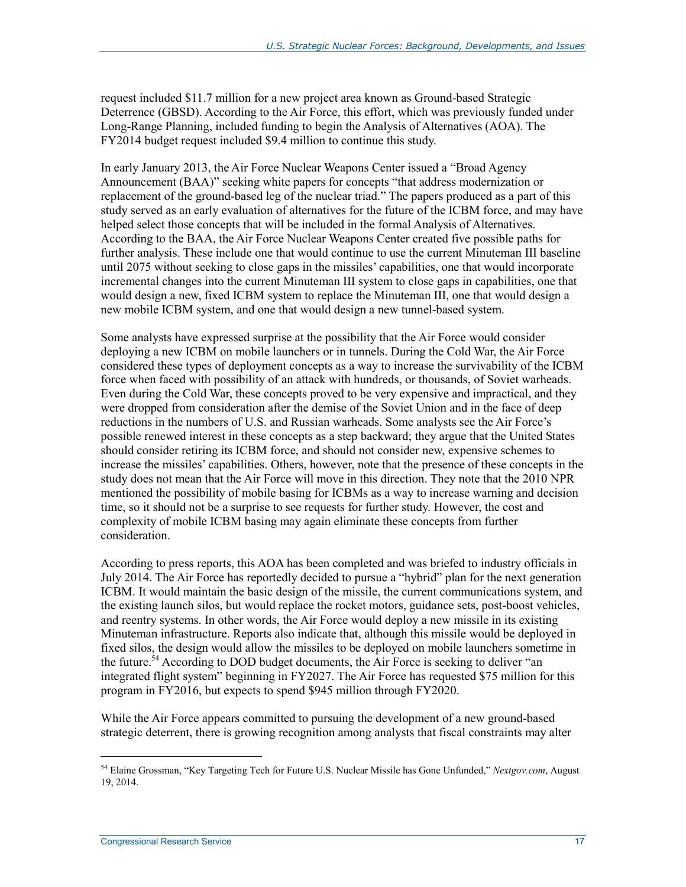request included \$11.7 million for a new project area known as Ground-based Strategic Deterrence (GBSD). According to the Air Force, this effort, which was previously funded under Long-Range Planning, included funding to begin the Analysis of Alternatives (AOA). The FY2014 budget request included \$9.4 million to continue this study.

In early January 2013, the Air Force Nuclear Weapons Center issued a "Broad Agency Announcement (BAA)" seeking white papers for concepts "that address modernization or replacement of the ground-based leg of the nuclear triad." The papers produced as a part of this study served as an early evaluation of alternatives for the future of the ICBM force, and may have helped select those concepts that will be included in the formal Analysis of Alternatives. According to the BAA, the Air Force Nuclear Weapons Center created five possible paths for further analysis. These include one that would continue to use the current Minuteman III baseline until 2075 without seeking to close gaps in the missiles' capabilities, one that would incorporate incremental changes into the current Minuteman III system to close gaps in capabilities, one that would design a new, fixed ICBM system to replace the Minuteman III, one that would design a new mobile ICBM system, and one that would design a new tunnel-based system.

Some analysts have expressed surprise at the possibility that the Air Force would consider deploying a new ICBM on mobile launchers or in tunnels. During the Cold War, the Air Force considered these types of deployment concepts as a way to increase the survivability of the ICBM force when faced with possibility of an attack with hundreds, or thousands, of Soviet warheads. Even during the Cold War, these concepts proved to be very expensive and impractical, and they were dropped from consideration after the demise of the Soviet Union and in the face of deep reductions in the numbers of U.S. and Russian warheads. Some analysts see the Air Force's possible renewed interest in these concepts as a step backward; they argue that the United States should consider retiring its ICBM force, and should not consider new, expensive schemes to increase the missiles' capabilities. Others, however, note that the presence of these concepts in the study does not mean that the Air Force will move in this direction. They note that the 2010 NPR mentioned the possibility of mobile basing for ICBMs as a way to increase warning and decision time, so it should not be a surprise to see requests for further study. However, the cost and complexity of mobile ICBM basing may again eliminate these concepts from further consideration.

According to press reports, this AOA has been completed and was briefed to industry officials in July 2014. The Air Force has reportedly decided to pursue a "hybrid" plan for the next generation ICBM. It would maintain the basic design of the missile, the current communications system, and the existing launch silos, but would replace the rocket motors, guidance sets, post-boost vehicles, and reentry systems. In other words, the Air Force would deploy a new missile in its existing Minuteman infrastructure. Reports also indicate that, although this missile would be deployed in fixed silos, the design would allow the missiles to be deployed on mobile launchers sometime in the future.<sup>54</sup> According to DOD budget documents, the Air Force is seeking to deliver "an integrated flight system" beginning in FY2027. The Air Force has requested \$75 million for this program in FY2016, but expects to spend \$945 million through FY2020.

While the Air Force appears committed to pursuing the development of a new ground-based strategic deterrent, there is growing recognition among analysts that fiscal constraints may alter

<sup>54</sup> Elaine Grossman, "Key Targeting Tech for Future U.S. Nuclear Missile has Gone Unfunded," *Nextgov.com*, August 19, 2014.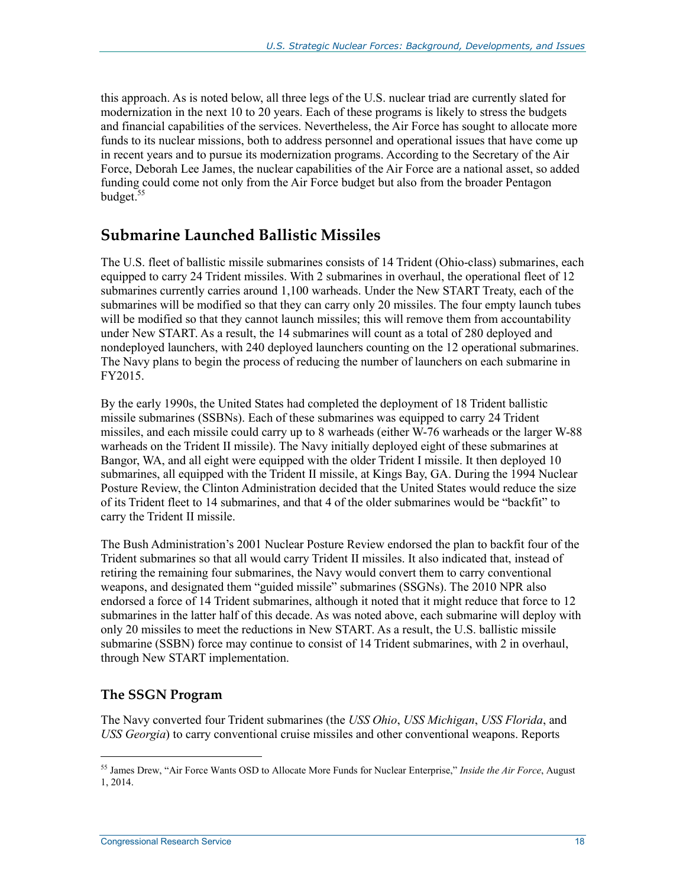this approach. As is noted below, all three legs of the U.S. nuclear triad are currently slated for modernization in the next 10 to 20 years. Each of these programs is likely to stress the budgets and financial capabilities of the services. Nevertheless, the Air Force has sought to allocate more funds to its nuclear missions, both to address personnel and operational issues that have come up in recent years and to pursue its modernization programs. According to the Secretary of the Air Force, Deborah Lee James, the nuclear capabilities of the Air Force are a national asset, so added funding could come not only from the Air Force budget but also from the broader Pentagon budget.<sup>55</sup>

### **Submarine Launched Ballistic Missiles**

The U.S. fleet of ballistic missile submarines consists of 14 Trident (Ohio-class) submarines, each equipped to carry 24 Trident missiles. With 2 submarines in overhaul, the operational fleet of 12 submarines currently carries around 1,100 warheads. Under the New START Treaty, each of the submarines will be modified so that they can carry only 20 missiles. The four empty launch tubes will be modified so that they cannot launch missiles; this will remove them from accountability under New START. As a result, the 14 submarines will count as a total of 280 deployed and nondeployed launchers, with 240 deployed launchers counting on the 12 operational submarines. The Navy plans to begin the process of reducing the number of launchers on each submarine in FY2015.

By the early 1990s, the United States had completed the deployment of 18 Trident ballistic missile submarines (SSBNs). Each of these submarines was equipped to carry 24 Trident missiles, and each missile could carry up to 8 warheads (either W-76 warheads or the larger W-88 warheads on the Trident II missile). The Navy initially deployed eight of these submarines at Bangor, WA, and all eight were equipped with the older Trident I missile. It then deployed 10 submarines, all equipped with the Trident II missile, at Kings Bay, GA. During the 1994 Nuclear Posture Review, the Clinton Administration decided that the United States would reduce the size of its Trident fleet to 14 submarines, and that 4 of the older submarines would be "backfit" to carry the Trident II missile.

The Bush Administration's 2001 Nuclear Posture Review endorsed the plan to backfit four of the Trident submarines so that all would carry Trident II missiles. It also indicated that, instead of retiring the remaining four submarines, the Navy would convert them to carry conventional weapons, and designated them "guided missile" submarines (SSGNs). The 2010 NPR also endorsed a force of 14 Trident submarines, although it noted that it might reduce that force to 12 submarines in the latter half of this decade. As was noted above, each submarine will deploy with only 20 missiles to meet the reductions in New START. As a result, the U.S. ballistic missile submarine (SSBN) force may continue to consist of 14 Trident submarines, with 2 in overhaul, through New START implementation.

#### **The SSGN Program**

1

The Navy converted four Trident submarines (the *USS Ohio*, *USS Michigan*, *USS Florida*, and *USS Georgia*) to carry conventional cruise missiles and other conventional weapons. Reports

<sup>55</sup> James Drew, "Air Force Wants OSD to Allocate More Funds for Nuclear Enterprise," *Inside the Air Force*, August 1, 2014.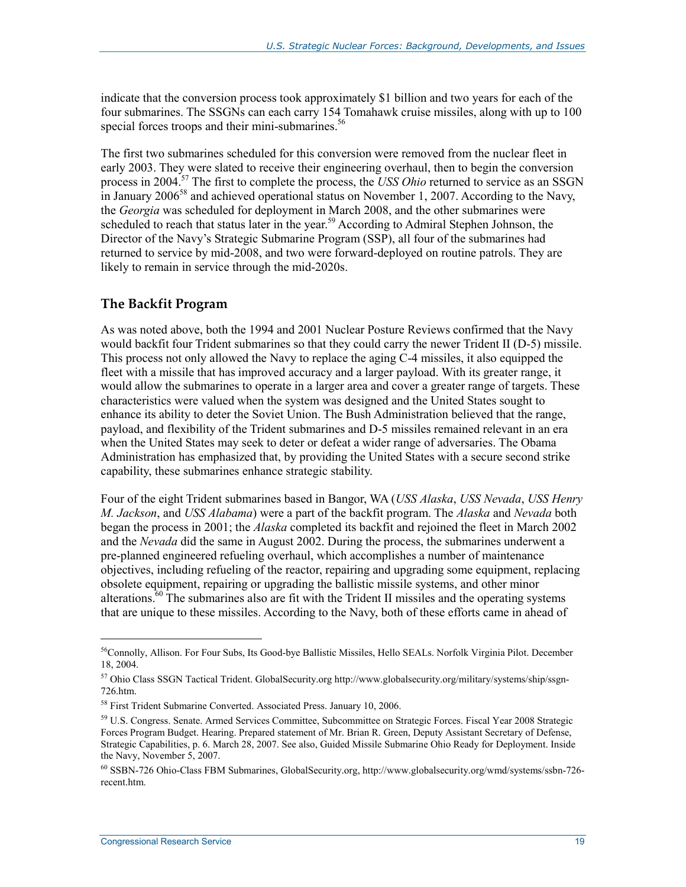indicate that the conversion process took approximately \$1 billion and two years for each of the four submarines. The SSGNs can each carry 154 Tomahawk cruise missiles, along with up to 100 special forces troops and their mini-submarines.<sup>56</sup>

The first two submarines scheduled for this conversion were removed from the nuclear fleet in early 2003. They were slated to receive their engineering overhaul, then to begin the conversion process in 2004.57 The first to complete the process, the *USS Ohio* returned to service as an SSGN in January 2006<sup>58</sup> and achieved operational status on November 1, 2007. According to the Navy, the *Georgia* was scheduled for deployment in March 2008, and the other submarines were scheduled to reach that status later in the year.<sup>59</sup> According to Admiral Stephen Johnson, the Director of the Navy's Strategic Submarine Program (SSP), all four of the submarines had returned to service by mid-2008, and two were forward-deployed on routine patrols. They are likely to remain in service through the mid-2020s.

#### **The Backfit Program**

As was noted above, both the 1994 and 2001 Nuclear Posture Reviews confirmed that the Navy would backfit four Trident submarines so that they could carry the newer Trident II (D-5) missile. This process not only allowed the Navy to replace the aging C-4 missiles, it also equipped the fleet with a missile that has improved accuracy and a larger payload. With its greater range, it would allow the submarines to operate in a larger area and cover a greater range of targets. These characteristics were valued when the system was designed and the United States sought to enhance its ability to deter the Soviet Union. The Bush Administration believed that the range, payload, and flexibility of the Trident submarines and D-5 missiles remained relevant in an era when the United States may seek to deter or defeat a wider range of adversaries. The Obama Administration has emphasized that, by providing the United States with a secure second strike capability, these submarines enhance strategic stability.

Four of the eight Trident submarines based in Bangor, WA (*USS Alaska*, *USS Nevada*, *USS Henry M. Jackson*, and *USS Alabama*) were a part of the backfit program. The *Alaska* and *Nevada* both began the process in 2001; the *Alaska* completed its backfit and rejoined the fleet in March 2002 and the *Nevada* did the same in August 2002. During the process, the submarines underwent a pre-planned engineered refueling overhaul, which accomplishes a number of maintenance objectives, including refueling of the reactor, repairing and upgrading some equipment, replacing obsolete equipment, repairing or upgrading the ballistic missile systems, and other minor alterations. $60$  The submarines also are fit with the Trident II missiles and the operating systems that are unique to these missiles. According to the Navy, both of these efforts came in ahead of

<sup>&</sup>lt;sup>56</sup>Connolly, Allison. For Four Subs, Its Good-bye Ballistic Missiles, Hello SEALs. Norfolk Virginia Pilot. December 18, 2004.

<sup>&</sup>lt;sup>57</sup> Ohio Class SSGN Tactical Trident. GlobalSecurity.org http://www.globalsecurity.org/military/systems/ship/ssgn-726.htm.

<sup>58</sup> First Trident Submarine Converted. Associated Press. January 10, 2006.

<sup>59</sup> U.S. Congress. Senate. Armed Services Committee, Subcommittee on Strategic Forces. Fiscal Year 2008 Strategic Forces Program Budget. Hearing. Prepared statement of Mr. Brian R. Green, Deputy Assistant Secretary of Defense, Strategic Capabilities, p. 6. March 28, 2007. See also, Guided Missile Submarine Ohio Ready for Deployment. Inside the Navy, November 5, 2007.

<sup>60</sup> SSBN-726 Ohio-Class FBM Submarines, GlobalSecurity.org, http://www.globalsecurity.org/wmd/systems/ssbn-726 recent.htm.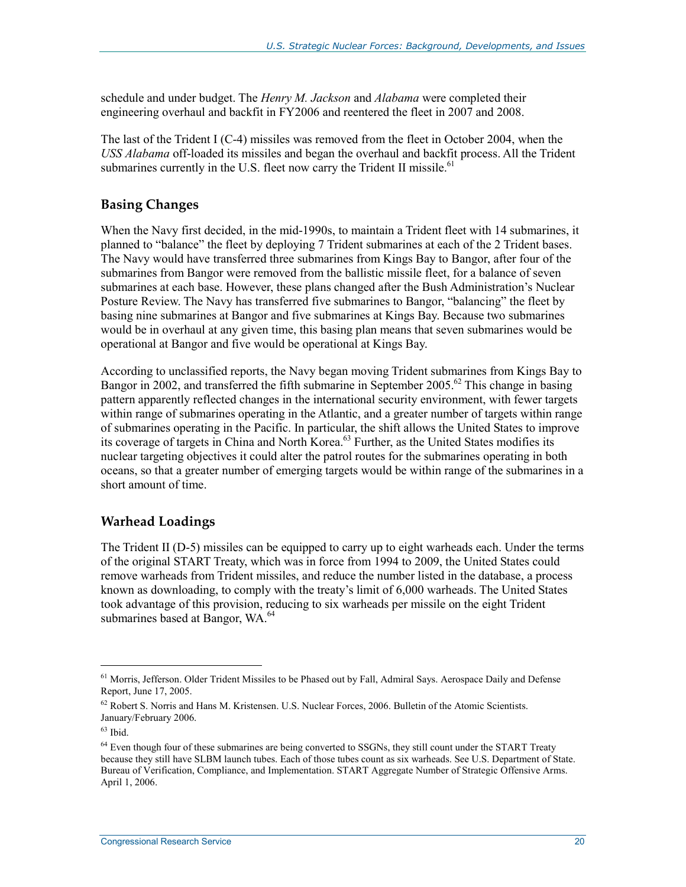schedule and under budget. The *Henry M. Jackson* and *Alabama* were completed their engineering overhaul and backfit in FY2006 and reentered the fleet in 2007 and 2008.

The last of the Trident I (C-4) missiles was removed from the fleet in October 2004, when the *USS Alabama* off-loaded its missiles and began the overhaul and backfit process. All the Trident submarines currently in the U.S. fleet now carry the Trident II missile.<sup>61</sup>

#### **Basing Changes**

When the Navy first decided, in the mid-1990s, to maintain a Trident fleet with 14 submarines, it planned to "balance" the fleet by deploying 7 Trident submarines at each of the 2 Trident bases. The Navy would have transferred three submarines from Kings Bay to Bangor, after four of the submarines from Bangor were removed from the ballistic missile fleet, for a balance of seven submarines at each base. However, these plans changed after the Bush Administration's Nuclear Posture Review. The Navy has transferred five submarines to Bangor, "balancing" the fleet by basing nine submarines at Bangor and five submarines at Kings Bay. Because two submarines would be in overhaul at any given time, this basing plan means that seven submarines would be operational at Bangor and five would be operational at Kings Bay.

According to unclassified reports, the Navy began moving Trident submarines from Kings Bay to Bangor in 2002, and transferred the fifth submarine in September 2005.<sup>62</sup> This change in basing pattern apparently reflected changes in the international security environment, with fewer targets within range of submarines operating in the Atlantic, and a greater number of targets within range of submarines operating in the Pacific. In particular, the shift allows the United States to improve its coverage of targets in China and North Korea.<sup>63</sup> Further, as the United States modifies its nuclear targeting objectives it could alter the patrol routes for the submarines operating in both oceans, so that a greater number of emerging targets would be within range of the submarines in a short amount of time.

#### **Warhead Loadings**

The Trident II (D-5) missiles can be equipped to carry up to eight warheads each. Under the terms of the original START Treaty, which was in force from 1994 to 2009, the United States could remove warheads from Trident missiles, and reduce the number listed in the database, a process known as downloading, to comply with the treaty's limit of 6,000 warheads. The United States took advantage of this provision, reducing to six warheads per missile on the eight Trident submarines based at Bangor, WA.<sup>64</sup>

<sup>&</sup>lt;sup>61</sup> Morris, Jefferson. Older Trident Missiles to be Phased out by Fall, Admiral Says. Aerospace Daily and Defense Report, June 17, 2005.

 $62$  Robert S. Norris and Hans M. Kristensen. U.S. Nuclear Forces, 2006. Bulletin of the Atomic Scientists. January/February 2006.

<sup>63</sup> Ibid.

<sup>&</sup>lt;sup>64</sup> Even though four of these submarines are being converted to SSGNs, they still count under the START Treaty because they still have SLBM launch tubes. Each of those tubes count as six warheads. See U.S. Department of State. Bureau of Verification, Compliance, and Implementation. START Aggregate Number of Strategic Offensive Arms. April 1, 2006.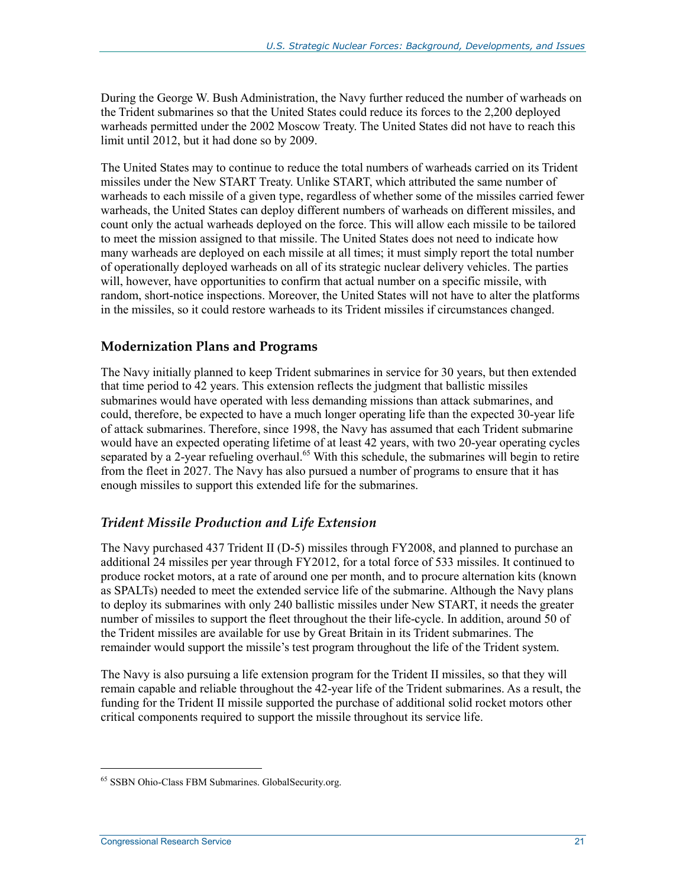During the George W. Bush Administration, the Navy further reduced the number of warheads on the Trident submarines so that the United States could reduce its forces to the 2,200 deployed warheads permitted under the 2002 Moscow Treaty. The United States did not have to reach this limit until 2012, but it had done so by 2009.

The United States may to continue to reduce the total numbers of warheads carried on its Trident missiles under the New START Treaty. Unlike START, which attributed the same number of warheads to each missile of a given type, regardless of whether some of the missiles carried fewer warheads, the United States can deploy different numbers of warheads on different missiles, and count only the actual warheads deployed on the force. This will allow each missile to be tailored to meet the mission assigned to that missile. The United States does not need to indicate how many warheads are deployed on each missile at all times; it must simply report the total number of operationally deployed warheads on all of its strategic nuclear delivery vehicles. The parties will, however, have opportunities to confirm that actual number on a specific missile, with random, short-notice inspections. Moreover, the United States will not have to alter the platforms in the missiles, so it could restore warheads to its Trident missiles if circumstances changed.

#### **Modernization Plans and Programs**

The Navy initially planned to keep Trident submarines in service for 30 years, but then extended that time period to 42 years. This extension reflects the judgment that ballistic missiles submarines would have operated with less demanding missions than attack submarines, and could, therefore, be expected to have a much longer operating life than the expected 30-year life of attack submarines. Therefore, since 1998, the Navy has assumed that each Trident submarine would have an expected operating lifetime of at least 42 years, with two 20-year operating cycles separated by a 2-year refueling overhaul.<sup>65</sup> With this schedule, the submarines will begin to retire from the fleet in 2027. The Navy has also pursued a number of programs to ensure that it has enough missiles to support this extended life for the submarines.

#### *Trident Missile Production and Life Extension*

The Navy purchased 437 Trident II (D-5) missiles through FY2008, and planned to purchase an additional 24 missiles per year through FY2012, for a total force of 533 missiles. It continued to produce rocket motors, at a rate of around one per month, and to procure alternation kits (known as SPALTs) needed to meet the extended service life of the submarine. Although the Navy plans to deploy its submarines with only 240 ballistic missiles under New START, it needs the greater number of missiles to support the fleet throughout the their life-cycle. In addition, around 50 of the Trident missiles are available for use by Great Britain in its Trident submarines. The remainder would support the missile's test program throughout the life of the Trident system.

The Navy is also pursuing a life extension program for the Trident II missiles, so that they will remain capable and reliable throughout the 42-year life of the Trident submarines. As a result, the funding for the Trident II missile supported the purchase of additional solid rocket motors other critical components required to support the missile throughout its service life.

<sup>65</sup> SSBN Ohio-Class FBM Submarines. GlobalSecurity.org.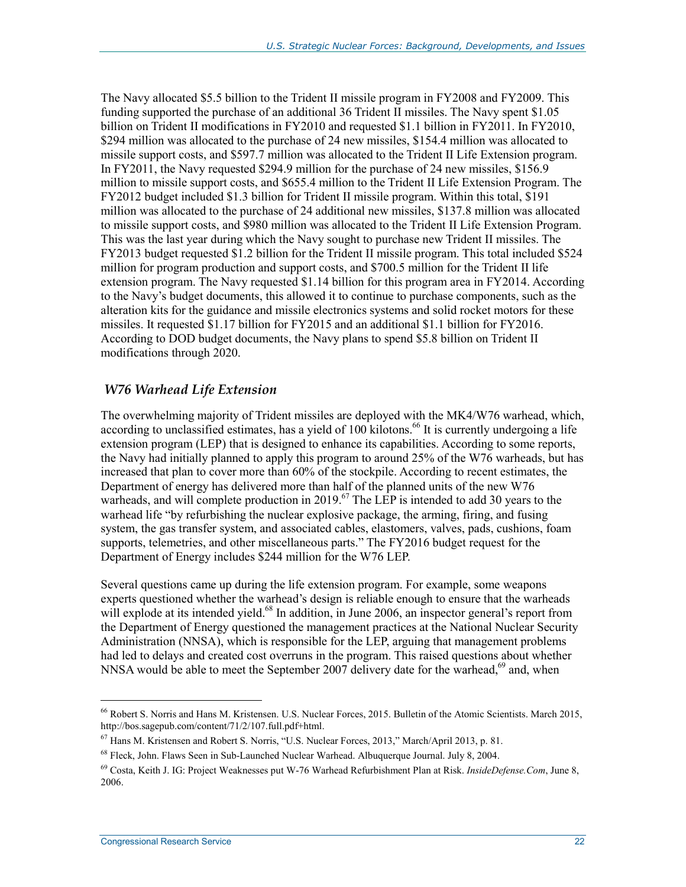The Navy allocated \$5.5 billion to the Trident II missile program in FY2008 and FY2009. This funding supported the purchase of an additional 36 Trident II missiles. The Navy spent \$1.05 billion on Trident II modifications in FY2010 and requested \$1.1 billion in FY2011. In FY2010, \$294 million was allocated to the purchase of 24 new missiles, \$154.4 million was allocated to missile support costs, and \$597.7 million was allocated to the Trident II Life Extension program. In FY2011, the Navy requested \$294.9 million for the purchase of 24 new missiles, \$156.9 million to missile support costs, and \$655.4 million to the Trident II Life Extension Program. The FY2012 budget included \$1.3 billion for Trident II missile program. Within this total, \$191 million was allocated to the purchase of 24 additional new missiles, \$137.8 million was allocated to missile support costs, and \$980 million was allocated to the Trident II Life Extension Program. This was the last year during which the Navy sought to purchase new Trident II missiles. The FY2013 budget requested \$1.2 billion for the Trident II missile program. This total included \$524 million for program production and support costs, and \$700.5 million for the Trident II life extension program. The Navy requested \$1.14 billion for this program area in FY2014. According to the Navy's budget documents, this allowed it to continue to purchase components, such as the alteration kits for the guidance and missile electronics systems and solid rocket motors for these missiles. It requested \$1.17 billion for FY2015 and an additional \$1.1 billion for FY2016. According to DOD budget documents, the Navy plans to spend \$5.8 billion on Trident II modifications through 2020.

#### *W76 Warhead Life Extension*

The overwhelming majority of Trident missiles are deployed with the MK4/W76 warhead, which, according to unclassified estimates, has a yield of  $100$  kilotons.<sup>66</sup> It is currently undergoing a life extension program (LEP) that is designed to enhance its capabilities. According to some reports, the Navy had initially planned to apply this program to around 25% of the W76 warheads, but has increased that plan to cover more than 60% of the stockpile. According to recent estimates, the Department of energy has delivered more than half of the planned units of the new W76 warheads, and will complete production in 2019.<sup>67</sup> The LEP is intended to add 30 years to the warhead life "by refurbishing the nuclear explosive package, the arming, firing, and fusing system, the gas transfer system, and associated cables, elastomers, valves, pads, cushions, foam supports, telemetries, and other miscellaneous parts." The FY2016 budget request for the Department of Energy includes \$244 million for the W76 LEP.

Several questions came up during the life extension program. For example, some weapons experts questioned whether the warhead's design is reliable enough to ensure that the warheads will explode at its intended yield.<sup>68</sup> In addition, in June 2006, an inspector general's report from the Department of Energy questioned the management practices at the National Nuclear Security Administration (NNSA), which is responsible for the LEP, arguing that management problems had led to delays and created cost overruns in the program. This raised questions about whether NNSA would be able to meet the September 2007 delivery date for the warhead,<sup>69</sup> and, when

<sup>66</sup> Robert S. Norris and Hans M. Kristensen. U.S. Nuclear Forces, 2015. Bulletin of the Atomic Scientists. March 2015, http://bos.sagepub.com/content/71/2/107.full.pdf+html.

<sup>67</sup> Hans M. Kristensen and Robert S. Norris, "U.S. Nuclear Forces, 2013," March/April 2013, p. 81.

<sup>68</sup> Fleck, John. Flaws Seen in Sub-Launched Nuclear Warhead. Albuquerque Journal. July 8, 2004.

<sup>69</sup> Costa, Keith J. IG: Project Weaknesses put W-76 Warhead Refurbishment Plan at Risk. *InsideDefense.Com*, June 8, 2006.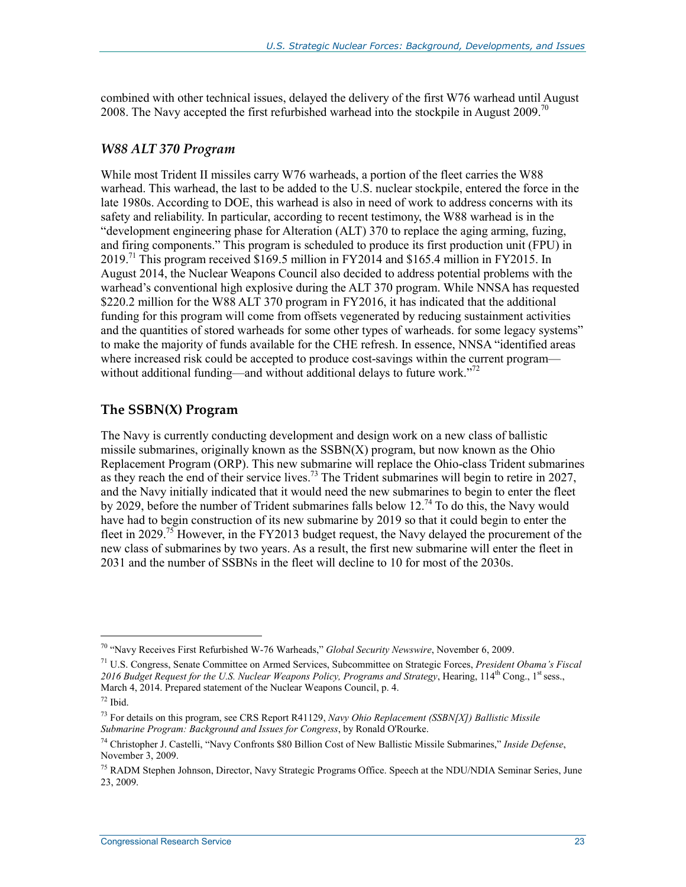combined with other technical issues, delayed the delivery of the first W76 warhead until August 2008. The Navy accepted the first refurbished warhead into the stockpile in August 2009.<sup>70</sup>

#### *W88 ALT 370 Program*

While most Trident II missiles carry W76 warheads, a portion of the fleet carries the W88 warhead. This warhead, the last to be added to the U.S. nuclear stockpile, entered the force in the late 1980s. According to DOE, this warhead is also in need of work to address concerns with its safety and reliability. In particular, according to recent testimony, the W88 warhead is in the "development engineering phase for Alteration (ALT) 370 to replace the aging arming, fuzing, and firing components." This program is scheduled to produce its first production unit (FPU) in 2019.<sup>71</sup> This program received \$169.5 million in FY2014 and \$165.4 million in FY2015. In August 2014, the Nuclear Weapons Council also decided to address potential problems with the warhead's conventional high explosive during the ALT 370 program. While NNSA has requested \$220.2 million for the W88 ALT 370 program in FY2016, it has indicated that the additional funding for this program will come from offsets vegenerated by reducing sustainment activities and the quantities of stored warheads for some other types of warheads. for some legacy systems" to make the majority of funds available for the CHE refresh. In essence, NNSA "identified areas where increased risk could be accepted to produce cost-savings within the current program without additional funding—and without additional delays to future work."<sup>72</sup>

#### **The SSBN(X) Program**

The Navy is currently conducting development and design work on a new class of ballistic missile submarines, originally known as the  $SSBN(X)$  program, but now known as the Ohio Replacement Program (ORP). This new submarine will replace the Ohio-class Trident submarines as they reach the end of their service lives.<sup>73</sup> The Trident submarines will begin to retire in 2027, and the Navy initially indicated that it would need the new submarines to begin to enter the fleet by 2029, before the number of Trident submarines falls below 12.<sup>74</sup> To do this, the Navy would have had to begin construction of its new submarine by 2019 so that it could begin to enter the fleet in 2029.<sup>75</sup> However, in the FY2013 budget request, the Navy delayed the procurement of the new class of submarines by two years. As a result, the first new submarine will enter the fleet in 2031 and the number of SSBNs in the fleet will decline to 10 for most of the 2030s.

<sup>70 &</sup>quot;Navy Receives First Refurbished W-76 Warheads," *Global Security Newswire*, November 6, 2009.

<sup>71</sup> U.S. Congress, Senate Committee on Armed Services, Subcommittee on Strategic Forces, *President Obama's Fiscal*  2016 Budget Request for the U.S. Nuclear Weapons Policy, Programs and Strategy, Hearing, 114<sup>th</sup> Cong., 1<sup>st</sup> sess., March 4, 2014. Prepared statement of the Nuclear Weapons Council, p. 4.

 $72$  Ibid.

<sup>73</sup> For details on this program, see CRS Report R41129, *Navy Ohio Replacement (SSBN[X]) Ballistic Missile Submarine Program: Background and Issues for Congress*, by Ronald O'Rourke.

<sup>74</sup> Christopher J. Castelli, "Navy Confronts \$80 Billion Cost of New Ballistic Missile Submarines," *Inside Defense*, November 3, 2009.

<sup>&</sup>lt;sup>75</sup> RADM Stephen Johnson, Director, Navy Strategic Programs Office. Speech at the NDU/NDIA Seminar Series, June 23, 2009.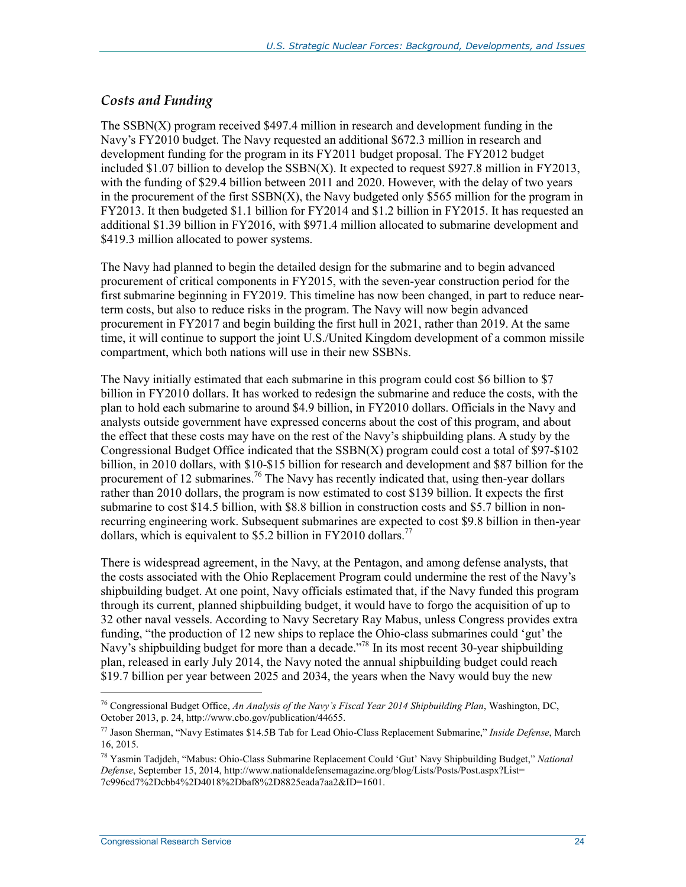#### *Costs and Funding*

The SSBN(X) program received \$497.4 million in research and development funding in the Navy's FY2010 budget. The Navy requested an additional \$672.3 million in research and development funding for the program in its FY2011 budget proposal. The FY2012 budget included \$1.07 billion to develop the SSBN(X). It expected to request \$927.8 million in FY2013, with the funding of \$29.4 billion between 2011 and 2020. However, with the delay of two years in the procurement of the first SSBN(X), the Navy budgeted only \$565 million for the program in FY2013. It then budgeted \$1.1 billion for FY2014 and \$1.2 billion in FY2015. It has requested an additional \$1.39 billion in FY2016, with \$971.4 million allocated to submarine development and \$419.3 million allocated to power systems.

The Navy had planned to begin the detailed design for the submarine and to begin advanced procurement of critical components in FY2015, with the seven-year construction period for the first submarine beginning in FY2019. This timeline has now been changed, in part to reduce nearterm costs, but also to reduce risks in the program. The Navy will now begin advanced procurement in FY2017 and begin building the first hull in 2021, rather than 2019. At the same time, it will continue to support the joint U.S./United Kingdom development of a common missile compartment, which both nations will use in their new SSBNs.

The Navy initially estimated that each submarine in this program could cost \$6 billion to \$7 billion in FY2010 dollars. It has worked to redesign the submarine and reduce the costs, with the plan to hold each submarine to around \$4.9 billion, in FY2010 dollars. Officials in the Navy and analysts outside government have expressed concerns about the cost of this program, and about the effect that these costs may have on the rest of the Navy's shipbuilding plans. A study by the Congressional Budget Office indicated that the  $SSBN(X)$  program could cost a total of \$97-\$102 billion, in 2010 dollars, with \$10-\$15 billion for research and development and \$87 billion for the procurement of 12 submarines.<sup>76</sup> The Navy has recently indicated that, using then-year dollars rather than 2010 dollars, the program is now estimated to cost \$139 billion. It expects the first submarine to cost \$14.5 billion, with \$8.8 billion in construction costs and \$5.7 billion in nonrecurring engineering work. Subsequent submarines are expected to cost \$9.8 billion in then-year dollars, which is equivalent to \$5.2 billion in FY2010 dollars.<sup>77</sup>

There is widespread agreement, in the Navy, at the Pentagon, and among defense analysts, that the costs associated with the Ohio Replacement Program could undermine the rest of the Navy's shipbuilding budget. At one point, Navy officials estimated that, if the Navy funded this program through its current, planned shipbuilding budget, it would have to forgo the acquisition of up to 32 other naval vessels. According to Navy Secretary Ray Mabus, unless Congress provides extra funding, "the production of 12 new ships to replace the Ohio-class submarines could 'gut' the Navy's shipbuilding budget for more than a decade."<sup>78</sup> In its most recent 30-year shipbuilding plan, released in early July 2014, the Navy noted the annual shipbuilding budget could reach \$19.7 billion per year between 2025 and 2034, the years when the Navy would buy the new

<sup>76</sup> Congressional Budget Office, *An Analysis of the Navy's Fiscal Year 2014 Shipbuilding Plan*, Washington, DC, October 2013, p. 24, http://www.cbo.gov/publication/44655.

<sup>77</sup> Jason Sherman, "Navy Estimates \$14.5B Tab for Lead Ohio-Class Replacement Submarine," *Inside Defense*, March 16, 2015.

<sup>78</sup> Yasmin Tadjdeh, "Mabus: Ohio-Class Submarine Replacement Could 'Gut' Navy Shipbuilding Budget," *National Defense*, September 15, 2014, http://www.nationaldefensemagazine.org/blog/Lists/Posts/Post.aspx?List= 7c996cd7%2Dcbb4%2D4018%2Dbaf8%2D8825eada7aa2&ID=1601.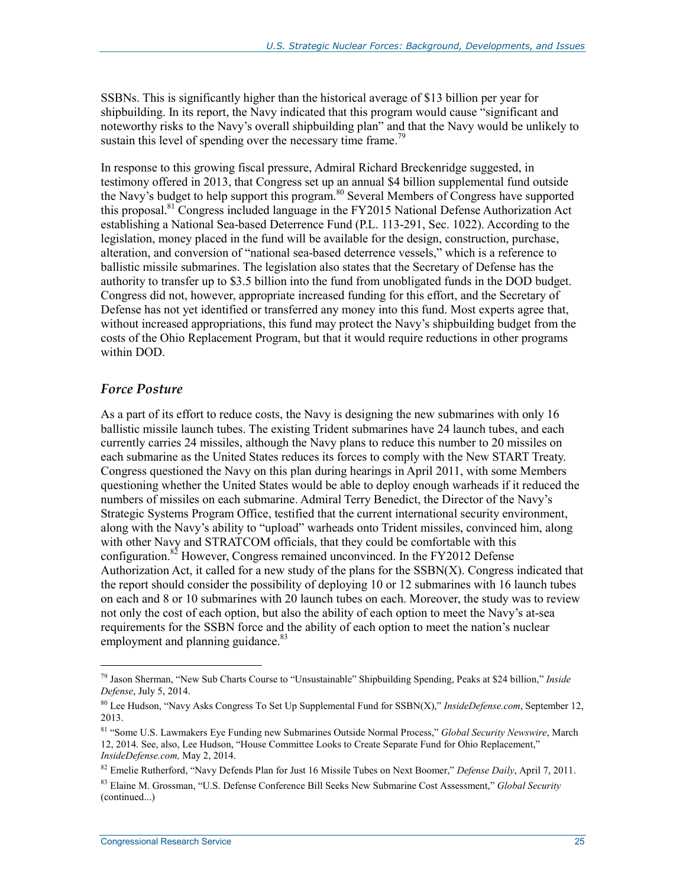SSBNs. This is significantly higher than the historical average of \$13 billion per year for shipbuilding. In its report, the Navy indicated that this program would cause "significant and noteworthy risks to the Navy's overall shipbuilding plan" and that the Navy would be unlikely to sustain this level of spending over the necessary time frame.<sup>79</sup>

In response to this growing fiscal pressure, Admiral Richard Breckenridge suggested, in testimony offered in 2013, that Congress set up an annual \$4 billion supplemental fund outside the Navy's budget to help support this program.80 Several Members of Congress have supported this proposal.81 Congress included language in the FY2015 National Defense Authorization Act establishing a National Sea-based Deterrence Fund (P.L. 113-291, Sec. 1022). According to the legislation, money placed in the fund will be available for the design, construction, purchase, alteration, and conversion of "national sea-based deterrence vessels," which is a reference to ballistic missile submarines. The legislation also states that the Secretary of Defense has the authority to transfer up to \$3.5 billion into the fund from unobligated funds in the DOD budget. Congress did not, however, appropriate increased funding for this effort, and the Secretary of Defense has not yet identified or transferred any money into this fund. Most experts agree that, without increased appropriations, this fund may protect the Navy's shipbuilding budget from the costs of the Ohio Replacement Program, but that it would require reductions in other programs within DOD.

#### *Force Posture*

 $\overline{a}$ 

As a part of its effort to reduce costs, the Navy is designing the new submarines with only 16 ballistic missile launch tubes. The existing Trident submarines have 24 launch tubes, and each currently carries 24 missiles, although the Navy plans to reduce this number to 20 missiles on each submarine as the United States reduces its forces to comply with the New START Treaty. Congress questioned the Navy on this plan during hearings in April 2011, with some Members questioning whether the United States would be able to deploy enough warheads if it reduced the numbers of missiles on each submarine. Admiral Terry Benedict, the Director of the Navy's Strategic Systems Program Office, testified that the current international security environment, along with the Navy's ability to "upload" warheads onto Trident missiles, convinced him, along with other Navy and STRATCOM officials, that they could be comfortable with this configuration.<sup>82</sup> However, Congress remained unconvinced. In the FY2012 Defense Authorization Act, it called for a new study of the plans for the  $SSBN(X)$ . Congress indicated that the report should consider the possibility of deploying 10 or 12 submarines with 16 launch tubes on each and 8 or 10 submarines with 20 launch tubes on each. Moreover, the study was to review not only the cost of each option, but also the ability of each option to meet the Navy's at-sea requirements for the SSBN force and the ability of each option to meet the nation's nuclear employment and planning guidance.<sup>83</sup>

<sup>79</sup> Jason Sherman, "New Sub Charts Course to "Unsustainable" Shipbuilding Spending, Peaks at \$24 billion," *Inside Defense*, July 5, 2014.

<sup>80</sup> Lee Hudson, "Navy Asks Congress To Set Up Supplemental Fund for SSBN(X)," *InsideDefense.com*, September 12, 2013.

<sup>81 &</sup>quot;Some U.S. Lawmakers Eye Funding new Submarines Outside Normal Process," *Global Security Newswire*, March 12, 2014. See, also, Lee Hudson, "House Committee Looks to Create Separate Fund for Ohio Replacement," *InsideDefense.com,* May 2, 2014.

<sup>82</sup> Emelie Rutherford, "Navy Defends Plan for Just 16 Missile Tubes on Next Boomer," *Defense Daily*, April 7, 2011.

<sup>83</sup> Elaine M. Grossman, "U.S. Defense Conference Bill Seeks New Submarine Cost Assessment," *Global Security*  (continued...)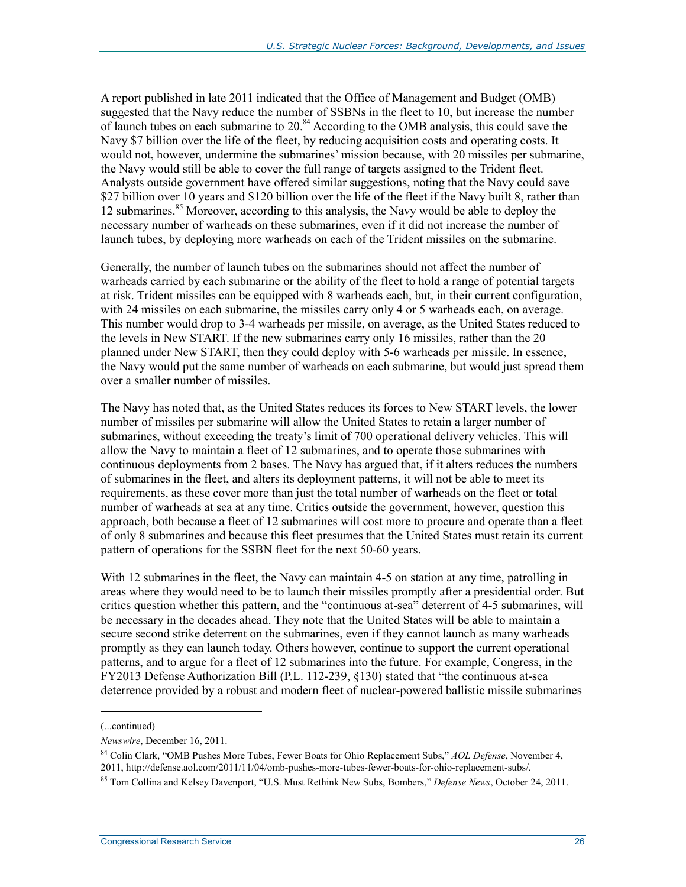A report published in late 2011 indicated that the Office of Management and Budget (OMB) suggested that the Navy reduce the number of SSBNs in the fleet to 10, but increase the number of launch tubes on each submarine to 20.<sup>84</sup> According to the OMB analysis, this could save the Navy \$7 billion over the life of the fleet, by reducing acquisition costs and operating costs. It would not, however, undermine the submarines' mission because, with 20 missiles per submarine, the Navy would still be able to cover the full range of targets assigned to the Trident fleet. Analysts outside government have offered similar suggestions, noting that the Navy could save \$27 billion over 10 years and \$120 billion over the life of the fleet if the Navy built 8, rather than 12 submarines.<sup>85</sup> Moreover, according to this analysis, the Navy would be able to deploy the necessary number of warheads on these submarines, even if it did not increase the number of launch tubes, by deploying more warheads on each of the Trident missiles on the submarine.

Generally, the number of launch tubes on the submarines should not affect the number of warheads carried by each submarine or the ability of the fleet to hold a range of potential targets at risk. Trident missiles can be equipped with 8 warheads each, but, in their current configuration, with 24 missiles on each submarine, the missiles carry only 4 or 5 warheads each, on average. This number would drop to 3-4 warheads per missile, on average, as the United States reduced to the levels in New START. If the new submarines carry only 16 missiles, rather than the 20 planned under New START, then they could deploy with 5-6 warheads per missile. In essence, the Navy would put the same number of warheads on each submarine, but would just spread them over a smaller number of missiles.

The Navy has noted that, as the United States reduces its forces to New START levels, the lower number of missiles per submarine will allow the United States to retain a larger number of submarines, without exceeding the treaty's limit of 700 operational delivery vehicles. This will allow the Navy to maintain a fleet of 12 submarines, and to operate those submarines with continuous deployments from 2 bases. The Navy has argued that, if it alters reduces the numbers of submarines in the fleet, and alters its deployment patterns, it will not be able to meet its requirements, as these cover more than just the total number of warheads on the fleet or total number of warheads at sea at any time. Critics outside the government, however, question this approach, both because a fleet of 12 submarines will cost more to procure and operate than a fleet of only 8 submarines and because this fleet presumes that the United States must retain its current pattern of operations for the SSBN fleet for the next 50-60 years.

With 12 submarines in the fleet, the Navy can maintain 4-5 on station at any time, patrolling in areas where they would need to be to launch their missiles promptly after a presidential order. But critics question whether this pattern, and the "continuous at-sea" deterrent of 4-5 submarines, will be necessary in the decades ahead. They note that the United States will be able to maintain a secure second strike deterrent on the submarines, even if they cannot launch as many warheads promptly as they can launch today. Others however, continue to support the current operational patterns, and to argue for a fleet of 12 submarines into the future. For example, Congress, in the FY2013 Defense Authorization Bill (P.L. 112-239, §130) stated that "the continuous at-sea deterrence provided by a robust and modern fleet of nuclear-powered ballistic missile submarines

<sup>(...</sup>continued)

*Newswire*, December 16, 2011.

<sup>84</sup> Colin Clark, "OMB Pushes More Tubes, Fewer Boats for Ohio Replacement Subs," *AOL Defense*, November 4, 2011, http://defense.aol.com/2011/11/04/omb-pushes-more-tubes-fewer-boats-for-ohio-replacement-subs/.

<sup>85</sup> Tom Collina and Kelsey Davenport, "U.S. Must Rethink New Subs, Bombers," *Defense News*, October 24, 2011.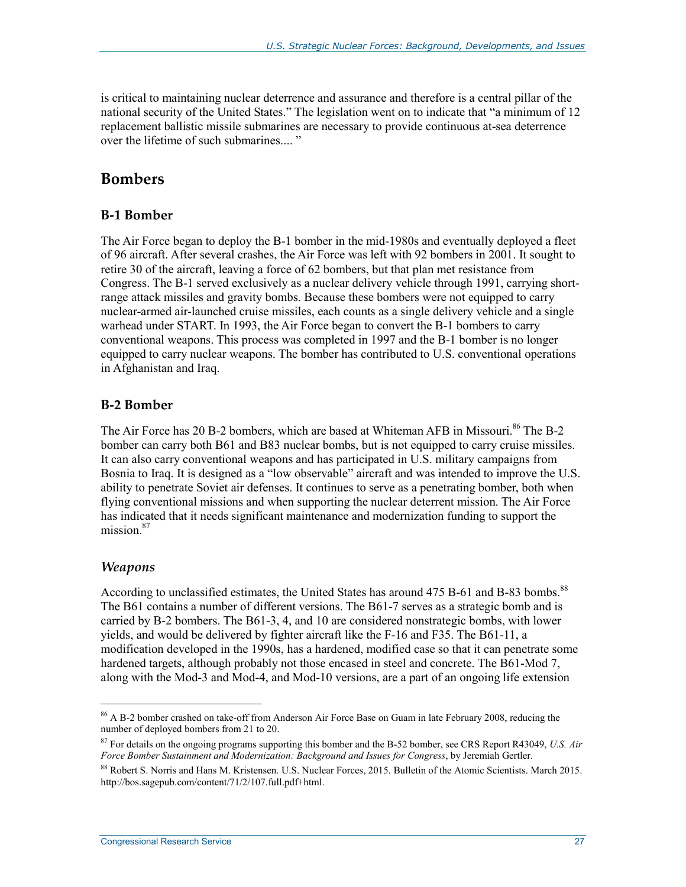is critical to maintaining nuclear deterrence and assurance and therefore is a central pillar of the national security of the United States." The legislation went on to indicate that "a minimum of 12 replacement ballistic missile submarines are necessary to provide continuous at-sea deterrence over the lifetime of such submarines.... "

### **Bombers**

#### **B-1 Bomber**

The Air Force began to deploy the B-1 bomber in the mid-1980s and eventually deployed a fleet of 96 aircraft. After several crashes, the Air Force was left with 92 bombers in 2001. It sought to retire 30 of the aircraft, leaving a force of 62 bombers, but that plan met resistance from Congress. The B-1 served exclusively as a nuclear delivery vehicle through 1991, carrying shortrange attack missiles and gravity bombs. Because these bombers were not equipped to carry nuclear-armed air-launched cruise missiles, each counts as a single delivery vehicle and a single warhead under START. In 1993, the Air Force began to convert the B-1 bombers to carry conventional weapons. This process was completed in 1997 and the B-1 bomber is no longer equipped to carry nuclear weapons. The bomber has contributed to U.S. conventional operations in Afghanistan and Iraq.

#### **B-2 Bomber**

The Air Force has 20 B-2 bombers, which are based at Whiteman AFB in Missouri.<sup>86</sup> The B-2 bomber can carry both B61 and B83 nuclear bombs, but is not equipped to carry cruise missiles. It can also carry conventional weapons and has participated in U.S. military campaigns from Bosnia to Iraq. It is designed as a "low observable" aircraft and was intended to improve the U.S. ability to penetrate Soviet air defenses. It continues to serve as a penetrating bomber, both when flying conventional missions and when supporting the nuclear deterrent mission. The Air Force has indicated that it needs significant maintenance and modernization funding to support the mission $87$ 

#### *Weapons*

 $\overline{a}$ 

According to unclassified estimates, the United States has around 475 B-61 and B-83 bombs.<sup>88</sup> The B61 contains a number of different versions. The B61-7 serves as a strategic bomb and is carried by B-2 bombers. The B61-3, 4, and 10 are considered nonstrategic bombs, with lower yields, and would be delivered by fighter aircraft like the F-16 and F35. The B61-11, a modification developed in the 1990s, has a hardened, modified case so that it can penetrate some hardened targets, although probably not those encased in steel and concrete. The B61-Mod 7, along with the Mod-3 and Mod-4, and Mod-10 versions, are a part of an ongoing life extension

<sup>86</sup> A B-2 bomber crashed on take-off from Anderson Air Force Base on Guam in late February 2008, reducing the number of deployed bombers from 21 to 20.

<sup>87</sup> For details on the ongoing programs supporting this bomber and the B-52 bomber, see CRS Report R43049, *U.S. Air Force Bomber Sustainment and Modernization: Background and Issues for Congress*, by Jeremiah Gertler.

<sup>88</sup> Robert S. Norris and Hans M. Kristensen. U.S. Nuclear Forces, 2015. Bulletin of the Atomic Scientists. March 2015. http://bos.sagepub.com/content/71/2/107.full.pdf+html.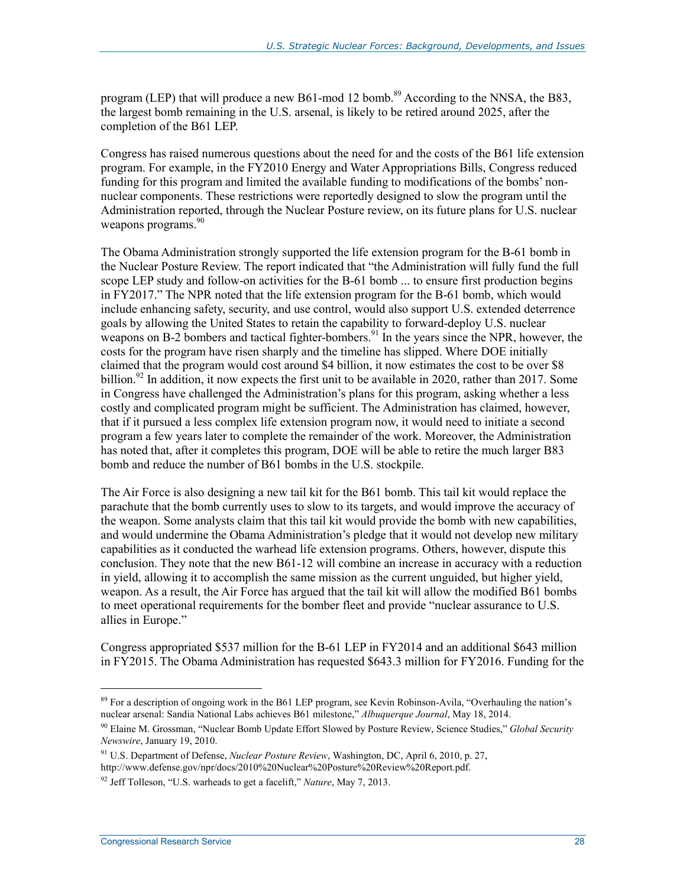program (LEP) that will produce a new B61-mod 12 bomb.<sup>89</sup> According to the NNSA, the B83, the largest bomb remaining in the U.S. arsenal, is likely to be retired around 2025, after the completion of the B61 LEP.

Congress has raised numerous questions about the need for and the costs of the B61 life extension program. For example, in the FY2010 Energy and Water Appropriations Bills, Congress reduced funding for this program and limited the available funding to modifications of the bombs' nonnuclear components. These restrictions were reportedly designed to slow the program until the Administration reported, through the Nuclear Posture review, on its future plans for U.S. nuclear weapons programs.<sup>90</sup>

The Obama Administration strongly supported the life extension program for the B-61 bomb in the Nuclear Posture Review. The report indicated that "the Administration will fully fund the full scope LEP study and follow-on activities for the B-61 bomb ... to ensure first production begins in FY2017." The NPR noted that the life extension program for the B-61 bomb, which would include enhancing safety, security, and use control, would also support U.S. extended deterrence goals by allowing the United States to retain the capability to forward-deploy U.S. nuclear weapons on B-2 bombers and tactical fighter-bombers.<sup>91</sup> In the years since the NPR, however, the costs for the program have risen sharply and the timeline has slipped. Where DOE initially claimed that the program would cost around \$4 billion, it now estimates the cost to be over \$8 billion.<sup>92</sup> In addition, it now expects the first unit to be available in 2020, rather than 2017. Some in Congress have challenged the Administration's plans for this program, asking whether a less costly and complicated program might be sufficient. The Administration has claimed, however, that if it pursued a less complex life extension program now, it would need to initiate a second program a few years later to complete the remainder of the work. Moreover, the Administration has noted that, after it completes this program, DOE will be able to retire the much larger B83 bomb and reduce the number of B61 bombs in the U.S. stockpile.

The Air Force is also designing a new tail kit for the B61 bomb. This tail kit would replace the parachute that the bomb currently uses to slow to its targets, and would improve the accuracy of the weapon. Some analysts claim that this tail kit would provide the bomb with new capabilities, and would undermine the Obama Administration's pledge that it would not develop new military capabilities as it conducted the warhead life extension programs. Others, however, dispute this conclusion. They note that the new B61-12 will combine an increase in accuracy with a reduction in yield, allowing it to accomplish the same mission as the current unguided, but higher yield, weapon. As a result, the Air Force has argued that the tail kit will allow the modified B61 bombs to meet operational requirements for the bomber fleet and provide "nuclear assurance to U.S. allies in Europe."

Congress appropriated \$537 million for the B-61 LEP in FY2014 and an additional \$643 million in FY2015. The Obama Administration has requested \$643.3 million for FY2016. Funding for the

<sup>&</sup>lt;sup>89</sup> For a description of ongoing work in the B61 LEP program, see Kevin Robinson-Avila, "Overhauling the nation's nuclear arsenal: Sandia National Labs achieves B61 milestone," *Albuquerque Journal*, May 18, 2014.

<sup>90</sup> Elaine M. Grossman, "Nuclear Bomb Update Effort Slowed by Posture Review, Science Studies," *Global Security Newswire*, January 19, 2010.

<sup>91</sup> U.S. Department of Defense, *Nuclear Posture Review*, Washington, DC, April 6, 2010, p. 27, http://www.defense.gov/npr/docs/2010%20Nuclear%20Posture%20Review%20Report.pdf.

<sup>92</sup> Jeff Tolleson, "U.S. warheads to get a facelift," *Nature*, May 7, 2013.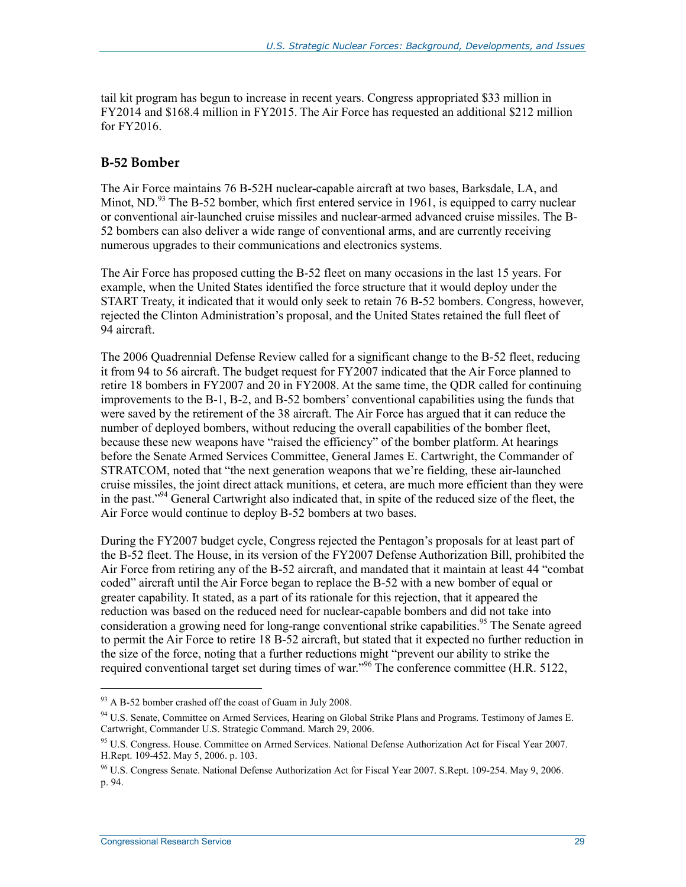tail kit program has begun to increase in recent years. Congress appropriated \$33 million in FY2014 and \$168.4 million in FY2015. The Air Force has requested an additional \$212 million for FY2016.

#### **B-52 Bomber**

The Air Force maintains 76 B-52H nuclear-capable aircraft at two bases, Barksdale, LA, and Minot, ND.<sup>93</sup> The B-52 bomber, which first entered service in 1961, is equipped to carry nuclear or conventional air-launched cruise missiles and nuclear-armed advanced cruise missiles. The B-52 bombers can also deliver a wide range of conventional arms, and are currently receiving numerous upgrades to their communications and electronics systems.

The Air Force has proposed cutting the B-52 fleet on many occasions in the last 15 years. For example, when the United States identified the force structure that it would deploy under the START Treaty, it indicated that it would only seek to retain 76 B-52 bombers. Congress, however, rejected the Clinton Administration's proposal, and the United States retained the full fleet of 94 aircraft.

The 2006 Quadrennial Defense Review called for a significant change to the B-52 fleet, reducing it from 94 to 56 aircraft. The budget request for FY2007 indicated that the Air Force planned to retire 18 bombers in FY2007 and 20 in FY2008. At the same time, the QDR called for continuing improvements to the B-1, B-2, and B-52 bombers' conventional capabilities using the funds that were saved by the retirement of the 38 aircraft. The Air Force has argued that it can reduce the number of deployed bombers, without reducing the overall capabilities of the bomber fleet, because these new weapons have "raised the efficiency" of the bomber platform. At hearings before the Senate Armed Services Committee, General James E. Cartwright, the Commander of STRATCOM, noted that "the next generation weapons that we're fielding, these air-launched cruise missiles, the joint direct attack munitions, et cetera, are much more efficient than they were in the past."94 General Cartwright also indicated that, in spite of the reduced size of the fleet, the Air Force would continue to deploy B-52 bombers at two bases.

During the FY2007 budget cycle, Congress rejected the Pentagon's proposals for at least part of the B-52 fleet. The House, in its version of the FY2007 Defense Authorization Bill, prohibited the Air Force from retiring any of the B-52 aircraft, and mandated that it maintain at least 44 "combat coded" aircraft until the Air Force began to replace the B-52 with a new bomber of equal or greater capability. It stated, as a part of its rationale for this rejection, that it appeared the reduction was based on the reduced need for nuclear-capable bombers and did not take into consideration a growing need for long-range conventional strike capabilities.<sup>95</sup> The Senate agreed to permit the Air Force to retire 18 B-52 aircraft, but stated that it expected no further reduction in the size of the force, noting that a further reductions might "prevent our ability to strike the required conventional target set during times of war."96 The conference committee (H.R. 5122,

<sup>&</sup>lt;sup>93</sup> A B-52 bomber crashed off the coast of Guam in July 2008.

<sup>&</sup>lt;sup>94</sup> U.S. Senate, Committee on Armed Services, Hearing on Global Strike Plans and Programs. Testimony of James E. Cartwright, Commander U.S. Strategic Command. March 29, 2006.

<sup>&</sup>lt;sup>95</sup> U.S. Congress. House. Committee on Armed Services. National Defense Authorization Act for Fiscal Year 2007. H.Rept. 109-452. May 5, 2006. p. 103.

<sup>96</sup> U.S. Congress Senate. National Defense Authorization Act for Fiscal Year 2007. S.Rept. 109-254. May 9, 2006. p. 94.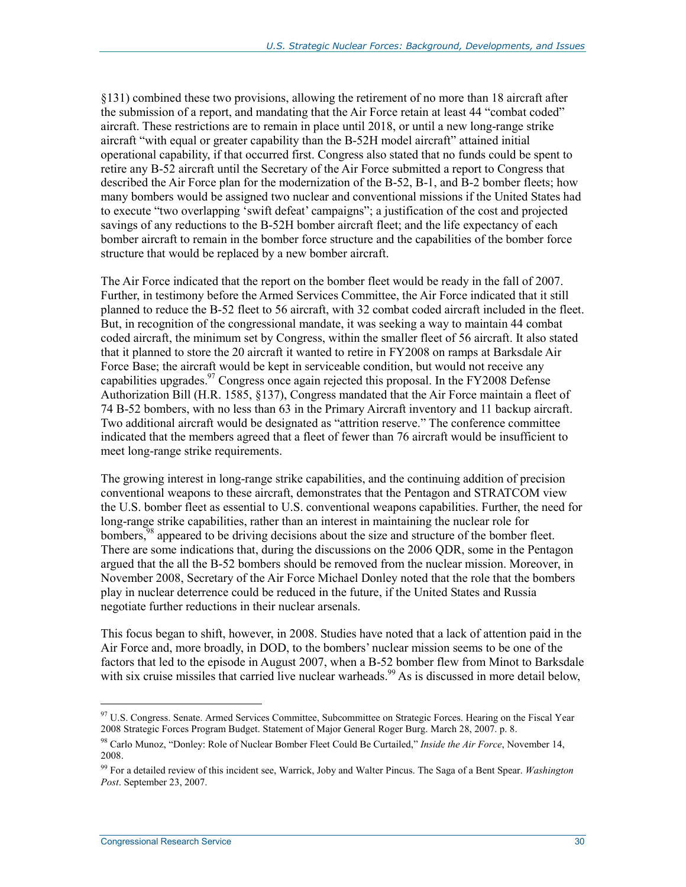§131) combined these two provisions, allowing the retirement of no more than 18 aircraft after the submission of a report, and mandating that the Air Force retain at least 44 "combat coded" aircraft. These restrictions are to remain in place until 2018, or until a new long-range strike aircraft "with equal or greater capability than the B-52H model aircraft" attained initial operational capability, if that occurred first. Congress also stated that no funds could be spent to retire any B-52 aircraft until the Secretary of the Air Force submitted a report to Congress that described the Air Force plan for the modernization of the B-52, B-1, and B-2 bomber fleets; how many bombers would be assigned two nuclear and conventional missions if the United States had to execute "two overlapping 'swift defeat' campaigns"; a justification of the cost and projected savings of any reductions to the B-52H bomber aircraft fleet; and the life expectancy of each bomber aircraft to remain in the bomber force structure and the capabilities of the bomber force structure that would be replaced by a new bomber aircraft.

The Air Force indicated that the report on the bomber fleet would be ready in the fall of 2007. Further, in testimony before the Armed Services Committee, the Air Force indicated that it still planned to reduce the B-52 fleet to 56 aircraft, with 32 combat coded aircraft included in the fleet. But, in recognition of the congressional mandate, it was seeking a way to maintain 44 combat coded aircraft, the minimum set by Congress, within the smaller fleet of 56 aircraft. It also stated that it planned to store the 20 aircraft it wanted to retire in FY2008 on ramps at Barksdale Air Force Base; the aircraft would be kept in serviceable condition, but would not receive any capabilities upgrades.<sup>97</sup> Congress once again rejected this proposal. In the FY2008 Defense Authorization Bill (H.R. 1585, §137), Congress mandated that the Air Force maintain a fleet of 74 B-52 bombers, with no less than 63 in the Primary Aircraft inventory and 11 backup aircraft. Two additional aircraft would be designated as "attrition reserve." The conference committee indicated that the members agreed that a fleet of fewer than 76 aircraft would be insufficient to meet long-range strike requirements.

The growing interest in long-range strike capabilities, and the continuing addition of precision conventional weapons to these aircraft, demonstrates that the Pentagon and STRATCOM view the U.S. bomber fleet as essential to U.S. conventional weapons capabilities. Further, the need for long-range strike capabilities, rather than an interest in maintaining the nuclear role for bombers,<sup>98</sup> appeared to be driving decisions about the size and structure of the bomber fleet. There are some indications that, during the discussions on the 2006 QDR, some in the Pentagon argued that the all the B-52 bombers should be removed from the nuclear mission. Moreover, in November 2008, Secretary of the Air Force Michael Donley noted that the role that the bombers play in nuclear deterrence could be reduced in the future, if the United States and Russia negotiate further reductions in their nuclear arsenals.

This focus began to shift, however, in 2008. Studies have noted that a lack of attention paid in the Air Force and, more broadly, in DOD, to the bombers' nuclear mission seems to be one of the factors that led to the episode in August 2007, when a B-52 bomber flew from Minot to Barksdale with six cruise missiles that carried live nuclear warheads.<sup>99</sup> As is discussed in more detail below,

<sup>&</sup>lt;sup>97</sup> U.S. Congress. Senate. Armed Services Committee, Subcommittee on Strategic Forces. Hearing on the Fiscal Year 2008 Strategic Forces Program Budget. Statement of Major General Roger Burg. March 28, 2007. p. 8.

<sup>98</sup> Carlo Munoz, "Donley: Role of Nuclear Bomber Fleet Could Be Curtailed," *Inside the Air Force*, November 14, 2008.

<sup>99</sup> For a detailed review of this incident see, Warrick, Joby and Walter Pincus. The Saga of a Bent Spear. *Washington Post*. September 23, 2007.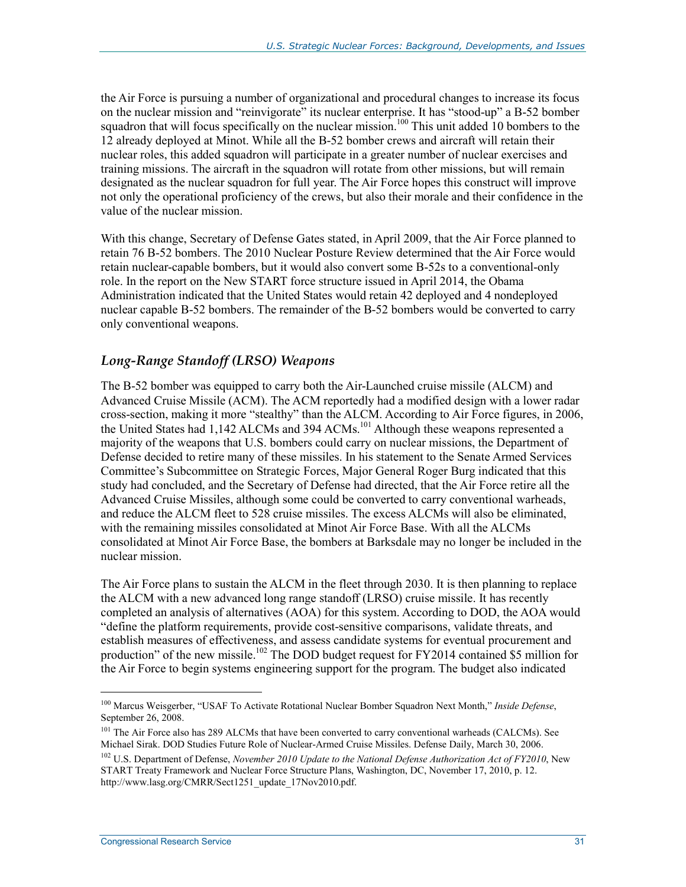the Air Force is pursuing a number of organizational and procedural changes to increase its focus on the nuclear mission and "reinvigorate" its nuclear enterprise. It has "stood-up" a B-52 bomber squadron that will focus specifically on the nuclear mission.<sup>100</sup> This unit added 10 bombers to the 12 already deployed at Minot. While all the B-52 bomber crews and aircraft will retain their nuclear roles, this added squadron will participate in a greater number of nuclear exercises and training missions. The aircraft in the squadron will rotate from other missions, but will remain designated as the nuclear squadron for full year. The Air Force hopes this construct will improve not only the operational proficiency of the crews, but also their morale and their confidence in the value of the nuclear mission.

With this change, Secretary of Defense Gates stated, in April 2009, that the Air Force planned to retain 76 B-52 bombers. The 2010 Nuclear Posture Review determined that the Air Force would retain nuclear-capable bombers, but it would also convert some B-52s to a conventional-only role. In the report on the New START force structure issued in April 2014, the Obama Administration indicated that the United States would retain 42 deployed and 4 nondeployed nuclear capable B-52 bombers. The remainder of the B-52 bombers would be converted to carry only conventional weapons.

#### *Long-Range Standoff (LRSO) Weapons*

The B-52 bomber was equipped to carry both the Air-Launched cruise missile (ALCM) and Advanced Cruise Missile (ACM). The ACM reportedly had a modified design with a lower radar cross-section, making it more "stealthy" than the ALCM. According to Air Force figures, in 2006, the United States had 1,142 ALCMs and 394 ACMs.<sup>101</sup> Although these weapons represented a majority of the weapons that U.S. bombers could carry on nuclear missions, the Department of Defense decided to retire many of these missiles. In his statement to the Senate Armed Services Committee's Subcommittee on Strategic Forces, Major General Roger Burg indicated that this study had concluded, and the Secretary of Defense had directed, that the Air Force retire all the Advanced Cruise Missiles, although some could be converted to carry conventional warheads, and reduce the ALCM fleet to 528 cruise missiles. The excess ALCMs will also be eliminated, with the remaining missiles consolidated at Minot Air Force Base. With all the ALCMs consolidated at Minot Air Force Base, the bombers at Barksdale may no longer be included in the nuclear mission.

The Air Force plans to sustain the ALCM in the fleet through 2030. It is then planning to replace the ALCM with a new advanced long range standoff (LRSO) cruise missile. It has recently completed an analysis of alternatives (AOA) for this system. According to DOD, the AOA would "define the platform requirements, provide cost-sensitive comparisons, validate threats, and establish measures of effectiveness, and assess candidate systems for eventual procurement and production" of the new missile.<sup>102</sup> The DOD budget request for FY2014 contained \$5 million for the Air Force to begin systems engineering support for the program. The budget also indicated

<sup>100</sup> Marcus Weisgerber, "USAF To Activate Rotational Nuclear Bomber Squadron Next Month," *Inside Defense*, September 26, 2008.

<sup>&</sup>lt;sup>101</sup> The Air Force also has 289 ALCMs that have been converted to carry conventional warheads (CALCMs). See Michael Sirak. DOD Studies Future Role of Nuclear-Armed Cruise Missiles. Defense Daily, March 30, 2006.

<sup>102</sup> U.S. Department of Defense, *November 2010 Update to the National Defense Authorization Act of FY2010*, New START Treaty Framework and Nuclear Force Structure Plans, Washington, DC, November 17, 2010, p. 12. http://www.lasg.org/CMRR/Sect1251\_update\_17Nov2010.pdf.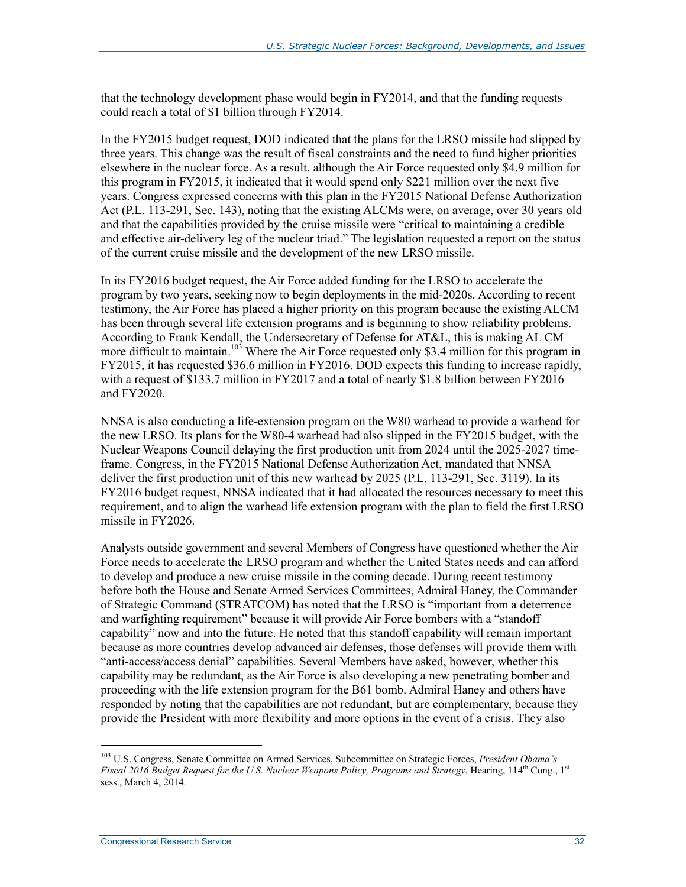that the technology development phase would begin in FY2014, and that the funding requests could reach a total of \$1 billion through FY2014.

In the FY2015 budget request, DOD indicated that the plans for the LRSO missile had slipped by three years. This change was the result of fiscal constraints and the need to fund higher priorities elsewhere in the nuclear force. As a result, although the Air Force requested only \$4.9 million for this program in FY2015, it indicated that it would spend only \$221 million over the next five years. Congress expressed concerns with this plan in the FY2015 National Defense Authorization Act (P.L. 113-291, Sec. 143), noting that the existing ALCMs were, on average, over 30 years old and that the capabilities provided by the cruise missile were "critical to maintaining a credible and effective air-delivery leg of the nuclear triad." The legislation requested a report on the status of the current cruise missile and the development of the new LRSO missile.

In its FY2016 budget request, the Air Force added funding for the LRSO to accelerate the program by two years, seeking now to begin deployments in the mid-2020s. According to recent testimony, the Air Force has placed a higher priority on this program because the existing ALCM has been through several life extension programs and is beginning to show reliability problems. According to Frank Kendall, the Undersecretary of Defense for AT&L, this is making AL CM more difficult to maintain.<sup>103</sup> Where the Air Force requested only \$3.4 million for this program in FY2015, it has requested \$36.6 million in FY2016. DOD expects this funding to increase rapidly, with a request of \$133.7 million in FY2017 and a total of nearly \$1.8 billion between FY2016 and FY2020.

NNSA is also conducting a life-extension program on the W80 warhead to provide a warhead for the new LRSO. Its plans for the W80-4 warhead had also slipped in the FY2015 budget, with the Nuclear Weapons Council delaying the first production unit from 2024 until the 2025-2027 timeframe. Congress, in the FY2015 National Defense Authorization Act, mandated that NNSA deliver the first production unit of this new warhead by 2025 (P.L. 113-291, Sec. 3119). In its FY2016 budget request, NNSA indicated that it had allocated the resources necessary to meet this requirement, and to align the warhead life extension program with the plan to field the first LRSO missile in FY2026.

Analysts outside government and several Members of Congress have questioned whether the Air Force needs to accelerate the LRSO program and whether the United States needs and can afford to develop and produce a new cruise missile in the coming decade. During recent testimony before both the House and Senate Armed Services Committees, Admiral Haney, the Commander of Strategic Command (STRATCOM) has noted that the LRSO is "important from a deterrence and warfighting requirement" because it will provide Air Force bombers with a "standoff capability" now and into the future. He noted that this standoff capability will remain important because as more countries develop advanced air defenses, those defenses will provide them with "anti-access/access denial" capabilities. Several Members have asked, however, whether this capability may be redundant, as the Air Force is also developing a new penetrating bomber and proceeding with the life extension program for the B61 bomb. Admiral Haney and others have responded by noting that the capabilities are not redundant, but are complementary, because they provide the President with more flexibility and more options in the event of a crisis. They also

<sup>103</sup> U.S. Congress, Senate Committee on Armed Services, Subcommittee on Strategic Forces, *President Obama's Fiscal 2016 Budget Request for the U.S. Nuclear Weapons Policy, Programs and Strategy*, Hearing, 114<sup>th</sup> Cong., 1<sup>st</sup> sess., March 4, 2014.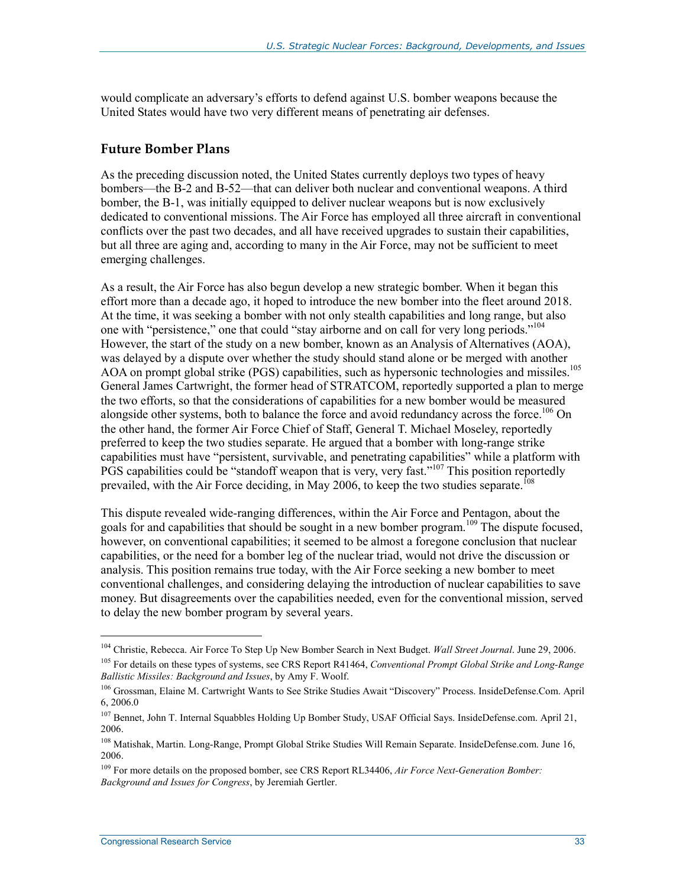would complicate an adversary's efforts to defend against U.S. bomber weapons because the United States would have two very different means of penetrating air defenses.

#### **Future Bomber Plans**

As the preceding discussion noted, the United States currently deploys two types of heavy bombers—the B-2 and B-52—that can deliver both nuclear and conventional weapons. A third bomber, the B-1, was initially equipped to deliver nuclear weapons but is now exclusively dedicated to conventional missions. The Air Force has employed all three aircraft in conventional conflicts over the past two decades, and all have received upgrades to sustain their capabilities, but all three are aging and, according to many in the Air Force, may not be sufficient to meet emerging challenges.

As a result, the Air Force has also begun develop a new strategic bomber. When it began this effort more than a decade ago, it hoped to introduce the new bomber into the fleet around 2018. At the time, it was seeking a bomber with not only stealth capabilities and long range, but also one with "persistence," one that could "stay airborne and on call for very long periods."<sup>104</sup> However, the start of the study on a new bomber, known as an Analysis of Alternatives (AOA), was delayed by a dispute over whether the study should stand alone or be merged with another AOA on prompt global strike (PGS) capabilities, such as hypersonic technologies and missiles.<sup>105</sup> General James Cartwright, the former head of STRATCOM, reportedly supported a plan to merge the two efforts, so that the considerations of capabilities for a new bomber would be measured alongside other systems, both to balance the force and avoid redundancy across the force.<sup>106</sup> On the other hand, the former Air Force Chief of Staff, General T. Michael Moseley, reportedly preferred to keep the two studies separate. He argued that a bomber with long-range strike capabilities must have "persistent, survivable, and penetrating capabilities" while a platform with PGS capabilities could be "standoff weapon that is very, very fast."<sup>107</sup> This position reportedly prevailed, with the Air Force deciding, in May 2006, to keep the two studies separate.<sup>108</sup>

This dispute revealed wide-ranging differences, within the Air Force and Pentagon, about the goals for and capabilities that should be sought in a new bomber program.109 The dispute focused, however, on conventional capabilities; it seemed to be almost a foregone conclusion that nuclear capabilities, or the need for a bomber leg of the nuclear triad, would not drive the discussion or analysis. This position remains true today, with the Air Force seeking a new bomber to meet conventional challenges, and considering delaying the introduction of nuclear capabilities to save money. But disagreements over the capabilities needed, even for the conventional mission, served to delay the new bomber program by several years.

<sup>104</sup> Christie, Rebecca. Air Force To Step Up New Bomber Search in Next Budget. *Wall Street Journal*. June 29, 2006.

<sup>105</sup> For details on these types of systems, see CRS Report R41464, *Conventional Prompt Global Strike and Long-Range Ballistic Missiles: Background and Issues*, by Amy F. Woolf.

<sup>106</sup> Grossman, Elaine M. Cartwright Wants to See Strike Studies Await "Discovery" Process. InsideDefense.Com. April 6, 2006.0

<sup>107</sup> Bennet, John T. Internal Squabbles Holding Up Bomber Study, USAF Official Says. InsideDefense.com. April 21, 2006.

<sup>&</sup>lt;sup>108</sup> Matishak, Martin. Long-Range, Prompt Global Strike Studies Will Remain Separate. InsideDefense.com. June 16, 2006.

<sup>109</sup> For more details on the proposed bomber, see CRS Report RL34406, *Air Force Next-Generation Bomber: Background and Issues for Congress*, by Jeremiah Gertler.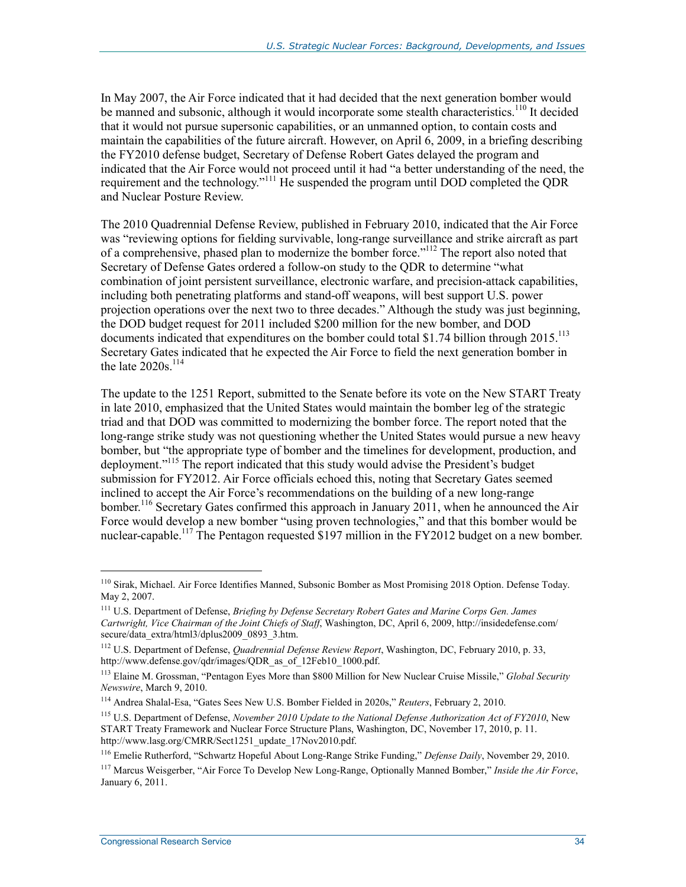In May 2007, the Air Force indicated that it had decided that the next generation bomber would be manned and subsonic, although it would incorporate some stealth characteristics.<sup>110</sup> It decided that it would not pursue supersonic capabilities, or an unmanned option, to contain costs and maintain the capabilities of the future aircraft. However, on April 6, 2009, in a briefing describing the FY2010 defense budget, Secretary of Defense Robert Gates delayed the program and indicated that the Air Force would not proceed until it had "a better understanding of the need, the requirement and the technology."<sup>111</sup> He suspended the program until DOD completed the QDR and Nuclear Posture Review.

The 2010 Quadrennial Defense Review, published in February 2010, indicated that the Air Force was "reviewing options for fielding survivable, long-range surveillance and strike aircraft as part of a comprehensive, phased plan to modernize the bomber force."112 The report also noted that Secretary of Defense Gates ordered a follow-on study to the QDR to determine "what combination of joint persistent surveillance, electronic warfare, and precision-attack capabilities, including both penetrating platforms and stand-off weapons, will best support U.S. power projection operations over the next two to three decades." Although the study was just beginning, the DOD budget request for 2011 included \$200 million for the new bomber, and DOD documents indicated that expenditures on the bomber could total \$1.74 billion through 2015.<sup>113</sup> Secretary Gates indicated that he expected the Air Force to field the next generation bomber in the late  $2020s$ .<sup>114</sup>

The update to the 1251 Report, submitted to the Senate before its vote on the New START Treaty in late 2010, emphasized that the United States would maintain the bomber leg of the strategic triad and that DOD was committed to modernizing the bomber force. The report noted that the long-range strike study was not questioning whether the United States would pursue a new heavy bomber, but "the appropriate type of bomber and the timelines for development, production, and deployment."115 The report indicated that this study would advise the President's budget submission for FY2012. Air Force officials echoed this, noting that Secretary Gates seemed inclined to accept the Air Force's recommendations on the building of a new long-range bomber.<sup>116</sup> Secretary Gates confirmed this approach in January 2011, when he announced the Air Force would develop a new bomber "using proven technologies," and that this bomber would be nuclear-capable.<sup>117</sup> The Pentagon requested \$197 million in the FY2012 budget on a new bomber.

<sup>&</sup>lt;sup>110</sup> Sirak, Michael. Air Force Identifies Manned, Subsonic Bomber as Most Promising 2018 Option. Defense Today. May 2, 2007.

<sup>111</sup> U.S. Department of Defense, *Briefing by Defense Secretary Robert Gates and Marine Corps Gen. James Cartwright, Vice Chairman of the Joint Chiefs of Staff*, Washington, DC, April 6, 2009, http://insidedefense.com/ secure/data\_extra/html3/dplus2009\_0893\_3.htm.

<sup>112</sup> U.S. Department of Defense, *Quadrennial Defense Review Report*, Washington, DC, February 2010, p. 33, http://www.defense.gov/qdr/images/QDR\_as\_of\_12Feb10\_1000.pdf.

<sup>113</sup> Elaine M. Grossman, "Pentagon Eyes More than \$800 Million for New Nuclear Cruise Missile," *Global Security Newswire*, March 9, 2010.

<sup>114</sup> Andrea Shalal-Esa, "Gates Sees New U.S. Bomber Fielded in 2020s," *Reuters*, February 2, 2010.

<sup>115</sup> U.S. Department of Defense, *November 2010 Update to the National Defense Authorization Act of FY2010*, New START Treaty Framework and Nuclear Force Structure Plans, Washington, DC, November 17, 2010, p. 11. http://www.lasg.org/CMRR/Sect1251\_update\_17Nov2010.pdf.

<sup>116</sup> Emelie Rutherford, "Schwartz Hopeful About Long-Range Strike Funding," *Defense Daily*, November 29, 2010.

<sup>117</sup> Marcus Weisgerber, "Air Force To Develop New Long-Range, Optionally Manned Bomber," *Inside the Air Force*, January 6, 2011.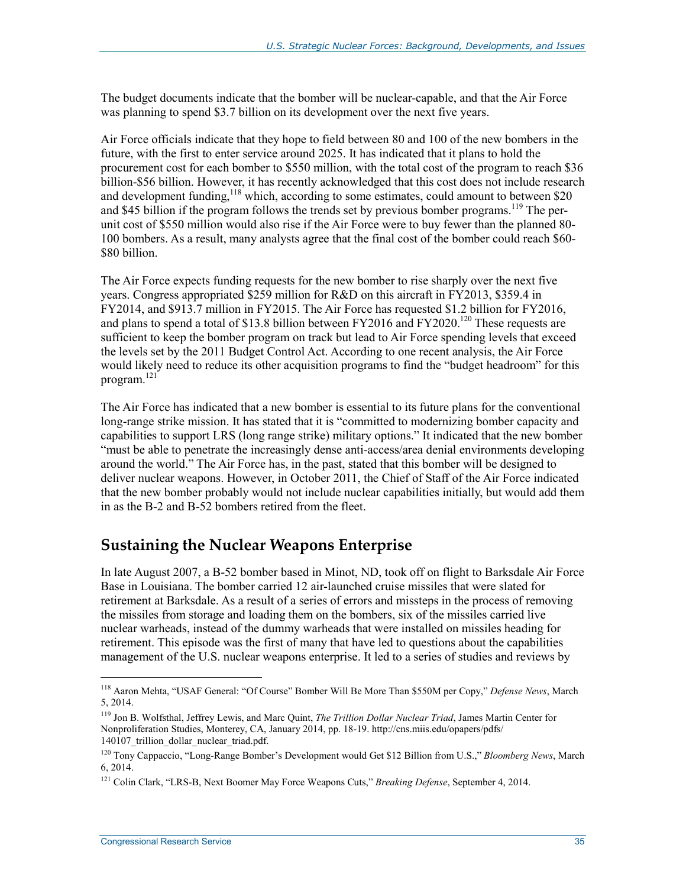The budget documents indicate that the bomber will be nuclear-capable, and that the Air Force was planning to spend \$3.7 billion on its development over the next five years.

Air Force officials indicate that they hope to field between 80 and 100 of the new bombers in the future, with the first to enter service around 2025. It has indicated that it plans to hold the procurement cost for each bomber to \$550 million, with the total cost of the program to reach \$36 billion-\$56 billion. However, it has recently acknowledged that this cost does not include research and development funding,<sup>118</sup> which, according to some estimates, could amount to between \$20 and \$45 billion if the program follows the trends set by previous bomber programs.<sup>119</sup> The perunit cost of \$550 million would also rise if the Air Force were to buy fewer than the planned 80- 100 bombers. As a result, many analysts agree that the final cost of the bomber could reach \$60- \$80 billion.

The Air Force expects funding requests for the new bomber to rise sharply over the next five years. Congress appropriated \$259 million for R&D on this aircraft in FY2013, \$359.4 in FY2014, and \$913.7 million in FY2015. The Air Force has requested \$1.2 billion for FY2016, and plans to spend a total of \$13.8 billion between FY2016 and FY2020.<sup>120</sup> These requests are sufficient to keep the bomber program on track but lead to Air Force spending levels that exceed the levels set by the 2011 Budget Control Act. According to one recent analysis, the Air Force would likely need to reduce its other acquisition programs to find the "budget headroom" for this program.<sup>121</sup>

The Air Force has indicated that a new bomber is essential to its future plans for the conventional long-range strike mission. It has stated that it is "committed to modernizing bomber capacity and capabilities to support LRS (long range strike) military options." It indicated that the new bomber "must be able to penetrate the increasingly dense anti-access/area denial environments developing around the world." The Air Force has, in the past, stated that this bomber will be designed to deliver nuclear weapons. However, in October 2011, the Chief of Staff of the Air Force indicated that the new bomber probably would not include nuclear capabilities initially, but would add them in as the B-2 and B-52 bombers retired from the fleet.

### **Sustaining the Nuclear Weapons Enterprise**

In late August 2007, a B-52 bomber based in Minot, ND, took off on flight to Barksdale Air Force Base in Louisiana. The bomber carried 12 air-launched cruise missiles that were slated for retirement at Barksdale. As a result of a series of errors and missteps in the process of removing the missiles from storage and loading them on the bombers, six of the missiles carried live nuclear warheads, instead of the dummy warheads that were installed on missiles heading for retirement. This episode was the first of many that have led to questions about the capabilities management of the U.S. nuclear weapons enterprise. It led to a series of studies and reviews by

<sup>118</sup> Aaron Mehta, "USAF General: "Of Course" Bomber Will Be More Than \$550M per Copy," *Defense News*, March 5, 2014.

<sup>119</sup> Jon B. Wolfsthal, Jeffrey Lewis, and Marc Quint, *The Trillion Dollar Nuclear Triad*, James Martin Center for Nonproliferation Studies, Monterey, CA, January 2014, pp. 18-19. http://cns.miis.edu/opapers/pdfs/ 140107 trillion dollar nuclear triad.pdf.

<sup>120</sup> Tony Cappaccio, "Long-Range Bomber's Development would Get \$12 Billion from U.S.," *Bloomberg News*, March 6, 2014.

<sup>121</sup> Colin Clark, "LRS-B, Next Boomer May Force Weapons Cuts," *Breaking Defense*, September 4, 2014.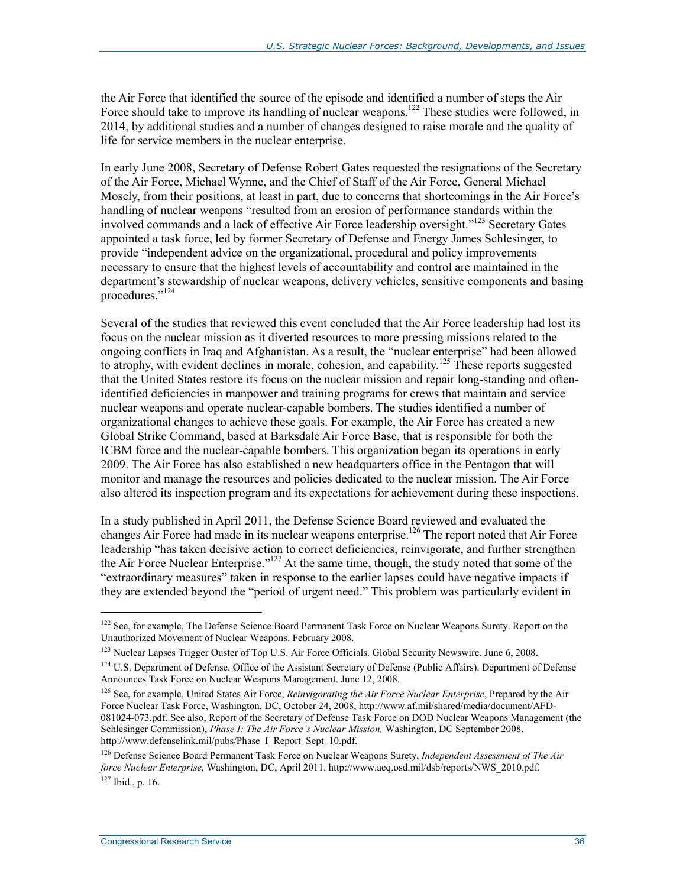the Air Force that identified the source of the episode and identified a number of steps the Air Force should take to improve its handling of nuclear weapons.<sup>122</sup> These studies were followed, in 2014, by additional studies and a number of changes designed to raise morale and the quality of life for service members in the nuclear enterprise.

In early June 2008, Secretary of Defense Robert Gates requested the resignations of the Secretary of the Air Force, Michael Wynne, and the Chief of Staff of the Air Force, General Michael Mosely, from their positions, at least in part, due to concerns that shortcomings in the Air Force's handling of nuclear weapons "resulted from an erosion of performance standards within the involved commands and a lack of effective Air Force leadership oversight."123 Secretary Gates appointed a task force, led by former Secretary of Defense and Energy James Schlesinger, to provide "independent advice on the organizational, procedural and policy improvements necessary to ensure that the highest levels of accountability and control are maintained in the department's stewardship of nuclear weapons, delivery vehicles, sensitive components and basing procedures."124

Several of the studies that reviewed this event concluded that the Air Force leadership had lost its focus on the nuclear mission as it diverted resources to more pressing missions related to the ongoing conflicts in Iraq and Afghanistan. As a result, the "nuclear enterprise" had been allowed to atrophy, with evident declines in morale, cohesion, and capability.<sup>125</sup> These reports suggested that the United States restore its focus on the nuclear mission and repair long-standing and oftenidentified deficiencies in manpower and training programs for crews that maintain and service nuclear weapons and operate nuclear-capable bombers. The studies identified a number of organizational changes to achieve these goals. For example, the Air Force has created a new Global Strike Command, based at Barksdale Air Force Base, that is responsible for both the ICBM force and the nuclear-capable bombers. This organization began its operations in early 2009. The Air Force has also established a new headquarters office in the Pentagon that will monitor and manage the resources and policies dedicated to the nuclear mission. The Air Force also altered its inspection program and its expectations for achievement during these inspections.

In a study published in April 2011, the Defense Science Board reviewed and evaluated the changes Air Force had made in its nuclear weapons enterprise.<sup>126</sup> The report noted that Air Force leadership "has taken decisive action to correct deficiencies, reinvigorate, and further strengthen the Air Force Nuclear Enterprise."<sup>127</sup> At the same time, though, the study noted that some of the "extraordinary measures" taken in response to the earlier lapses could have negative impacts if they are extended beyond the "period of urgent need." This problem was particularly evident in

<sup>&</sup>lt;sup>122</sup> See, for example, The Defense Science Board Permanent Task Force on Nuclear Weapons Surety. Report on the Unauthorized Movement of Nuclear Weapons. February 2008.

<sup>&</sup>lt;sup>123</sup> Nuclear Lapses Trigger Ouster of Top U.S. Air Force Officials. Global Security Newswire. June 6, 2008.

<sup>&</sup>lt;sup>124</sup> U.S. Department of Defense. Office of the Assistant Secretary of Defense (Public Affairs). Department of Defense Announces Task Force on Nuclear Weapons Management. June 12, 2008.

<sup>125</sup> See, for example, United States Air Force, *Reinvigorating the Air Force Nuclear Enterprise*, Prepared by the Air Force Nuclear Task Force, Washington, DC, October 24, 2008, http://www.af.mil/shared/media/document/AFD-081024-073.pdf. See also, Report of the Secretary of Defense Task Force on DOD Nuclear Weapons Management (the Schlesinger Commission), *Phase I: The Air Force's Nuclear Mission,* Washington, DC September 2008. http://www.defenselink.mil/pubs/Phase I Report Sept 10.pdf.

<sup>126</sup> Defense Science Board Permanent Task Force on Nuclear Weapons Surety, *Independent Assessment of The Air force Nuclear Enterprise*, Washington, DC, April 2011. http://www.acq.osd.mil/dsb/reports/NWS\_2010.pdf.  $127$  Ibid., p. 16.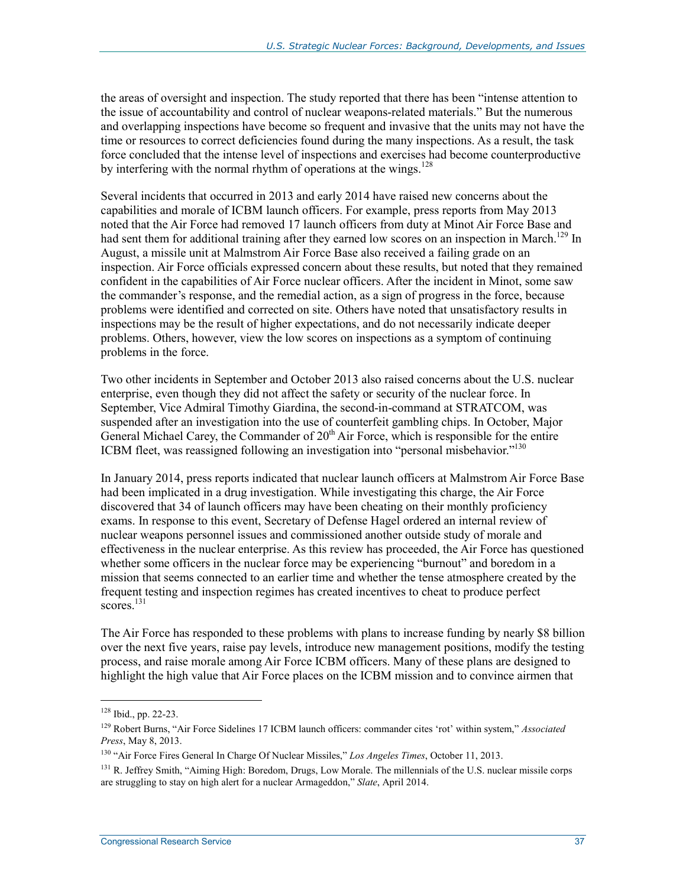the areas of oversight and inspection. The study reported that there has been "intense attention to the issue of accountability and control of nuclear weapons-related materials." But the numerous and overlapping inspections have become so frequent and invasive that the units may not have the time or resources to correct deficiencies found during the many inspections. As a result, the task force concluded that the intense level of inspections and exercises had become counterproductive by interfering with the normal rhythm of operations at the wings.<sup>128</sup>

Several incidents that occurred in 2013 and early 2014 have raised new concerns about the capabilities and morale of ICBM launch officers. For example, press reports from May 2013 noted that the Air Force had removed 17 launch officers from duty at Minot Air Force Base and had sent them for additional training after they earned low scores on an inspection in March.<sup>129</sup> In August, a missile unit at Malmstrom Air Force Base also received a failing grade on an inspection. Air Force officials expressed concern about these results, but noted that they remained confident in the capabilities of Air Force nuclear officers. After the incident in Minot, some saw the commander's response, and the remedial action, as a sign of progress in the force, because problems were identified and corrected on site. Others have noted that unsatisfactory results in inspections may be the result of higher expectations, and do not necessarily indicate deeper problems. Others, however, view the low scores on inspections as a symptom of continuing problems in the force.

Two other incidents in September and October 2013 also raised concerns about the U.S. nuclear enterprise, even though they did not affect the safety or security of the nuclear force. In September, Vice Admiral Timothy Giardina, the second-in-command at STRATCOM, was suspended after an investigation into the use of counterfeit gambling chips. In October, Major General Michael Carey, the Commander of  $20<sup>th</sup>$  Air Force, which is responsible for the entire ICBM fleet, was reassigned following an investigation into "personal misbehavior."<sup>130</sup>

In January 2014, press reports indicated that nuclear launch officers at Malmstrom Air Force Base had been implicated in a drug investigation. While investigating this charge, the Air Force discovered that 34 of launch officers may have been cheating on their monthly proficiency exams. In response to this event, Secretary of Defense Hagel ordered an internal review of nuclear weapons personnel issues and commissioned another outside study of morale and effectiveness in the nuclear enterprise. As this review has proceeded, the Air Force has questioned whether some officers in the nuclear force may be experiencing "burnout" and boredom in a mission that seems connected to an earlier time and whether the tense atmosphere created by the frequent testing and inspection regimes has created incentives to cheat to produce perfect  $scores$ <sup>131</sup>

The Air Force has responded to these problems with plans to increase funding by nearly \$8 billion over the next five years, raise pay levels, introduce new management positions, modify the testing process, and raise morale among Air Force ICBM officers. Many of these plans are designed to highlight the high value that Air Force places on the ICBM mission and to convince airmen that

<sup>128</sup> Ibid., pp. 22-23.

<sup>129</sup> Robert Burns, "Air Force Sidelines 17 ICBM launch officers: commander cites 'rot' within system," *Associated Press*, May 8, 2013.

<sup>130 &</sup>quot;Air Force Fires General In Charge Of Nuclear Missiles," *Los Angeles Times*, October 11, 2013.

<sup>&</sup>lt;sup>131</sup> R. Jeffrey Smith, "Aiming High: Boredom, Drugs, Low Morale. The millennials of the U.S. nuclear missile corps are struggling to stay on high alert for a nuclear Armageddon," *Slate*, April 2014.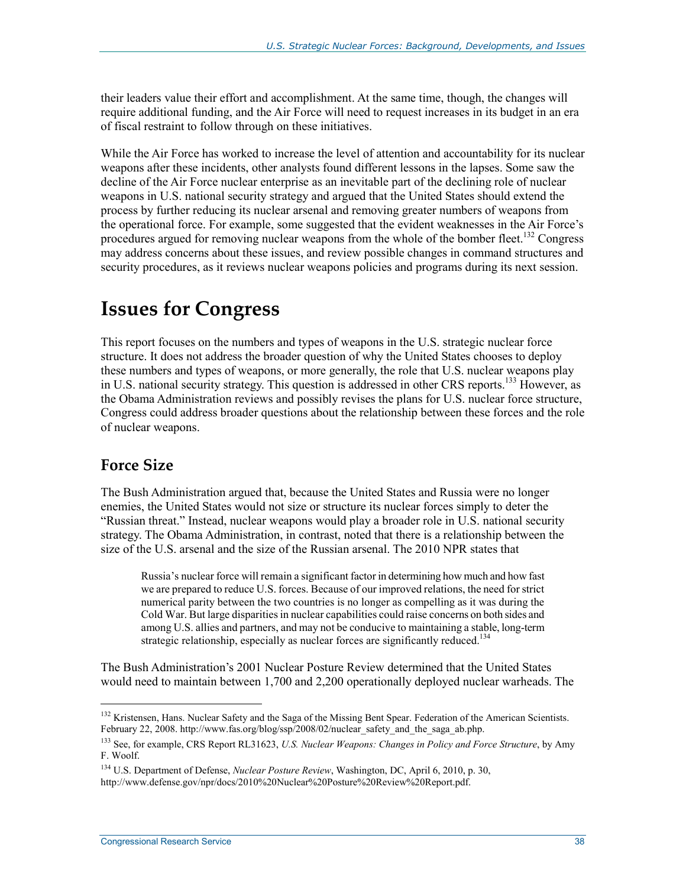their leaders value their effort and accomplishment. At the same time, though, the changes will require additional funding, and the Air Force will need to request increases in its budget in an era of fiscal restraint to follow through on these initiatives.

While the Air Force has worked to increase the level of attention and accountability for its nuclear weapons after these incidents, other analysts found different lessons in the lapses. Some saw the decline of the Air Force nuclear enterprise as an inevitable part of the declining role of nuclear weapons in U.S. national security strategy and argued that the United States should extend the process by further reducing its nuclear arsenal and removing greater numbers of weapons from the operational force. For example, some suggested that the evident weaknesses in the Air Force's procedures argued for removing nuclear weapons from the whole of the bomber fleet.<sup>132</sup> Congress may address concerns about these issues, and review possible changes in command structures and security procedures, as it reviews nuclear weapons policies and programs during its next session.

## **Issues for Congress**

This report focuses on the numbers and types of weapons in the U.S. strategic nuclear force structure. It does not address the broader question of why the United States chooses to deploy these numbers and types of weapons, or more generally, the role that U.S. nuclear weapons play in U.S. national security strategy. This question is addressed in other CRS reports.133 However, as the Obama Administration reviews and possibly revises the plans for U.S. nuclear force structure, Congress could address broader questions about the relationship between these forces and the role of nuclear weapons.

### **Force Size**

 $\overline{a}$ 

The Bush Administration argued that, because the United States and Russia were no longer enemies, the United States would not size or structure its nuclear forces simply to deter the "Russian threat." Instead, nuclear weapons would play a broader role in U.S. national security strategy. The Obama Administration, in contrast, noted that there is a relationship between the size of the U.S. arsenal and the size of the Russian arsenal. The 2010 NPR states that

Russia's nuclear force will remain a significant factor in determining how much and how fast we are prepared to reduce U.S. forces. Because of our improved relations, the need for strict numerical parity between the two countries is no longer as compelling as it was during the Cold War. But large disparities in nuclear capabilities could raise concerns on both sides and among U.S. allies and partners, and may not be conducive to maintaining a stable, long-term strategic relationship, especially as nuclear forces are significantly reduced.<sup>134</sup>

The Bush Administration's 2001 Nuclear Posture Review determined that the United States would need to maintain between 1,700 and 2,200 operationally deployed nuclear warheads. The

<sup>&</sup>lt;sup>132</sup> Kristensen, Hans. Nuclear Safety and the Saga of the Missing Bent Spear. Federation of the American Scientists. February 22, 2008. http://www.fas.org/blog/ssp/2008/02/nuclear\_safety\_and\_the\_saga\_ab.php.

<sup>133</sup> See, for example, CRS Report RL31623, *U.S. Nuclear Weapons: Changes in Policy and Force Structure*, by Amy F. Woolf.

<sup>134</sup> U.S. Department of Defense, *Nuclear Posture Review*, Washington, DC, April 6, 2010, p. 30,

http://www.defense.gov/npr/docs/2010%20Nuclear%20Posture%20Review%20Report.pdf.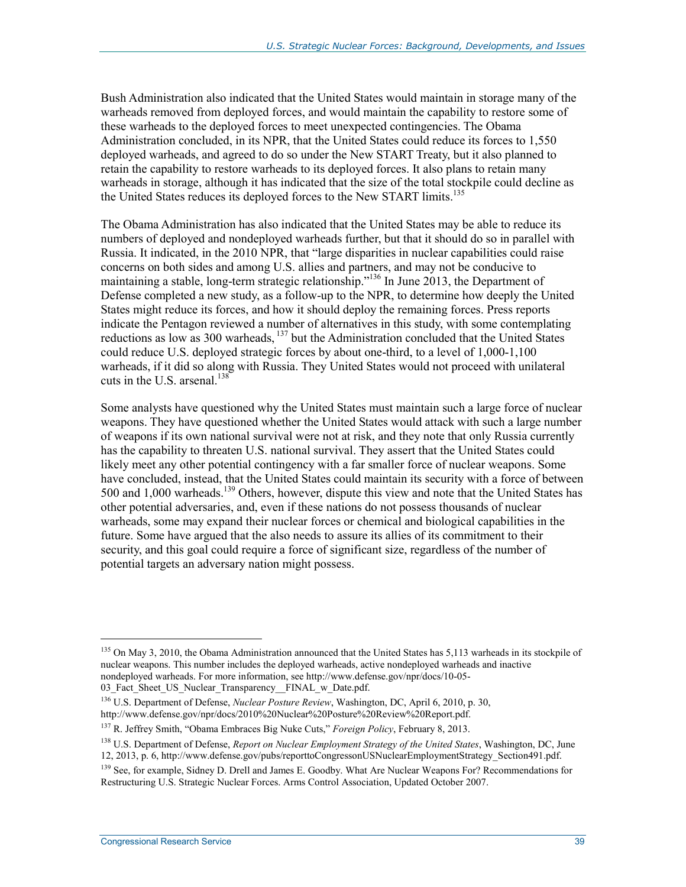Bush Administration also indicated that the United States would maintain in storage many of the warheads removed from deployed forces, and would maintain the capability to restore some of these warheads to the deployed forces to meet unexpected contingencies. The Obama Administration concluded, in its NPR, that the United States could reduce its forces to 1,550 deployed warheads, and agreed to do so under the New START Treaty, but it also planned to retain the capability to restore warheads to its deployed forces. It also plans to retain many warheads in storage, although it has indicated that the size of the total stockpile could decline as the United States reduces its deployed forces to the New START limits.<sup>135</sup>

The Obama Administration has also indicated that the United States may be able to reduce its numbers of deployed and nondeployed warheads further, but that it should do so in parallel with Russia. It indicated, in the 2010 NPR, that "large disparities in nuclear capabilities could raise concerns on both sides and among U.S. allies and partners, and may not be conducive to maintaining a stable, long-term strategic relationship."136 In June 2013, the Department of Defense completed a new study, as a follow-up to the NPR, to determine how deeply the United States might reduce its forces, and how it should deploy the remaining forces. Press reports indicate the Pentagon reviewed a number of alternatives in this study, with some contemplating reductions as low as 300 warheads, <sup>137</sup> but the Administration concluded that the United States could reduce U.S. deployed strategic forces by about one-third, to a level of 1,000-1,100 warheads, if it did so along with Russia. They United States would not proceed with unilateral cuts in the U.S. arsenal. $138$ 

Some analysts have questioned why the United States must maintain such a large force of nuclear weapons. They have questioned whether the United States would attack with such a large number of weapons if its own national survival were not at risk, and they note that only Russia currently has the capability to threaten U.S. national survival. They assert that the United States could likely meet any other potential contingency with a far smaller force of nuclear weapons. Some have concluded, instead, that the United States could maintain its security with a force of between 500 and 1,000 warheads.<sup>139</sup> Others, however, dispute this view and note that the United States has other potential adversaries, and, even if these nations do not possess thousands of nuclear warheads, some may expand their nuclear forces or chemical and biological capabilities in the future. Some have argued that the also needs to assure its allies of its commitment to their security, and this goal could require a force of significant size, regardless of the number of potential targets an adversary nation might possess.

<sup>&</sup>lt;sup>135</sup> On May 3, 2010, the Obama Administration announced that the United States has 5,113 warheads in its stockpile of nuclear weapons. This number includes the deployed warheads, active nondeployed warheads and inactive nondeployed warheads. For more information, see http://www.defense.gov/npr/docs/10-05- 03\_Fact\_Sheet\_US\_Nuclear\_Transparency\_\_FINAL\_w\_Date.pdf.

<sup>136</sup> U.S. Department of Defense, *Nuclear Posture Review*, Washington, DC, April 6, 2010, p. 30, http://www.defense.gov/npr/docs/2010%20Nuclear%20Posture%20Review%20Report.pdf.

<sup>137</sup> R. Jeffrey Smith, "Obama Embraces Big Nuke Cuts," *Foreign Policy*, February 8, 2013.

<sup>138</sup> U.S. Department of Defense, *Report on Nuclear Employment Strategy of the United States*, Washington, DC, June 12, 2013, p. 6, http://www.defense.gov/pubs/reporttoCongressonUSNuclearEmploymentStrategy\_Section491.pdf.

<sup>&</sup>lt;sup>139</sup> See, for example, Sidney D. Drell and James E. Goodby. What Are Nuclear Weapons For? Recommendations for Restructuring U.S. Strategic Nuclear Forces. Arms Control Association, Updated October 2007.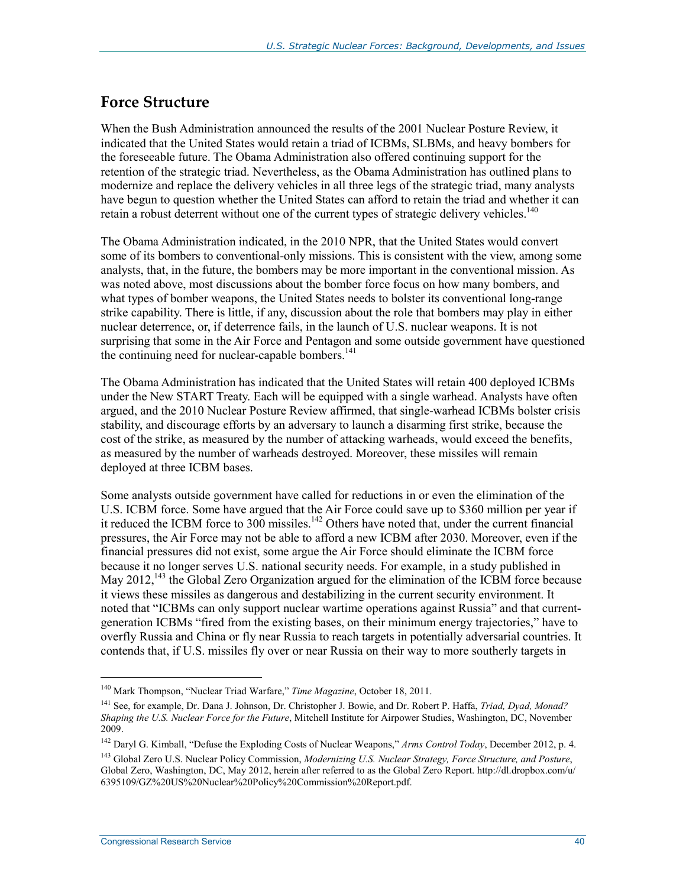### **Force Structure**

When the Bush Administration announced the results of the 2001 Nuclear Posture Review, it indicated that the United States would retain a triad of ICBMs, SLBMs, and heavy bombers for the foreseeable future. The Obama Administration also offered continuing support for the retention of the strategic triad. Nevertheless, as the Obama Administration has outlined plans to modernize and replace the delivery vehicles in all three legs of the strategic triad, many analysts have begun to question whether the United States can afford to retain the triad and whether it can retain a robust deterrent without one of the current types of strategic delivery vehicles.<sup>140</sup>

The Obama Administration indicated, in the 2010 NPR, that the United States would convert some of its bombers to conventional-only missions. This is consistent with the view, among some analysts, that, in the future, the bombers may be more important in the conventional mission. As was noted above, most discussions about the bomber force focus on how many bombers, and what types of bomber weapons, the United States needs to bolster its conventional long-range strike capability. There is little, if any, discussion about the role that bombers may play in either nuclear deterrence, or, if deterrence fails, in the launch of U.S. nuclear weapons. It is not surprising that some in the Air Force and Pentagon and some outside government have questioned the continuing need for nuclear-capable bombers.<sup>141</sup>

The Obama Administration has indicated that the United States will retain 400 deployed ICBMs under the New START Treaty. Each will be equipped with a single warhead. Analysts have often argued, and the 2010 Nuclear Posture Review affirmed, that single-warhead ICBMs bolster crisis stability, and discourage efforts by an adversary to launch a disarming first strike, because the cost of the strike, as measured by the number of attacking warheads, would exceed the benefits, as measured by the number of warheads destroyed. Moreover, these missiles will remain deployed at three ICBM bases.

Some analysts outside government have called for reductions in or even the elimination of the U.S. ICBM force. Some have argued that the Air Force could save up to \$360 million per year if it reduced the ICBM force to 300 missiles.<sup>142</sup> Others have noted that, under the current financial pressures, the Air Force may not be able to afford a new ICBM after 2030. Moreover, even if the financial pressures did not exist, some argue the Air Force should eliminate the ICBM force because it no longer serves U.S. national security needs. For example, in a study published in May  $2012$ ,<sup>143</sup>, the Global Zero Organization argued for the elimination of the ICBM force because it views these missiles as dangerous and destabilizing in the current security environment. It noted that "ICBMs can only support nuclear wartime operations against Russia" and that currentgeneration ICBMs "fired from the existing bases, on their minimum energy trajectories," have to overfly Russia and China or fly near Russia to reach targets in potentially adversarial countries. It contends that, if U.S. missiles fly over or near Russia on their way to more southerly targets in

<sup>142</sup> Daryl G. Kimball, "Defuse the Exploding Costs of Nuclear Weapons," Arms Control Today, December 2012, p. 4.

<sup>140</sup> Mark Thompson, "Nuclear Triad Warfare," *Time Magazine*, October 18, 2011.

<sup>141</sup> See, for example, Dr. Dana J. Johnson, Dr. Christopher J. Bowie, and Dr. Robert P. Haffa, *Triad, Dyad, Monad? Shaping the U.S. Nuclear Force for the Future*, Mitchell Institute for Airpower Studies, Washington, DC, November 2009.

<sup>143</sup> Global Zero U.S. Nuclear Policy Commission, *Modernizing U.S. Nuclear Strategy, Force Structure, and Posture*, Global Zero, Washington, DC, May 2012, herein after referred to as the Global Zero Report. http://dl.dropbox.com/u/ 6395109/GZ%20US%20Nuclear%20Policy%20Commission%20Report.pdf.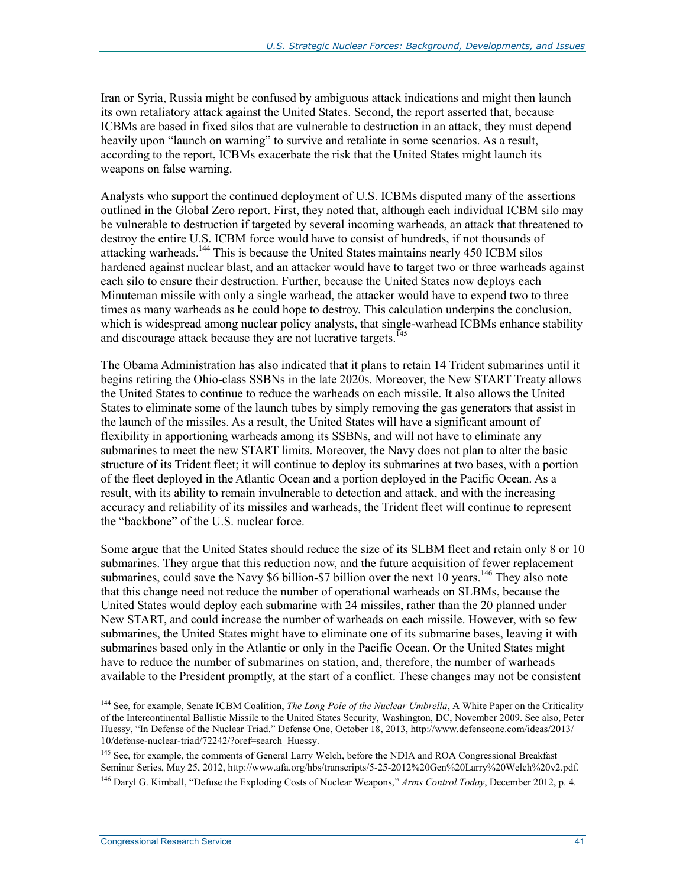Iran or Syria, Russia might be confused by ambiguous attack indications and might then launch its own retaliatory attack against the United States. Second, the report asserted that, because ICBMs are based in fixed silos that are vulnerable to destruction in an attack, they must depend heavily upon "launch on warning" to survive and retaliate in some scenarios. As a result, according to the report, ICBMs exacerbate the risk that the United States might launch its weapons on false warning.

Analysts who support the continued deployment of U.S. ICBMs disputed many of the assertions outlined in the Global Zero report. First, they noted that, although each individual ICBM silo may be vulnerable to destruction if targeted by several incoming warheads, an attack that threatened to destroy the entire U.S. ICBM force would have to consist of hundreds, if not thousands of attacking warheads.<sup>144</sup> This is because the United States maintains nearly 450 ICBM silos hardened against nuclear blast, and an attacker would have to target two or three warheads against each silo to ensure their destruction. Further, because the United States now deploys each Minuteman missile with only a single warhead, the attacker would have to expend two to three times as many warheads as he could hope to destroy. This calculation underpins the conclusion, which is widespread among nuclear policy analysts, that single-warhead ICBMs enhance stability and discourage attack because they are not lucrative targets.<sup>145</sup>

The Obama Administration has also indicated that it plans to retain 14 Trident submarines until it begins retiring the Ohio-class SSBNs in the late 2020s. Moreover, the New START Treaty allows the United States to continue to reduce the warheads on each missile. It also allows the United States to eliminate some of the launch tubes by simply removing the gas generators that assist in the launch of the missiles. As a result, the United States will have a significant amount of flexibility in apportioning warheads among its SSBNs, and will not have to eliminate any submarines to meet the new START limits. Moreover, the Navy does not plan to alter the basic structure of its Trident fleet; it will continue to deploy its submarines at two bases, with a portion of the fleet deployed in the Atlantic Ocean and a portion deployed in the Pacific Ocean. As a result, with its ability to remain invulnerable to detection and attack, and with the increasing accuracy and reliability of its missiles and warheads, the Trident fleet will continue to represent the "backbone" of the U.S. nuclear force.

Some argue that the United States should reduce the size of its SLBM fleet and retain only 8 or 10 submarines. They argue that this reduction now, and the future acquisition of fewer replacement submarines, could save the Navy  $$6$  billion- $$7$  billion over the next 10 years.<sup>146</sup> They also note that this change need not reduce the number of operational warheads on SLBMs, because the United States would deploy each submarine with 24 missiles, rather than the 20 planned under New START, and could increase the number of warheads on each missile. However, with so few submarines, the United States might have to eliminate one of its submarine bases, leaving it with submarines based only in the Atlantic or only in the Pacific Ocean. Or the United States might have to reduce the number of submarines on station, and, therefore, the number of warheads available to the President promptly, at the start of a conflict. These changes may not be consistent

<sup>&</sup>lt;sup>144</sup> See, for example, Senate ICBM Coalition, *The Long Pole of the Nuclear Umbrella*, A White Paper on the Criticality of the Intercontinental Ballistic Missile to the United States Security, Washington, DC, November 2009. See also, Peter Huessy, "In Defense of the Nuclear Triad." Defense One, October 18, 2013, http://www.defenseone.com/ideas/2013/ 10/defense-nuclear-triad/72242/?oref=search\_Huessy.

<sup>&</sup>lt;sup>145</sup> See, for example, the comments of General Larry Welch, before the NDIA and ROA Congressional Breakfast Seminar Series, May 25, 2012, http://www.afa.org/hbs/transcripts/5-25-2012%20Gen%20Larry%20Welch%20v2.pdf. 146 Daryl G. Kimball, "Defuse the Exploding Costs of Nuclear Weapons," *Arms Control Today*, December 2012, p. 4.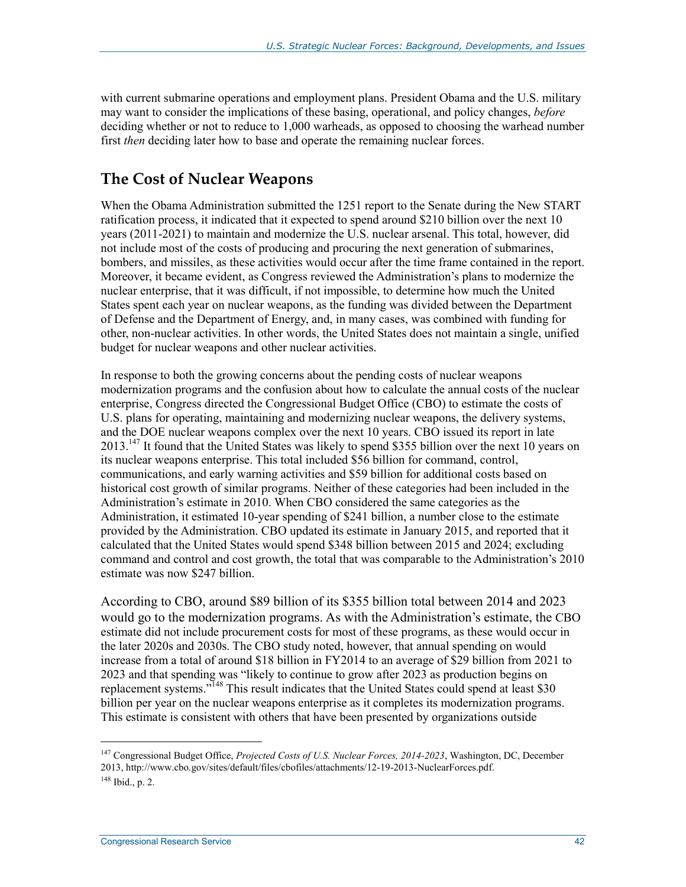with current submarine operations and employment plans. President Obama and the U.S. military may want to consider the implications of these basing, operational, and policy changes, *before* deciding whether or not to reduce to 1,000 warheads, as opposed to choosing the warhead number first *then* deciding later how to base and operate the remaining nuclear forces.

## **The Cost of Nuclear Weapons**

When the Obama Administration submitted the 1251 report to the Senate during the New START ratification process, it indicated that it expected to spend around \$210 billion over the next 10 years (2011-2021) to maintain and modernize the U.S. nuclear arsenal. This total, however, did not include most of the costs of producing and procuring the next generation of submarines, bombers, and missiles, as these activities would occur after the time frame contained in the report. Moreover, it became evident, as Congress reviewed the Administration's plans to modernize the nuclear enterprise, that it was difficult, if not impossible, to determine how much the United States spent each year on nuclear weapons, as the funding was divided between the Department of Defense and the Department of Energy, and, in many cases, was combined with funding for other, non-nuclear activities. In other words, the United States does not maintain a single, unified budget for nuclear weapons and other nuclear activities.

In response to both the growing concerns about the pending costs of nuclear weapons modernization programs and the confusion about how to calculate the annual costs of the nuclear enterprise, Congress directed the Congressional Budget Office (CBO) to estimate the costs of U.S. plans for operating, maintaining and modernizing nuclear weapons, the delivery systems, and the DOE nuclear weapons complex over the next 10 years. CBO issued its report in late  $2013<sup>147</sup>$  It found that the United States was likely to spend \$355 billion over the next 10 years on its nuclear weapons enterprise. This total included \$56 billion for command, control, communications, and early warning activities and \$59 billion for additional costs based on historical cost growth of similar programs. Neither of these categories had been included in the Administration's estimate in 2010. When CBO considered the same categories as the Administration, it estimated 10-year spending of \$241 billion, a number close to the estimate provided by the Administration. CBO updated its estimate in January 2015, and reported that it calculated that the United States would spend \$348 billion between 2015 and 2024; excluding command and control and cost growth, the total that was comparable to the Administration's 2010 estimate was now \$247 billion.

According to CBO, around \$89 billion of its \$355 billion total between 2014 and 2023 would go to the modernization programs. As with the Administration's estimate, the CBO estimate did not include procurement costs for most of these programs, as these would occur in the later 2020s and 2030s. The CBO study noted, however, that annual spending on would increase from a total of around \$18 billion in FY2014 to an average of \$29 billion from 2021 to 2023 and that spending was "likely to continue to grow after 2023 as production begins on replacement systems."<sup>148</sup> This result indicates that the United States could spend at least \$30 billion per year on the nuclear weapons enterprise as it completes its modernization programs. This estimate is consistent with others that have been presented by organizations outside

<sup>147</sup> Congressional Budget Office, *Projected Costs of U.S. Nuclear Forces, 2014-2023*, Washington, DC, December 2013, http://www.cbo.gov/sites/default/files/cbofiles/attachments/12-19-2013-NuclearForces.pdf. 148 Ibid., p. 2.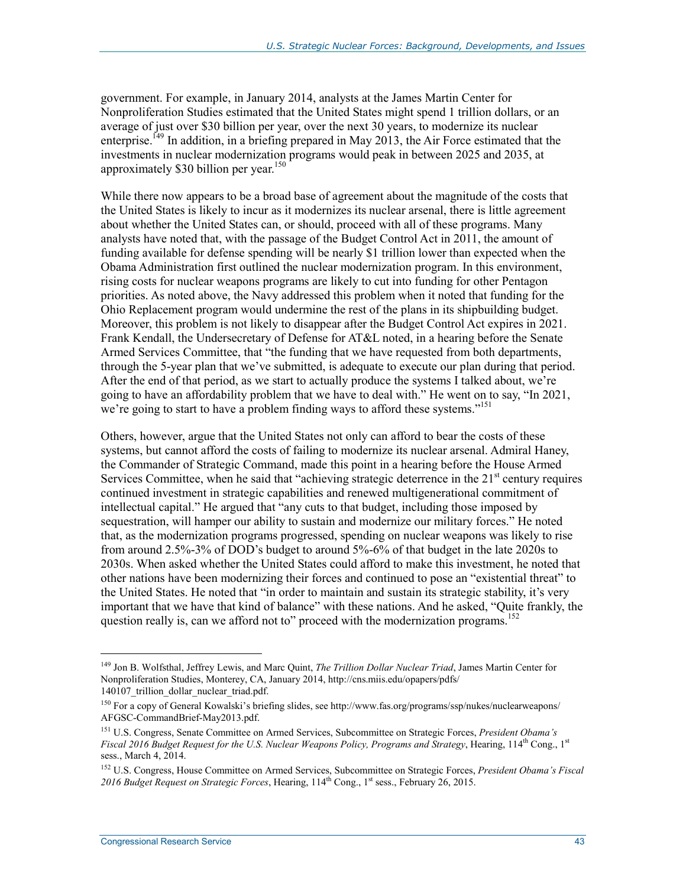government. For example, in January 2014, analysts at the James Martin Center for Nonproliferation Studies estimated that the United States might spend 1 trillion dollars, or an average of just over \$30 billion per year, over the next 30 years, to modernize its nuclear enterprise.<sup>149</sup> In addition, in a briefing prepared in May 2013, the Air Force estimated that the investments in nuclear modernization programs would peak in between 2025 and 2035, at approximately \$30 billion per year.<sup>150</sup>

While there now appears to be a broad base of agreement about the magnitude of the costs that the United States is likely to incur as it modernizes its nuclear arsenal, there is little agreement about whether the United States can, or should, proceed with all of these programs. Many analysts have noted that, with the passage of the Budget Control Act in 2011, the amount of funding available for defense spending will be nearly \$1 trillion lower than expected when the Obama Administration first outlined the nuclear modernization program. In this environment, rising costs for nuclear weapons programs are likely to cut into funding for other Pentagon priorities. As noted above, the Navy addressed this problem when it noted that funding for the Ohio Replacement program would undermine the rest of the plans in its shipbuilding budget. Moreover, this problem is not likely to disappear after the Budget Control Act expires in 2021. Frank Kendall, the Undersecretary of Defense for AT&L noted, in a hearing before the Senate Armed Services Committee, that "the funding that we have requested from both departments, through the 5-year plan that we've submitted, is adequate to execute our plan during that period. After the end of that period, as we start to actually produce the systems I talked about, we're going to have an affordability problem that we have to deal with." He went on to say, "In 2021, we're going to start to have a problem finding ways to afford these systems."151

Others, however, argue that the United States not only can afford to bear the costs of these systems, but cannot afford the costs of failing to modernize its nuclear arsenal. Admiral Haney, the Commander of Strategic Command, made this point in a hearing before the House Armed Services Committee, when he said that "achieving strategic deterrence in the  $21<sup>st</sup>$  century requires continued investment in strategic capabilities and renewed multigenerational commitment of intellectual capital." He argued that "any cuts to that budget, including those imposed by sequestration, will hamper our ability to sustain and modernize our military forces." He noted that, as the modernization programs progressed, spending on nuclear weapons was likely to rise from around 2.5%-3% of DOD's budget to around 5%-6% of that budget in the late 2020s to 2030s. When asked whether the United States could afford to make this investment, he noted that other nations have been modernizing their forces and continued to pose an "existential threat" to the United States. He noted that "in order to maintain and sustain its strategic stability, it's very important that we have that kind of balance" with these nations. And he asked, "Quite frankly, the question really is, can we afford not to" proceed with the modernization programs.<sup>152</sup>

<sup>149</sup> Jon B. Wolfsthal, Jeffrey Lewis, and Marc Quint, *The Trillion Dollar Nuclear Triad*, James Martin Center for Nonproliferation Studies, Monterey, CA, January 2014, http://cns.miis.edu/opapers/pdfs/ 140107 trillion dollar nuclear triad.pdf.

<sup>150</sup> For a copy of General Kowalski's briefing slides, see http://www.fas.org/programs/ssp/nukes/nuclearweapons/ AFGSC-CommandBrief-May2013.pdf.

<sup>151</sup> U.S. Congress, Senate Committee on Armed Services, Subcommittee on Strategic Forces, *President Obama's Fiscal 2016 Budget Request for the U.S. Nuclear Weapons Policy, Programs and Strategy*, Hearing, 114<sup>th</sup> Cong., 1<sup>st</sup> sess., March 4, 2014.

<sup>152</sup> U.S. Congress, House Committee on Armed Services, Subcommittee on Strategic Forces, *President Obama's Fiscal*  2016 Budget Request on Strategic Forces, Hearing, 114<sup>th</sup> Cong., 1<sup>st</sup> sess., February 26, 2015.